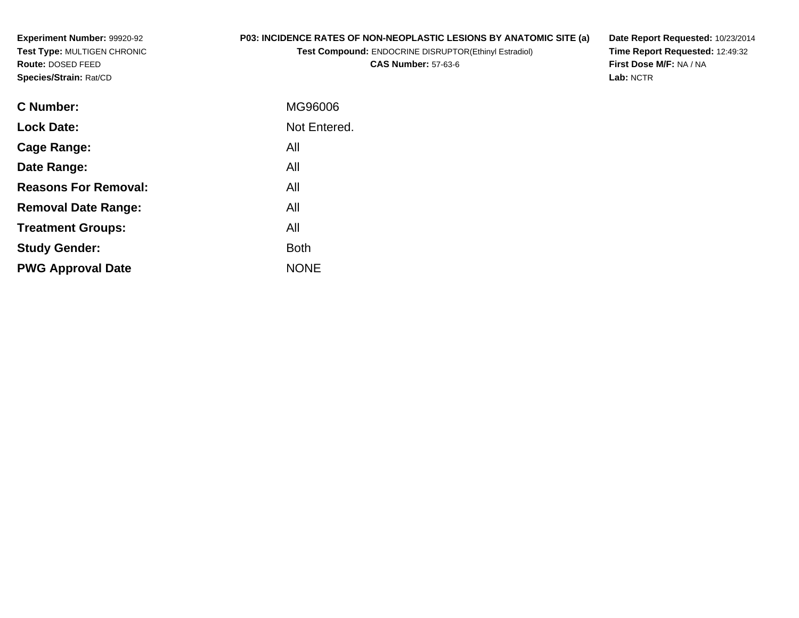**Experiment Number:** 99920-92 **Test Type:** MULTIGEN CHRONIC**Route:** DOSED FEED**Species/Strain:** Rat/CD

## **P03: INCIDENCE RATES OF NON-NEOPLASTIC LESIONS BY ANATOMIC SITE (a)**

**Test Compound:** ENDOCRINE DISRUPTOR(Ethinyl Estradiol)

**CAS Number:** 57-63-6

**Date Report Requested:** 10/23/2014 **Time Report Requested:** 12:49:32**First Dose M/F:** NA / NA**Lab:** NCTR

| <b>C</b> Number:            | MG96006      |
|-----------------------------|--------------|
| <b>Lock Date:</b>           | Not Entered. |
| Cage Range:                 | All          |
| Date Range:                 | All          |
| <b>Reasons For Removal:</b> | All          |
| <b>Removal Date Range:</b>  | All          |
| <b>Treatment Groups:</b>    | All          |
| <b>Study Gender:</b>        | <b>Both</b>  |
| <b>PWG Approval Date</b>    | <b>NONE</b>  |
|                             |              |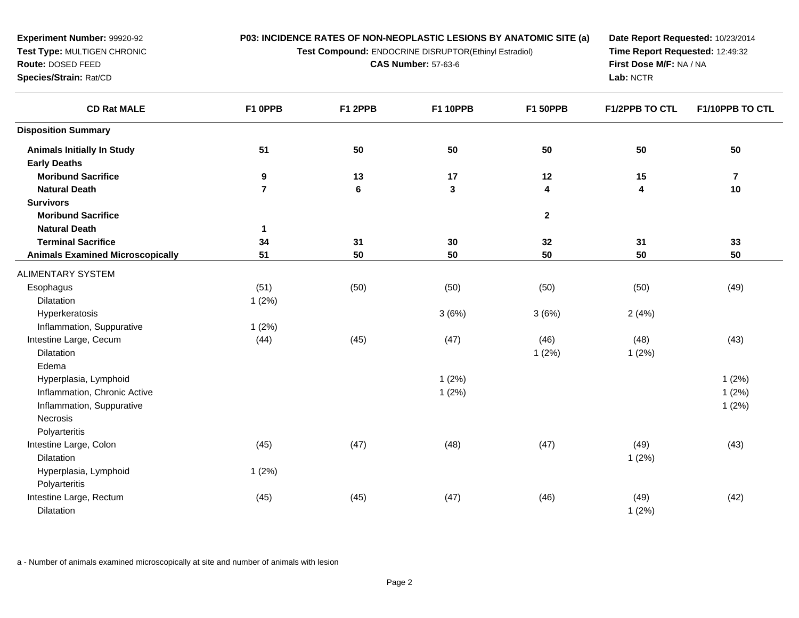**Test Compound:** ENDOCRINE DISRUPTOR(Ethinyl Estradiol)

**CAS Number:** 57-63-6

**Date Report Requested:** 10/23/2014 **Time Report Requested:** 12:49:32**First Dose M/F:** NA / NA**Lab:** NCTR

| <b>CD Rat MALE</b>                      | F1 OPPB        | F1 2PPB | <b>F1 10PPB</b> | <b>F1 50PPB</b>         | <b>F1/2PPB TO CTL</b> | F1/10PPB TO CTL         |
|-----------------------------------------|----------------|---------|-----------------|-------------------------|-----------------------|-------------------------|
| <b>Disposition Summary</b>              |                |         |                 |                         |                       |                         |
| <b>Animals Initially In Study</b>       | 51             | 50      | 50              | 50                      | 50                    | 50                      |
| <b>Early Deaths</b>                     |                |         |                 |                         |                       |                         |
| <b>Moribund Sacrifice</b>               | 9              | 13      | 17              | 12                      | 15                    | $\overline{\mathbf{r}}$ |
| <b>Natural Death</b>                    | $\overline{7}$ | $\bf 6$ | $\mathbf 3$     | $\overline{\mathbf{4}}$ | 4                     | 10                      |
| <b>Survivors</b>                        |                |         |                 |                         |                       |                         |
| <b>Moribund Sacrifice</b>               |                |         |                 | $\mathbf{2}$            |                       |                         |
| <b>Natural Death</b>                    | 1              |         |                 |                         |                       |                         |
| <b>Terminal Sacrifice</b>               | 34             | 31      | 30              | 32                      | 31                    | 33                      |
| <b>Animals Examined Microscopically</b> | 51             | 50      | 50              | 50                      | 50                    | 50                      |
| <b>ALIMENTARY SYSTEM</b>                |                |         |                 |                         |                       |                         |
| Esophagus                               | (51)           | (50)    | (50)            | (50)                    | (50)                  | (49)                    |
| Dilatation                              | 1(2%)          |         |                 |                         |                       |                         |
| Hyperkeratosis                          |                |         | 3(6%)           | 3(6%)                   | 2(4%)                 |                         |
| Inflammation, Suppurative               | 1(2%)          |         |                 |                         |                       |                         |
| Intestine Large, Cecum                  | (44)           | (45)    | (47)            | (46)                    | (48)                  | (43)                    |
| <b>Dilatation</b>                       |                |         |                 | 1(2%)                   | 1(2%)                 |                         |
| Edema                                   |                |         |                 |                         |                       |                         |
| Hyperplasia, Lymphoid                   |                |         | 1(2%)           |                         |                       | 1(2%)                   |
| Inflammation, Chronic Active            |                |         | 1(2%)           |                         |                       | 1(2%)                   |
| Inflammation, Suppurative               |                |         |                 |                         |                       | 1(2%)                   |
| Necrosis                                |                |         |                 |                         |                       |                         |
| Polyarteritis                           |                |         |                 |                         |                       |                         |
| Intestine Large, Colon                  | (45)           | (47)    | (48)            | (47)                    | (49)                  | (43)                    |
| <b>Dilatation</b>                       |                |         |                 |                         | 1(2%)                 |                         |
| Hyperplasia, Lymphoid                   | 1(2%)          |         |                 |                         |                       |                         |
| Polyarteritis                           |                |         |                 |                         |                       |                         |
| Intestine Large, Rectum                 | (45)           | (45)    | (47)            | (46)                    | (49)                  | (42)                    |
| <b>Dilatation</b>                       |                |         |                 |                         | 1(2%)                 |                         |

a - Number of animals examined microscopically at site and number of animals with lesion

**Experiment Number:** 99920-92**Test Type:** MULTIGEN CHRONIC

**Route:** DOSED FEED**Species/Strain:** Rat/CD

 $\overline{\phantom{a}}$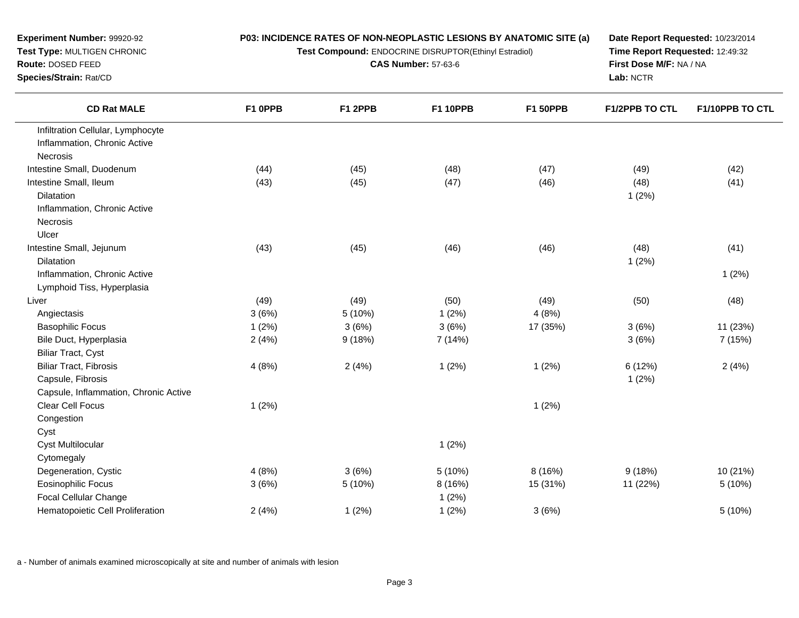**Test Compound:** ENDOCRINE DISRUPTOR(Ethinyl Estradiol)

**CAS Number:** 57-63-6

**Date Report Requested:** 10/23/2014 **Time Report Requested:** 12:49:32**First Dose M/F:** NA / NA**Lab:** NCTR

| <b>CD Rat MALE</b>                    | F1 OPPB | F1 2PPB | <b>F1 10PPB</b> | <b>F1 50PPB</b> | <b>F1/2PPB TO CTL</b> | F1/10PPB TO CTL |
|---------------------------------------|---------|---------|-----------------|-----------------|-----------------------|-----------------|
| Infiltration Cellular, Lymphocyte     |         |         |                 |                 |                       |                 |
| Inflammation, Chronic Active          |         |         |                 |                 |                       |                 |
| Necrosis                              |         |         |                 |                 |                       |                 |
| Intestine Small, Duodenum             | (44)    | (45)    | (48)            | (47)            | (49)                  | (42)            |
| Intestine Small, Ileum                | (43)    | (45)    | (47)            | (46)            | (48)                  | (41)            |
| Dilatation                            |         |         |                 |                 | 1(2%)                 |                 |
| Inflammation, Chronic Active          |         |         |                 |                 |                       |                 |
| Necrosis                              |         |         |                 |                 |                       |                 |
| Ulcer                                 |         |         |                 |                 |                       |                 |
| Intestine Small, Jejunum              | (43)    | (45)    | (46)            | (46)            | (48)                  | (41)            |
| Dilatation                            |         |         |                 |                 | 1(2%)                 |                 |
| Inflammation, Chronic Active          |         |         |                 |                 |                       | 1(2%)           |
| Lymphoid Tiss, Hyperplasia            |         |         |                 |                 |                       |                 |
| Liver                                 | (49)    | (49)    | (50)            | (49)            | (50)                  | (48)            |
| Angiectasis                           | 3(6%)   | 5 (10%) | 1(2%)           | 4(8%)           |                       |                 |
| <b>Basophilic Focus</b>               | 1(2%)   | 3(6%)   | 3(6%)           | 17 (35%)        | 3(6%)                 | 11 (23%)        |
| Bile Duct, Hyperplasia                | 2(4%)   | 9(18%)  | 7 (14%)         |                 | 3(6%)                 | 7 (15%)         |
| <b>Biliar Tract, Cyst</b>             |         |         |                 |                 |                       |                 |
| <b>Biliar Tract, Fibrosis</b>         | 4(8%)   | 2(4%)   | 1(2%)           | 1(2%)           | 6 (12%)               | 2(4%)           |
| Capsule, Fibrosis                     |         |         |                 |                 | 1(2%)                 |                 |
| Capsule, Inflammation, Chronic Active |         |         |                 |                 |                       |                 |
| Clear Cell Focus                      | 1(2%)   |         |                 | 1(2%)           |                       |                 |
| Congestion                            |         |         |                 |                 |                       |                 |
| Cyst                                  |         |         |                 |                 |                       |                 |
| <b>Cyst Multilocular</b>              |         |         | 1(2%)           |                 |                       |                 |
| Cytomegaly                            |         |         |                 |                 |                       |                 |
| Degeneration, Cystic                  | 4(8%)   | 3(6%)   | 5(10%)          | 8(16%)          | 9(18%)                | 10 (21%)        |
| <b>Eosinophilic Focus</b>             | 3(6%)   | 5 (10%) | 8 (16%)         | 15 (31%)        | 11 (22%)              | 5 (10%)         |
| Focal Cellular Change                 |         |         | 1(2%)           |                 |                       |                 |
| Hematopoietic Cell Proliferation      | 2(4%)   | 1(2%)   | 1(2%)           | 3(6%)           |                       | 5 (10%)         |
|                                       |         |         |                 |                 |                       |                 |

a - Number of animals examined microscopically at site and number of animals with lesion

**Test Type:** MULTIGEN CHRONIC

**Experiment Number:** 99920-92

**Route:** DOSED FEED

 $\overline{\phantom{0}}$ 

**Species/Strain:** Rat/CD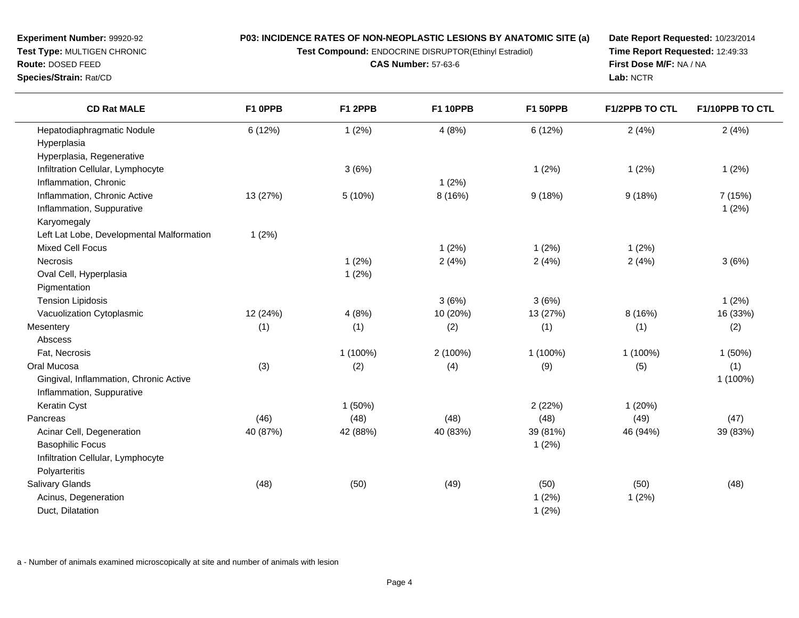INE DISRUPTOR(Ethinyl Estradiol)

**CAS Number:** 57-63-6

**Date Report Requested:** 10/23/2014**Time Report Requested:** 12:49:33**First Dose M/F:** NA / NA**Lab:** NCTR

| <b>Experiment Number: 99920-92</b> | <b>P03: INCIDENCE RATES OF NON-NEOR</b> |
|------------------------------------|-----------------------------------------|
| <b>Test Type: MULTIGEN CHRONIC</b> | <b>Test Compound: ENDOCRI</b>           |
| <b>Route: DOSED FEED</b>           | <b>CAS Nun</b>                          |
| <b>Species/Strain: Rat/CD</b>      |                                         |
|                                    |                                         |

| <b>CD Rat MALE</b>                        | F1 OPPB  | F1 2PPB   | <b>F1 10PPB</b> | <b>F1 50PPB</b> | <b>F1/2PPB TO CTL</b> | F1/10PPB TO CTL |
|-------------------------------------------|----------|-----------|-----------------|-----------------|-----------------------|-----------------|
| Hepatodiaphragmatic Nodule                | 6 (12%)  | 1(2%)     | 4(8%)           | 6(12%)          | 2(4%)                 | 2(4%)           |
| Hyperplasia                               |          |           |                 |                 |                       |                 |
| Hyperplasia, Regenerative                 |          |           |                 |                 |                       |                 |
| Infiltration Cellular, Lymphocyte         |          | 3(6%)     |                 | 1(2%)           | 1(2%)                 | 1(2%)           |
| Inflammation, Chronic                     |          |           | 1(2%)           |                 |                       |                 |
| Inflammation, Chronic Active              | 13 (27%) | 5 (10%)   | 8(16%)          | 9(18%)          | 9(18%)                | 7 (15%)         |
| Inflammation, Suppurative                 |          |           |                 |                 |                       | 1(2%)           |
| Karyomegaly                               |          |           |                 |                 |                       |                 |
| Left Lat Lobe, Developmental Malformation | 1(2%)    |           |                 |                 |                       |                 |
| <b>Mixed Cell Focus</b>                   |          |           | 1(2%)           | 1(2%)           | 1(2%)                 |                 |
| Necrosis                                  |          | 1(2%)     | 2(4%)           | 2(4%)           | 2(4%)                 | 3(6%)           |
| Oval Cell, Hyperplasia                    |          | 1(2%)     |                 |                 |                       |                 |
| Pigmentation                              |          |           |                 |                 |                       |                 |
| <b>Tension Lipidosis</b>                  |          |           | 3(6%)           | 3(6%)           |                       | 1(2%)           |
| Vacuolization Cytoplasmic                 | 12 (24%) | 4(8%)     | 10 (20%)        | 13 (27%)        | 8 (16%)               | 16 (33%)        |
| Mesentery                                 | (1)      | (1)       | (2)             | (1)             | (1)                   | (2)             |
| Abscess                                   |          |           |                 |                 |                       |                 |
| Fat, Necrosis                             |          | 1 (100%)  | 2 (100%)        | 1 (100%)        | 1 (100%)              | 1(50%)          |
| Oral Mucosa                               | (3)      | (2)       | (4)             | (9)             | (5)                   | (1)             |
| Gingival, Inflammation, Chronic Active    |          |           |                 |                 |                       | 1 (100%)        |
| Inflammation, Suppurative                 |          |           |                 |                 |                       |                 |
| Keratin Cyst                              |          | $1(50\%)$ |                 | 2(22%)          | 1(20%)                |                 |
| Pancreas                                  | (46)     | (48)      | (48)            | (48)            | (49)                  | (47)            |
| Acinar Cell, Degeneration                 | 40 (87%) | 42 (88%)  | 40 (83%)        | 39 (81%)        | 46 (94%)              | 39 (83%)        |
| <b>Basophilic Focus</b>                   |          |           |                 | 1(2%)           |                       |                 |
| Infiltration Cellular, Lymphocyte         |          |           |                 |                 |                       |                 |
| Polyarteritis                             |          |           |                 |                 |                       |                 |
| Salivary Glands                           | (48)     | (50)      | (49)            | (50)            | (50)                  | (48)            |
| Acinus, Degeneration                      |          |           |                 | 1(2%)           | 1(2%)                 |                 |
| Duct, Dilatation                          |          |           |                 | 1(2%)           |                       |                 |

a - Number of animals examined microscopically at site and number of animals with lesion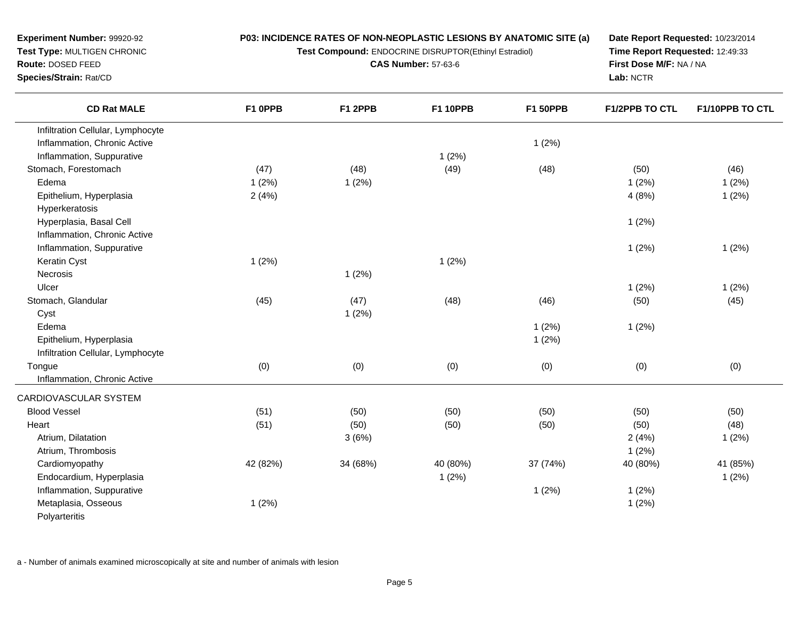**Test Compound:** ENDOCRINE DISRUPTOR(Ethinyl Estradiol)

**CAS Number:** 57-63-6

**Date Report Requested:** 10/23/2014**Time Report Requested:** 12:49:33**First Dose M/F:** NA / NA**Lab:** NCTR

| <b>CD Rat MALE</b>                | F1 OPPB  | F1 2PPB  | <b>F1 10PPB</b> | <b>F1 50PPB</b> | F1/2PPB TO CTL | F1/10PPB TO CTL |
|-----------------------------------|----------|----------|-----------------|-----------------|----------------|-----------------|
| Infiltration Cellular, Lymphocyte |          |          |                 |                 |                |                 |
| Inflammation, Chronic Active      |          |          |                 | 1(2%)           |                |                 |
| Inflammation, Suppurative         |          |          | 1(2%)           |                 |                |                 |
| Stomach, Forestomach              | (47)     | (48)     | (49)            | (48)            | (50)           | (46)            |
| Edema                             | 1(2%)    | 1(2%)    |                 |                 | 1(2%)          | 1(2%)           |
| Epithelium, Hyperplasia           | 2(4%)    |          |                 |                 | 4(8%)          | 1(2%)           |
| Hyperkeratosis                    |          |          |                 |                 |                |                 |
| Hyperplasia, Basal Cell           |          |          |                 |                 | 1(2%)          |                 |
| Inflammation, Chronic Active      |          |          |                 |                 |                |                 |
| Inflammation, Suppurative         |          |          |                 |                 | 1(2%)          | 1(2%)           |
| Keratin Cyst                      | 1(2%)    |          | 1(2%)           |                 |                |                 |
| Necrosis                          |          | 1(2%)    |                 |                 |                |                 |
| Ulcer                             |          |          |                 |                 | 1(2%)          | 1(2%)           |
| Stomach, Glandular                | (45)     | (47)     | (48)            | (46)            | (50)           | (45)            |
| Cyst                              |          | 1(2%)    |                 |                 |                |                 |
| Edema                             |          |          |                 | 1(2%)           | 1(2%)          |                 |
| Epithelium, Hyperplasia           |          |          |                 | 1(2%)           |                |                 |
| Infiltration Cellular, Lymphocyte |          |          |                 |                 |                |                 |
| Tongue                            | (0)      | (0)      | (0)             | (0)             | (0)            | (0)             |
| Inflammation, Chronic Active      |          |          |                 |                 |                |                 |
| CARDIOVASCULAR SYSTEM             |          |          |                 |                 |                |                 |
| <b>Blood Vessel</b>               | (51)     | (50)     | (50)            | (50)            | (50)           | (50)            |
| Heart                             | (51)     | (50)     | (50)            | (50)            | (50)           | (48)            |
| Atrium, Dilatation                |          | 3(6%)    |                 |                 | 2(4%)          | 1(2%)           |
| Atrium, Thrombosis                |          |          |                 |                 | 1(2%)          |                 |
| Cardiomyopathy                    | 42 (82%) | 34 (68%) | 40 (80%)        | 37 (74%)        | 40 (80%)       | 41 (85%)        |
| Endocardium, Hyperplasia          |          |          | 1(2%)           |                 |                | 1(2%)           |
| Inflammation, Suppurative         |          |          |                 | 1(2%)           | 1(2%)          |                 |
| Metaplasia, Osseous               | 1(2%)    |          |                 |                 | 1(2%)          |                 |
| Polyarteritis                     |          |          |                 |                 |                |                 |

a - Number of animals examined microscopically at site and number of animals with lesion

**Experiment Number:** 99920-92 **Test Type:** MULTIGEN CHRONIC**Route:** DOSED FEED

**Species/Strain:** Rat/CD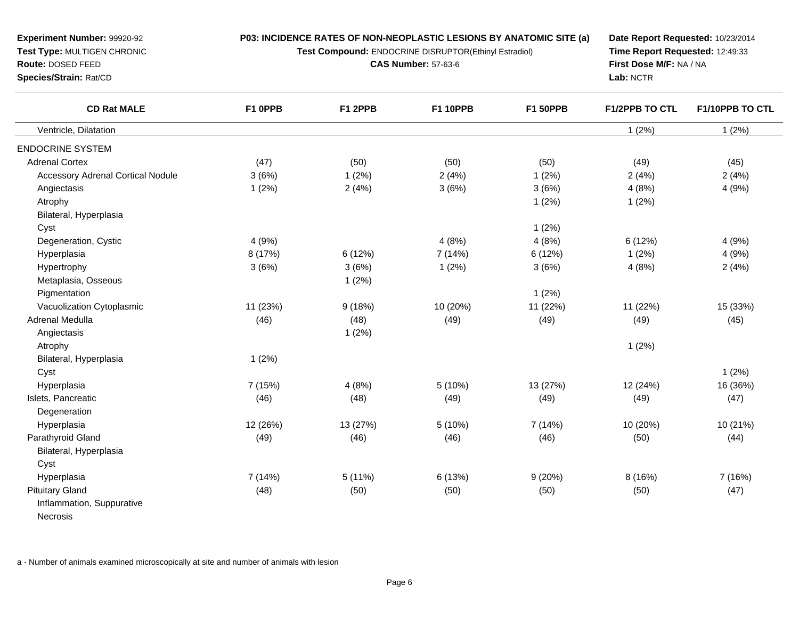**Test Compound:** ENDOCRINE DISRUPTOR(Ethinyl Estradiol)

**CAS Number:** 57-63-6

**Date Report Requested:** 10/23/2014**Time Report Requested:** 12:49:33**First Dose M/F:** NA / NA**Lab:** NCTR

| <b>CD Rat MALE</b>                       | F1 OPPB  | F1 2PPB  | <b>F1 10PPB</b> | <b>F1 50PPB</b> | <b>F1/2PPB TO CTL</b> | F1/10PPB TO CTL |
|------------------------------------------|----------|----------|-----------------|-----------------|-----------------------|-----------------|
| Ventricle, Dilatation                    |          |          |                 |                 | 1(2%)                 | 1(2%)           |
| <b>ENDOCRINE SYSTEM</b>                  |          |          |                 |                 |                       |                 |
| <b>Adrenal Cortex</b>                    | (47)     | (50)     | (50)            | (50)            | (49)                  | (45)            |
| <b>Accessory Adrenal Cortical Nodule</b> | 3(6%)    | 1(2%)    | 2(4%)           | 1(2%)           | 2(4%)                 | 2(4%)           |
| Angiectasis                              | 1(2%)    | 2(4%)    | 3(6%)           | 3(6%)           | 4(8%)                 | 4(9%)           |
| Atrophy                                  |          |          |                 | 1(2%)           | 1(2%)                 |                 |
| Bilateral, Hyperplasia                   |          |          |                 |                 |                       |                 |
| Cyst                                     |          |          |                 | 1(2%)           |                       |                 |
| Degeneration, Cystic                     | 4(9%)    |          | 4(8%)           | 4(8%)           | 6(12%)                | 4(9%)           |
| Hyperplasia                              | 8 (17%)  | 6(12%)   | 7(14%)          | 6 (12%)         | 1(2%)                 | 4(9%)           |
| Hypertrophy                              | 3(6%)    | 3(6%)    | 1(2%)           | 3(6%)           | 4(8%)                 | 2(4%)           |
| Metaplasia, Osseous                      |          | 1(2%)    |                 |                 |                       |                 |
| Pigmentation                             |          |          |                 | 1(2%)           |                       |                 |
| Vacuolization Cytoplasmic                | 11 (23%) | 9(18%)   | 10 (20%)        | 11 (22%)        | 11 (22%)              | 15 (33%)        |
| <b>Adrenal Medulla</b>                   | (46)     | (48)     | (49)            | (49)            | (49)                  | (45)            |
| Angiectasis                              |          | 1(2%)    |                 |                 |                       |                 |
| Atrophy                                  |          |          |                 |                 | 1(2%)                 |                 |
| Bilateral, Hyperplasia                   | 1(2%)    |          |                 |                 |                       |                 |
| Cyst                                     |          |          |                 |                 |                       | 1(2%)           |
| Hyperplasia                              | 7 (15%)  | 4(8%)    | 5(10%)          | 13 (27%)        | 12 (24%)              | 16 (36%)        |
| Islets, Pancreatic                       | (46)     | (48)     | (49)            | (49)            | (49)                  | (47)            |
| Degeneration                             |          |          |                 |                 |                       |                 |
| Hyperplasia                              | 12 (26%) | 13 (27%) | 5(10%)          | 7 (14%)         | 10 (20%)              | 10 (21%)        |
| Parathyroid Gland                        | (49)     | (46)     | (46)            | (46)            | (50)                  | (44)            |
| Bilateral, Hyperplasia                   |          |          |                 |                 |                       |                 |
| Cyst                                     |          |          |                 |                 |                       |                 |
| Hyperplasia                              | 7(14%)   | 5(11%)   | 6(13%)          | 9(20%)          | 8 (16%)               | 7 (16%)         |
| <b>Pituitary Gland</b>                   | (48)     | (50)     | (50)            | (50)            | (50)                  | (47)            |
| Inflammation, Suppurative                |          |          |                 |                 |                       |                 |
| Necrosis                                 |          |          |                 |                 |                       |                 |

a - Number of animals examined microscopically at site and number of animals with lesion

**Experiment Number:** 99920-92**Test Type:** MULTIGEN CHRONIC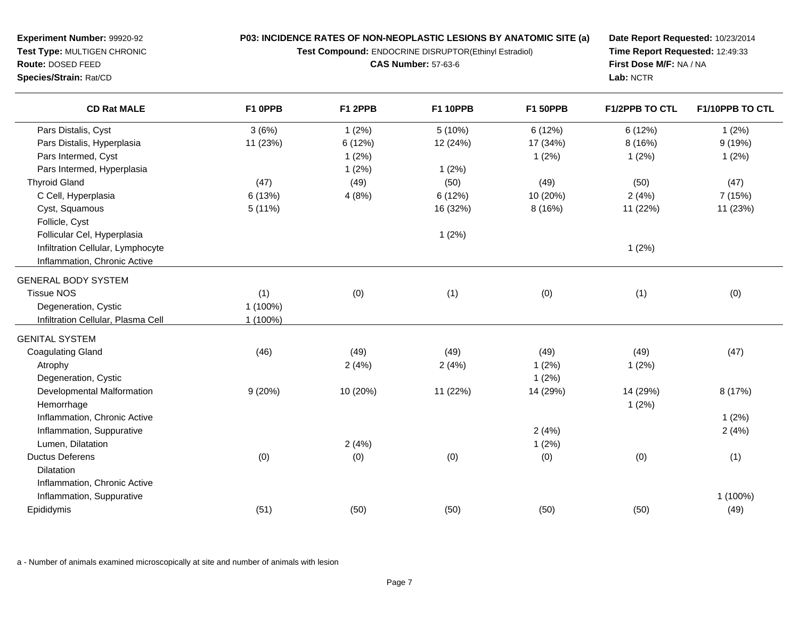**Experiment Number:** 99920-92 **Test Type:** MULTIGEN CHRONIC**Route:** DOSED FEED**Species/Strain:** Rat/CD

#### **P03: INCIDENCE RATES OF NON-NEOPLASTIC LESIONS BY ANATOMIC SITE (a)**

**Test Compound:** ENDOCRINE DISRUPTOR(Ethinyl Estradiol)

**CAS Number:** 57-63-6

**Date Report Requested:** 10/23/2014**Time Report Requested:** 12:49:33**First Dose M/F:** NA / NA**Lab:** NCTR

| <b>CD Rat MALE</b>                 | F1 OPPB  | F1 2PPB  | <b>F1 10PPB</b> | <b>F1 50PPB</b> | F1/2PPB TO CTL | F1/10PPB TO CTL |
|------------------------------------|----------|----------|-----------------|-----------------|----------------|-----------------|
| Pars Distalis, Cyst                | 3(6%)    | 1(2%)    | 5(10%)          | 6(12%)          | 6(12%)         | 1(2%)           |
| Pars Distalis, Hyperplasia         | 11 (23%) | 6 (12%)  | 12 (24%)        | 17 (34%)        | 8 (16%)        | 9(19%)          |
| Pars Intermed, Cyst                |          | 1(2%)    |                 | 1(2%)           | 1(2%)          | 1(2%)           |
| Pars Intermed, Hyperplasia         |          | 1(2%)    | 1(2%)           |                 |                |                 |
| <b>Thyroid Gland</b>               | (47)     | (49)     | (50)            | (49)            | (50)           | (47)            |
| C Cell, Hyperplasia                | 6(13%)   | 4(8%)    | 6 (12%)         | 10 (20%)        | 2(4%)          | 7 (15%)         |
| Cyst, Squamous                     | 5(11%)   |          | 16 (32%)        | 8 (16%)         | 11 (22%)       | 11 (23%)        |
| Follicle, Cyst                     |          |          |                 |                 |                |                 |
| Follicular Cel, Hyperplasia        |          |          | 1(2%)           |                 |                |                 |
| Infiltration Cellular, Lymphocyte  |          |          |                 |                 | 1(2%)          |                 |
| Inflammation, Chronic Active       |          |          |                 |                 |                |                 |
| <b>GENERAL BODY SYSTEM</b>         |          |          |                 |                 |                |                 |
| <b>Tissue NOS</b>                  | (1)      | (0)      | (1)             | (0)             | (1)            | (0)             |
| Degeneration, Cystic               | 1 (100%) |          |                 |                 |                |                 |
| Infiltration Cellular, Plasma Cell | 1 (100%) |          |                 |                 |                |                 |
| <b>GENITAL SYSTEM</b>              |          |          |                 |                 |                |                 |
| <b>Coagulating Gland</b>           | (46)     | (49)     | (49)            | (49)            | (49)           | (47)            |
| Atrophy                            |          | 2(4%)    | 2(4%)           | 1(2%)           | 1(2%)          |                 |
| Degeneration, Cystic               |          |          |                 | 1(2%)           |                |                 |
| Developmental Malformation         | 9(20%)   | 10 (20%) | 11 (22%)        | 14 (29%)        | 14 (29%)       | 8 (17%)         |
| Hemorrhage                         |          |          |                 |                 | 1(2%)          |                 |
| Inflammation, Chronic Active       |          |          |                 |                 |                | 1(2%)           |
| Inflammation, Suppurative          |          |          |                 | 2(4%)           |                | 2(4%)           |
| Lumen, Dilatation                  |          | 2(4%)    |                 | 1(2%)           |                |                 |
| <b>Ductus Deferens</b>             | (0)      | (0)      | (0)             | (0)             | (0)            | (1)             |
| <b>Dilatation</b>                  |          |          |                 |                 |                |                 |
| Inflammation, Chronic Active       |          |          |                 |                 |                |                 |
| Inflammation, Suppurative          |          |          |                 |                 |                | 1 (100%)        |
| Epididymis                         | (51)     | (50)     | (50)            | (50)            | (50)           | (49)            |

a - Number of animals examined microscopically at site and number of animals with lesion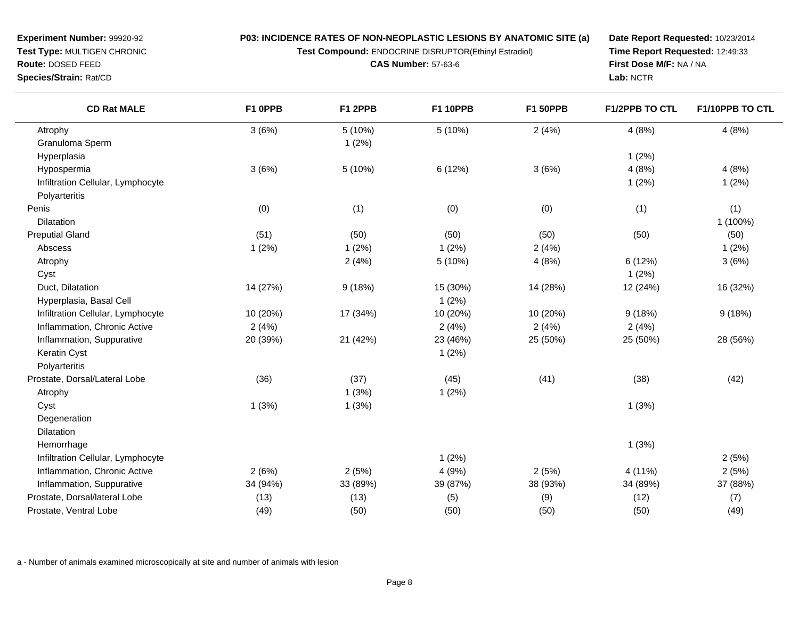**Test Compound:** ENDOCRINE DISRUPTOR(Ethinyl Estradiol)

**CAS Number:** 57-63-6

**Date Report Requested:** 10/23/2014**Time Report Requested:** 12:49:33**First Dose M/F:** NA / NA**Lab:** NCTR

| <b>CD Rat MALE</b>                | F1 OPPB  | F1 2PPB  | <b>F1 10PPB</b> | <b>F1 50PPB</b> | F1/2PPB TO CTL | F1/10PPB TO CTL |
|-----------------------------------|----------|----------|-----------------|-----------------|----------------|-----------------|
| Atrophy                           | 3(6%)    | 5(10%)   | 5(10%)          | 2(4%)           | 4(8%)          | 4(8%)           |
| Granuloma Sperm                   |          | 1(2%)    |                 |                 |                |                 |
| Hyperplasia                       |          |          |                 |                 | 1(2%)          |                 |
| Hypospermia                       | 3(6%)    | 5(10%)   | 6(12%)          | 3(6%)           | 4(8%)          | 4(8%)           |
| Infiltration Cellular, Lymphocyte |          |          |                 |                 | 1(2%)          | 1(2%)           |
| Polyarteritis                     |          |          |                 |                 |                |                 |
| Penis                             | (0)      | (1)      | (0)             | (0)             | (1)            | (1)             |
| Dilatation                        |          |          |                 |                 |                | 1 (100%)        |
| <b>Preputial Gland</b>            | (51)     | (50)     | (50)            | (50)            | (50)           | (50)            |
| Abscess                           | 1(2%)    | 1(2%)    | 1(2%)           | 2(4%)           |                | 1(2%)           |
| Atrophy                           |          | 2(4%)    | 5 (10%)         | 4(8%)           | 6 (12%)        | 3(6%)           |
| Cyst                              |          |          |                 |                 | 1(2%)          |                 |
| Duct, Dilatation                  | 14 (27%) | 9(18%)   | 15 (30%)        | 14 (28%)        | 12 (24%)       | 16 (32%)        |
| Hyperplasia, Basal Cell           |          |          | 1(2%)           |                 |                |                 |
| Infiltration Cellular, Lymphocyte | 10 (20%) | 17 (34%) | 10 (20%)        | 10 (20%)        | 9(18%)         | 9(18%)          |
| Inflammation, Chronic Active      | 2(4%)    |          | 2(4%)           | 2(4%)           | 2(4%)          |                 |
| Inflammation, Suppurative         | 20 (39%) | 21 (42%) | 23 (46%)        | 25 (50%)        | 25 (50%)       | 28 (56%)        |
| Keratin Cyst                      |          |          | 1(2%)           |                 |                |                 |
| Polyarteritis                     |          |          |                 |                 |                |                 |
| Prostate, Dorsal/Lateral Lobe     | (36)     | (37)     | (45)            | (41)            | (38)           | (42)            |
| Atrophy                           |          | 1(3%)    | 1(2%)           |                 |                |                 |
| Cyst                              | 1(3%)    | 1(3%)    |                 |                 | 1(3%)          |                 |
| Degeneration                      |          |          |                 |                 |                |                 |
| Dilatation                        |          |          |                 |                 |                |                 |
| Hemorrhage                        |          |          |                 |                 | 1(3%)          |                 |
| Infiltration Cellular, Lymphocyte |          |          | 1(2%)           |                 |                | 2(5%)           |
| Inflammation, Chronic Active      | 2(6%)    | 2(5%)    | 4(9%)           | 2(5%)           | 4 (11%)        | 2(5%)           |
| Inflammation, Suppurative         | 34 (94%) | 33 (89%) | 39 (87%)        | 38 (93%)        | 34 (89%)       | 37 (88%)        |
| Prostate, Dorsal/lateral Lobe     | (13)     | (13)     | (5)             | (9)             | (12)           | (7)             |
| Prostate, Ventral Lobe            | (49)     | (50)     | (50)            | (50)            | (50)           | (49)            |

a - Number of animals examined microscopically at site and number of animals with lesion

**Experiment Number:** 99920-92 **Test Type:** MULTIGEN CHRONIC**Route:** DOSED FEED

**Species/Strain:** Rat/CD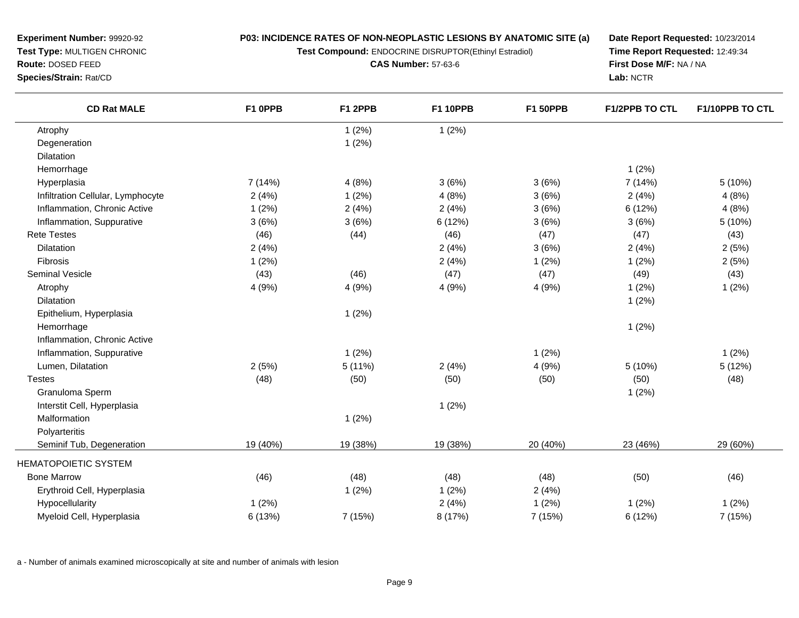**Test Compound:** ENDOCRINE DISRUPTOR(Ethinyl Estradiol)

**CAS Number:** 57-63-6

**Date Report Requested:** 10/23/2014**Time Report Requested:** 12:49:34**First Dose M/F:** NA / NA**Lab:** NCTR

| <b>CD Rat MALE</b>                | F1 OPPB  | F1 2PPB  | <b>F1 10PPB</b> | <b>F1 50PPB</b> | <b>F1/2PPB TO CTL</b> | F1/10PPB TO CTL |
|-----------------------------------|----------|----------|-----------------|-----------------|-----------------------|-----------------|
| Atrophy                           |          | 1(2%)    | 1(2%)           |                 |                       |                 |
| Degeneration                      |          | 1(2%)    |                 |                 |                       |                 |
| Dilatation                        |          |          |                 |                 |                       |                 |
| Hemorrhage                        |          |          |                 |                 | 1(2%)                 |                 |
| Hyperplasia                       | 7 (14%)  | 4(8%)    | 3(6%)           | 3(6%)           | 7 (14%)               | 5(10%)          |
| Infiltration Cellular, Lymphocyte | 2(4%)    | 1(2%)    | 4(8%)           | 3(6%)           | 2(4%)                 | 4(8%)           |
| Inflammation, Chronic Active      | 1(2%)    | 2(4%)    | 2(4%)           | 3(6%)           | 6 (12%)               | 4(8%)           |
| Inflammation, Suppurative         | 3(6%)    | 3(6%)    | 6(12%)          | 3(6%)           | 3(6%)                 | 5 (10%)         |
| <b>Rete Testes</b>                | (46)     | (44)     | (46)            | (47)            | (47)                  | (43)            |
| <b>Dilatation</b>                 | 2(4%)    |          | 2(4%)           | 3(6%)           | 2(4%)                 | 2(5%)           |
| Fibrosis                          | 1(2%)    |          | 2(4%)           | 1(2%)           | 1(2%)                 | 2(5%)           |
| <b>Seminal Vesicle</b>            | (43)     | (46)     | (47)            | (47)            | (49)                  | (43)            |
| Atrophy                           | 4 (9%)   | 4 (9%)   | 4 (9%)          | 4(9%)           | 1(2%)                 | 1(2%)           |
| Dilatation                        |          |          |                 |                 | 1(2%)                 |                 |
| Epithelium, Hyperplasia           |          | 1(2%)    |                 |                 |                       |                 |
| Hemorrhage                        |          |          |                 |                 | 1(2%)                 |                 |
| Inflammation, Chronic Active      |          |          |                 |                 |                       |                 |
| Inflammation, Suppurative         |          | 1(2%)    |                 | 1(2%)           |                       | 1(2%)           |
| Lumen, Dilatation                 | 2(5%)    | 5(11%)   | 2(4%)           | 4 (9%)          | 5 (10%)               | 5 (12%)         |
| <b>Testes</b>                     | (48)     | (50)     | (50)            | (50)            | (50)                  | (48)            |
| Granuloma Sperm                   |          |          |                 |                 | 1(2%)                 |                 |
| Interstit Cell, Hyperplasia       |          |          | 1(2%)           |                 |                       |                 |
| Malformation                      |          | 1(2%)    |                 |                 |                       |                 |
| Polyarteritis                     |          |          |                 |                 |                       |                 |
| Seminif Tub, Degeneration         | 19 (40%) | 19 (38%) | 19 (38%)        | 20 (40%)        | 23 (46%)              | 29 (60%)        |
| <b>HEMATOPOIETIC SYSTEM</b>       |          |          |                 |                 |                       |                 |
| <b>Bone Marrow</b>                | (46)     | (48)     | (48)            | (48)            | (50)                  | (46)            |
| Erythroid Cell, Hyperplasia       |          | 1(2%)    | 1(2%)           | 2(4%)           |                       |                 |
| Hypocellularity                   | 1(2%)    |          | 2(4%)           | 1(2%)           | 1(2%)                 | 1(2%)           |
| Myeloid Cell, Hyperplasia         | 6 (13%)  | 7 (15%)  | 8 (17%)         | 7 (15%)         | 6 (12%)               | 7 (15%)         |

a - Number of animals examined microscopically at site and number of animals with lesion

**Experiment Number:** 99920-92**Test Type:** MULTIGEN CHRONIC

**Route:** DOSED FEED

**Species/Strain:** Rat/CD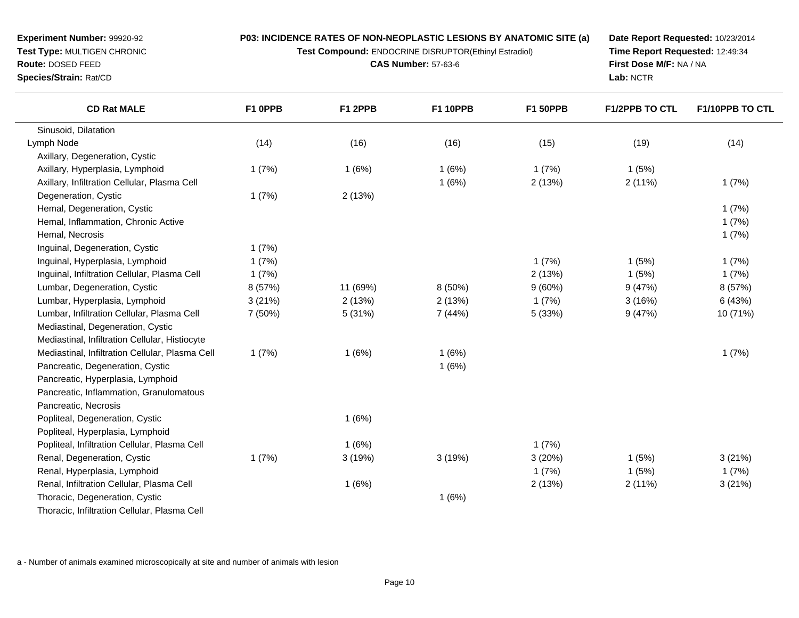**Test Compound:** ENDOCRINE DISRUPTOR(Ethinyl Estradiol)

**CAS Number:** 57-63-6

**Date Report Requested:** 10/23/2014**Time Report Requested:** 12:49:34**First Dose M/F:** NA / NA**Lab:** NCTR

| <b>CD Rat MALE</b>                              | F1 OPPB | F1 2PPB  | <b>F1 10PPB</b> | <b>F1 50PPB</b> | <b>F1/2PPB TO CTL</b> | F1/10PPB TO CTL |
|-------------------------------------------------|---------|----------|-----------------|-----------------|-----------------------|-----------------|
| Sinusoid, Dilatation                            |         |          |                 |                 |                       |                 |
| Lymph Node                                      | (14)    | (16)     | (16)            | (15)            | (19)                  | (14)            |
| Axillary, Degeneration, Cystic                  |         |          |                 |                 |                       |                 |
| Axillary, Hyperplasia, Lymphoid                 | 1(7%)   | 1(6%)    | 1(6%)           | 1(7%)           | 1(5%)                 |                 |
| Axillary, Infiltration Cellular, Plasma Cell    |         |          | 1(6%)           | 2(13%)          | 2(11%)                | 1(7%)           |
| Degeneration, Cystic                            | 1(7%)   | 2(13%)   |                 |                 |                       |                 |
| Hemal, Degeneration, Cystic                     |         |          |                 |                 |                       | 1(7%)           |
| Hemal, Inflammation, Chronic Active             |         |          |                 |                 |                       | 1(7%)           |
| Hemal, Necrosis                                 |         |          |                 |                 |                       | 1(7%)           |
| Inguinal, Degeneration, Cystic                  | 1(7%)   |          |                 |                 |                       |                 |
| Inguinal, Hyperplasia, Lymphoid                 | 1(7%)   |          |                 | 1(7%)           | 1(5%)                 | 1(7%)           |
| Inguinal, Infiltration Cellular, Plasma Cell    | 1(7%)   |          |                 | 2(13%)          | 1(5%)                 | 1(7%)           |
| Lumbar, Degeneration, Cystic                    | 8 (57%) | 11 (69%) | 8 (50%)         | 9(60%)          | 9(47%)                | 8 (57%)         |
| Lumbar, Hyperplasia, Lymphoid                   | 3(21%)  | 2(13%)   | 2(13%)          | 1(7%)           | 3(16%)                | 6(43%)          |
| Lumbar, Infiltration Cellular, Plasma Cell      | 7 (50%) | 5(31%)   | 7 (44%)         | 5(33%)          | 9(47%)                | 10 (71%)        |
| Mediastinal, Degeneration, Cystic               |         |          |                 |                 |                       |                 |
| Mediastinal, Infiltration Cellular, Histiocyte  |         |          |                 |                 |                       |                 |
| Mediastinal, Infiltration Cellular, Plasma Cell | 1(7%)   | 1(6%)    | 1(6%)           |                 |                       | 1(7%)           |
| Pancreatic, Degeneration, Cystic                |         |          | 1(6%)           |                 |                       |                 |
| Pancreatic, Hyperplasia, Lymphoid               |         |          |                 |                 |                       |                 |
| Pancreatic, Inflammation, Granulomatous         |         |          |                 |                 |                       |                 |
| Pancreatic, Necrosis                            |         |          |                 |                 |                       |                 |
| Popliteal, Degeneration, Cystic                 |         | 1(6%)    |                 |                 |                       |                 |
| Popliteal, Hyperplasia, Lymphoid                |         |          |                 |                 |                       |                 |
| Popliteal, Infiltration Cellular, Plasma Cell   |         | 1(6%)    |                 | 1(7%)           |                       |                 |
| Renal, Degeneration, Cystic                     | 1(7%)   | 3(19%)   | 3(19%)          | 3(20%)          | 1(5%)                 | 3(21%)          |
| Renal, Hyperplasia, Lymphoid                    |         |          |                 | 1(7%)           | 1(5%)                 | 1(7%)           |
| Renal, Infiltration Cellular, Plasma Cell       |         | 1(6%)    |                 | 2(13%)          | 2(11%)                | 3(21%)          |
| Thoracic, Degeneration, Cystic                  |         |          | 1(6%)           |                 |                       |                 |
| Thoracic, Infiltration Cellular, Plasma Cell    |         |          |                 |                 |                       |                 |

a - Number of animals examined microscopically at site and number of animals with lesion

**Experiment Number:** 99920-92**Test Type:** MULTIGEN CHRONIC

**Route:** DOSED FEED**Species/Strain:** Rat/CD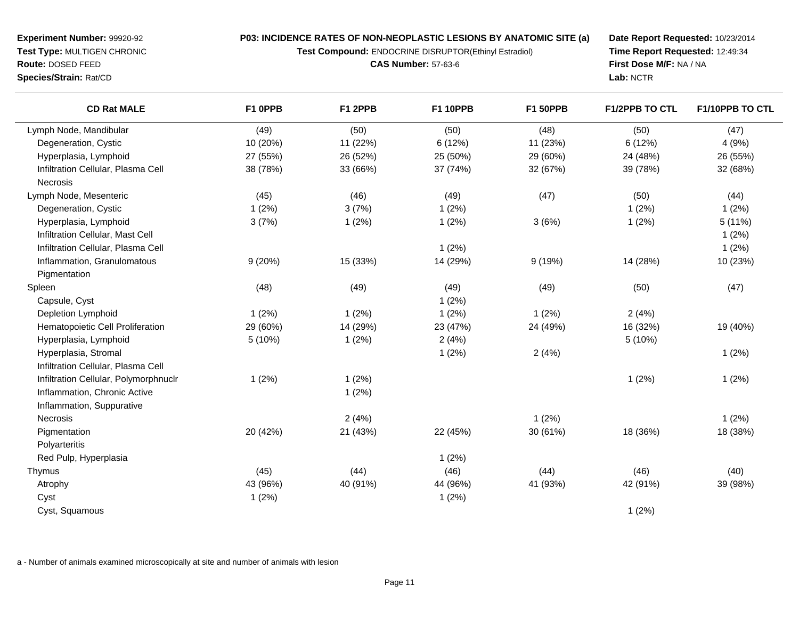**Test Compound:** ENDOCRINE DISRUPTOR(Ethinyl Estradiol)

**CAS Number:** 57-63-6

**Date Report Requested:** 10/23/2014**Time Report Requested:** 12:49:34**First Dose M/F:** NA / NA**Lab:** NCTR

| <b>CD Rat MALE</b>                    | F1 0PPB  | F1 2PPB  | <b>F1 10PPB</b> | <b>F1 50PPB</b> | <b>F1/2PPB TO CTL</b> | <b>F1/10PPB TO CTL</b> |
|---------------------------------------|----------|----------|-----------------|-----------------|-----------------------|------------------------|
| Lymph Node, Mandibular                | (49)     | (50)     | (50)            | (48)            | (50)                  | (47)                   |
| Degeneration, Cystic                  | 10 (20%) | 11 (22%) | 6(12%)          | 11 (23%)        | 6(12%)                | 4(9%)                  |
| Hyperplasia, Lymphoid                 | 27 (55%) | 26 (52%) | 25 (50%)        | 29 (60%)        | 24 (48%)              | 26 (55%)               |
| Infiltration Cellular, Plasma Cell    | 38 (78%) | 33 (66%) | 37 (74%)        | 32 (67%)        | 39 (78%)              | 32 (68%)               |
| Necrosis                              |          |          |                 |                 |                       |                        |
| Lymph Node, Mesenteric                | (45)     | (46)     | (49)            | (47)            | (50)                  | (44)                   |
| Degeneration, Cystic                  | 1(2%)    | 3(7%)    | 1(2%)           |                 | 1(2%)                 | 1(2%)                  |
| Hyperplasia, Lymphoid                 | 3(7%)    | 1(2%)    | 1(2%)           | 3(6%)           | 1(2%)                 | 5(11%)                 |
| Infiltration Cellular, Mast Cell      |          |          |                 |                 |                       | 1(2%)                  |
| Infiltration Cellular, Plasma Cell    |          |          | 1(2%)           |                 |                       | 1(2%)                  |
| Inflammation, Granulomatous           | 9(20%)   | 15 (33%) | 14 (29%)        | 9(19%)          | 14 (28%)              | 10 (23%)               |
| Pigmentation                          |          |          |                 |                 |                       |                        |
| Spleen                                | (48)     | (49)     | (49)            | (49)            | (50)                  | (47)                   |
| Capsule, Cyst                         |          |          | 1(2%)           |                 |                       |                        |
| Depletion Lymphoid                    | 1(2%)    | 1(2%)    | 1(2%)           | 1(2%)           | 2(4%)                 |                        |
| Hematopoietic Cell Proliferation      | 29 (60%) | 14 (29%) | 23 (47%)        | 24 (49%)        | 16 (32%)              | 19 (40%)               |
| Hyperplasia, Lymphoid                 | 5 (10%)  | 1(2%)    | 2(4%)           |                 | 5(10%)                |                        |
| Hyperplasia, Stromal                  |          |          | 1(2%)           | 2(4%)           |                       | 1(2%)                  |
| Infiltration Cellular, Plasma Cell    |          |          |                 |                 |                       |                        |
| Infiltration Cellular, Polymorphnuclr | 1(2%)    | 1(2%)    |                 |                 | 1(2%)                 | 1(2%)                  |
| Inflammation, Chronic Active          |          | 1(2%)    |                 |                 |                       |                        |
| Inflammation, Suppurative             |          |          |                 |                 |                       |                        |
| Necrosis                              |          | 2(4%)    |                 | 1(2%)           |                       | 1(2%)                  |
| Pigmentation                          | 20 (42%) | 21 (43%) | 22 (45%)        | 30 (61%)        | 18 (36%)              | 18 (38%)               |
| Polyarteritis                         |          |          |                 |                 |                       |                        |
| Red Pulp, Hyperplasia                 |          |          | 1(2%)           |                 |                       |                        |
| Thymus                                | (45)     | (44)     | (46)            | (44)            | (46)                  | (40)                   |
| Atrophy                               | 43 (96%) | 40 (91%) | 44 (96%)        | 41 (93%)        | 42 (91%)              | 39 (98%)               |
| Cyst                                  | 1(2%)    |          | 1(2%)           |                 |                       |                        |
| Cyst, Squamous                        |          |          |                 |                 | 1(2%)                 |                        |
|                                       |          |          |                 |                 |                       |                        |

a - Number of animals examined microscopically at site and number of animals with lesion

**Experiment Number:** 99920-92**Test Type:** MULTIGEN CHRONIC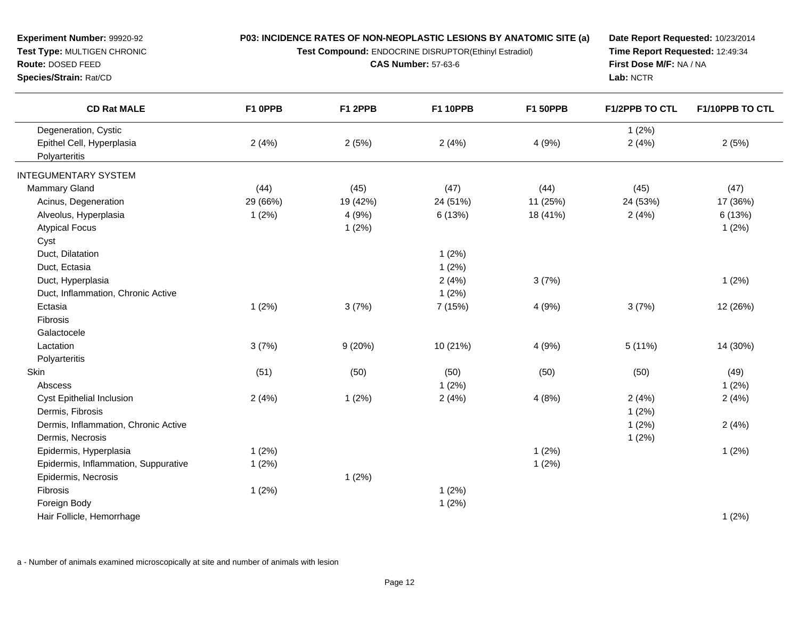**Test Compound:** ENDOCRINE DISRUPTOR(Ethinyl Estradiol)

**CAS Number:** 57-63-6

**Date Report Requested:** 10/23/2014**Time Report Requested:** 12:49:34**First Dose M/F:** NA / NA**Lab:** NCTR

| <b>CD Rat MALE</b>                   | F1 OPPB  | F1 2PPB  | <b>F1 10PPB</b> | <b>F1 50PPB</b> | <b>F1/2PPB TO CTL</b> | F1/10PPB TO CTL |
|--------------------------------------|----------|----------|-----------------|-----------------|-----------------------|-----------------|
| Degeneration, Cystic                 |          |          |                 |                 | 1(2%)                 |                 |
| Epithel Cell, Hyperplasia            | 2(4%)    | 2(5%)    | 2(4%)           | 4(9%)           | 2(4%)                 | 2(5%)           |
| Polyarteritis                        |          |          |                 |                 |                       |                 |
| <b>INTEGUMENTARY SYSTEM</b>          |          |          |                 |                 |                       |                 |
| Mammary Gland                        | (44)     | (45)     | (47)            | (44)            | (45)                  | (47)            |
| Acinus, Degeneration                 | 29 (66%) | 19 (42%) | 24 (51%)        | 11 (25%)        | 24 (53%)              | 17 (36%)        |
| Alveolus, Hyperplasia                | 1(2%)    | 4(9%)    | 6(13%)          | 18 (41%)        | 2(4%)                 | 6 (13%)         |
| <b>Atypical Focus</b>                |          | 1(2%)    |                 |                 |                       | 1(2%)           |
| Cyst                                 |          |          |                 |                 |                       |                 |
| Duct, Dilatation                     |          |          | 1(2%)           |                 |                       |                 |
| Duct, Ectasia                        |          |          | 1(2%)           |                 |                       |                 |
| Duct, Hyperplasia                    |          |          | 2(4%)           | 3(7%)           |                       | 1(2%)           |
| Duct, Inflammation, Chronic Active   |          |          | 1(2%)           |                 |                       |                 |
| Ectasia                              | 1(2%)    | 3(7%)    | 7 (15%)         | 4 (9%)          | 3(7%)                 | 12 (26%)        |
| Fibrosis                             |          |          |                 |                 |                       |                 |
| Galactocele                          |          |          |                 |                 |                       |                 |
| Lactation                            | 3(7%)    | 9(20%)   | 10 (21%)        | 4 (9%)          | 5(11%)                | 14 (30%)        |
| Polyarteritis                        |          |          |                 |                 |                       |                 |
| Skin                                 | (51)     | (50)     | (50)            | (50)            | (50)                  | (49)            |
| Abscess                              |          |          | 1(2%)           |                 |                       | 1(2%)           |
| <b>Cyst Epithelial Inclusion</b>     | 2(4%)    | 1(2%)    | 2(4%)           | 4(8%)           | 2(4%)                 | 2(4%)           |
| Dermis, Fibrosis                     |          |          |                 |                 | 1(2%)                 |                 |
| Dermis, Inflammation, Chronic Active |          |          |                 |                 | 1(2%)                 | 2(4%)           |
| Dermis, Necrosis                     |          |          |                 |                 | 1(2%)                 |                 |
| Epidermis, Hyperplasia               | 1(2%)    |          |                 | 1(2%)           |                       | 1(2%)           |
| Epidermis, Inflammation, Suppurative | 1(2%)    |          |                 | 1(2%)           |                       |                 |
| Epidermis, Necrosis                  |          | 1(2%)    |                 |                 |                       |                 |
| Fibrosis                             | 1(2%)    |          | 1(2%)           |                 |                       |                 |
| Foreign Body                         |          |          | 1(2%)           |                 |                       |                 |
| Hair Follicle, Hemorrhage            |          |          |                 |                 |                       | 1(2%)           |

a - Number of animals examined microscopically at site and number of animals with lesion

**Experiment Number:** 99920-92**Test Type:** MULTIGEN CHRONIC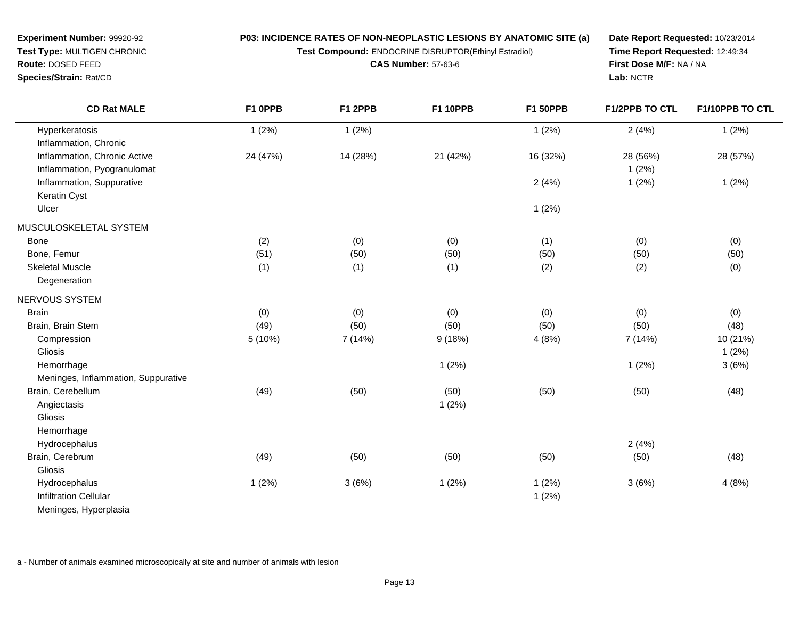**Test Compound:** ENDOCRINE DISRUPTOR(Ethinyl Estradiol)

**CAS Number:** 57-63-6

**Date Report Requested:** 10/23/2014**Time Report Requested:** 12:49:34**First Dose M/F:** NA / NA**Lab:** NCTR

| <b>CD Rat MALE</b>                  | F1 OPPB  | F1 2PPB  | <b>F1 10PPB</b> | <b>F1 50PPB</b> | F1/2PPB TO CTL | F1/10PPB TO CTL |
|-------------------------------------|----------|----------|-----------------|-----------------|----------------|-----------------|
| Hyperkeratosis                      | 1(2%)    | 1(2%)    |                 | 1(2%)           | 2(4%)          | 1(2%)           |
| Inflammation, Chronic               |          |          |                 |                 |                |                 |
| Inflammation, Chronic Active        | 24 (47%) | 14 (28%) | 21 (42%)        | 16 (32%)        | 28 (56%)       | 28 (57%)        |
| Inflammation, Pyogranulomat         |          |          |                 |                 | 1(2%)          |                 |
| Inflammation, Suppurative           |          |          |                 | 2(4%)           | 1(2%)          | 1(2%)           |
| Keratin Cyst                        |          |          |                 |                 |                |                 |
| Ulcer                               |          |          |                 | 1(2%)           |                |                 |
| MUSCULOSKELETAL SYSTEM              |          |          |                 |                 |                |                 |
| <b>Bone</b>                         | (2)      | (0)      | (0)             | (1)             | (0)            | (0)             |
| Bone, Femur                         | (51)     | (50)     | (50)            | (50)            | (50)           | (50)            |
| <b>Skeletal Muscle</b>              | (1)      | (1)      | (1)             | (2)             | (2)            | (0)             |
| Degeneration                        |          |          |                 |                 |                |                 |
| <b>NERVOUS SYSTEM</b>               |          |          |                 |                 |                |                 |
| <b>Brain</b>                        | (0)      | (0)      | (0)             | (0)             | (0)            | (0)             |
| Brain, Brain Stem                   | (49)     | (50)     | (50)            | (50)            | (50)           | (48)            |
| Compression                         | 5(10%)   | 7(14%)   | 9(18%)          | 4(8%)           | 7 (14%)        | 10 (21%)        |
| Gliosis                             |          |          |                 |                 |                | 1(2%)           |
| Hemorrhage                          |          |          | 1(2%)           |                 | 1(2%)          | 3(6%)           |
| Meninges, Inflammation, Suppurative |          |          |                 |                 |                |                 |
| Brain, Cerebellum                   | (49)     | (50)     | (50)            | (50)            | (50)           | (48)            |
| Angiectasis                         |          |          | 1(2%)           |                 |                |                 |
| Gliosis                             |          |          |                 |                 |                |                 |
| Hemorrhage                          |          |          |                 |                 |                |                 |
| Hydrocephalus                       |          |          |                 |                 | 2(4%)          |                 |
| Brain, Cerebrum                     | (49)     | (50)     | (50)            | (50)            | (50)           | (48)            |
| Gliosis                             |          |          |                 |                 |                |                 |
| Hydrocephalus                       | 1(2%)    | 3(6%)    | 1(2%)           | 1(2%)           | 3(6%)          | 4(8%)           |
| <b>Infiltration Cellular</b>        |          |          |                 | 1(2%)           |                |                 |
| Meninges, Hyperplasia               |          |          |                 |                 |                |                 |

a - Number of animals examined microscopically at site and number of animals with lesion

**Experiment Number:** 99920-92**Test Type:** MULTIGEN CHRONIC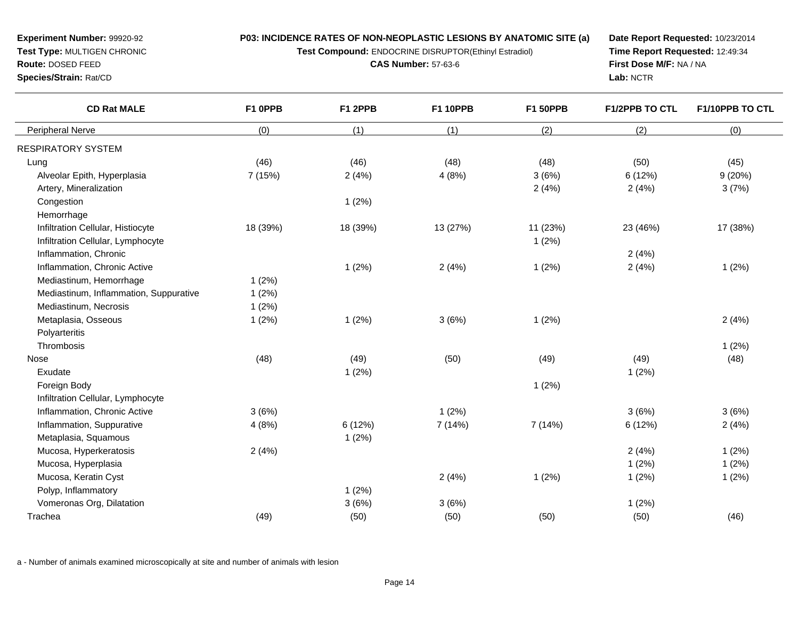**Test Compound:** ENDOCRINE DISRUPTOR(Ethinyl Estradiol)

**CAS Number:** 57-63-6

**Date Report Requested:** 10/23/2014**Time Report Requested:** 12:49:34**First Dose M/F:** NA / NA**Lab:** NCTR

| <b>CD Rat MALE</b>                     | F1 OPPB  | F1 2PPB  | <b>F1 10PPB</b> | <b>F1 50PPB</b> | <b>F1/2PPB TO CTL</b> | F1/10PPB TO CTL |
|----------------------------------------|----------|----------|-----------------|-----------------|-----------------------|-----------------|
| Peripheral Nerve                       | (0)      | (1)      | (1)             | (2)             | (2)                   | (0)             |
| RESPIRATORY SYSTEM                     |          |          |                 |                 |                       |                 |
| Lung                                   | (46)     | (46)     | (48)            | (48)            | (50)                  | (45)            |
| Alveolar Epith, Hyperplasia            | 7 (15%)  | 2(4%)    | 4(8%)           | 3(6%)           | 6 (12%)               | 9(20%)          |
| Artery, Mineralization                 |          |          |                 | 2(4%)           | 2(4%)                 | 3(7%)           |
| Congestion                             |          | 1(2%)    |                 |                 |                       |                 |
| Hemorrhage                             |          |          |                 |                 |                       |                 |
| Infiltration Cellular, Histiocyte      | 18 (39%) | 18 (39%) | 13 (27%)        | 11 (23%)        | 23 (46%)              | 17 (38%)        |
| Infiltration Cellular, Lymphocyte      |          |          |                 | 1(2%)           |                       |                 |
| Inflammation, Chronic                  |          |          |                 |                 | 2(4%)                 |                 |
| Inflammation, Chronic Active           |          | 1(2%)    | 2(4%)           | 1(2%)           | 2(4%)                 | 1(2%)           |
| Mediastinum, Hemorrhage                | 1(2%)    |          |                 |                 |                       |                 |
| Mediastinum, Inflammation, Suppurative | 1(2%)    |          |                 |                 |                       |                 |
| Mediastinum, Necrosis                  | 1(2%)    |          |                 |                 |                       |                 |
| Metaplasia, Osseous                    | 1(2%)    | 1(2%)    | 3(6%)           | 1(2%)           |                       | 2(4%)           |
| Polyarteritis                          |          |          |                 |                 |                       |                 |
| Thrombosis                             |          |          |                 |                 |                       | 1(2%)           |
| <b>Nose</b>                            | (48)     | (49)     | (50)            | (49)            | (49)                  | (48)            |
| Exudate                                |          | 1(2%)    |                 |                 | 1(2%)                 |                 |
| Foreign Body                           |          |          |                 | 1(2%)           |                       |                 |
| Infiltration Cellular, Lymphocyte      |          |          |                 |                 |                       |                 |
| Inflammation, Chronic Active           | 3(6%)    |          | 1(2%)           |                 | 3(6%)                 | 3(6%)           |
| Inflammation, Suppurative              | 4(8%)    | 6(12%)   | 7(14%)          | 7(14%)          | 6 (12%)               | 2(4%)           |
| Metaplasia, Squamous                   |          | 1(2%)    |                 |                 |                       |                 |
| Mucosa, Hyperkeratosis                 | 2(4%)    |          |                 |                 | 2(4%)                 | 1(2%)           |
| Mucosa, Hyperplasia                    |          |          |                 |                 | 1(2%)                 | 1(2%)           |
| Mucosa, Keratin Cyst                   |          |          | 2(4%)           | 1(2%)           | 1(2%)                 | 1(2%)           |
| Polyp, Inflammatory                    |          | 1(2%)    |                 |                 |                       |                 |
| Vomeronas Org, Dilatation              |          | 3(6%)    | 3(6%)           |                 | 1(2%)                 |                 |
| Trachea                                | (49)     | (50)     | (50)            | (50)            | (50)                  | (46)            |

a - Number of animals examined microscopically at site and number of animals with lesion

**Route:** DOSED FEED

**Species/Strain:** Rat/CD

# **Experiment Number:** 99920-92**Test Type:** MULTIGEN CHRONIC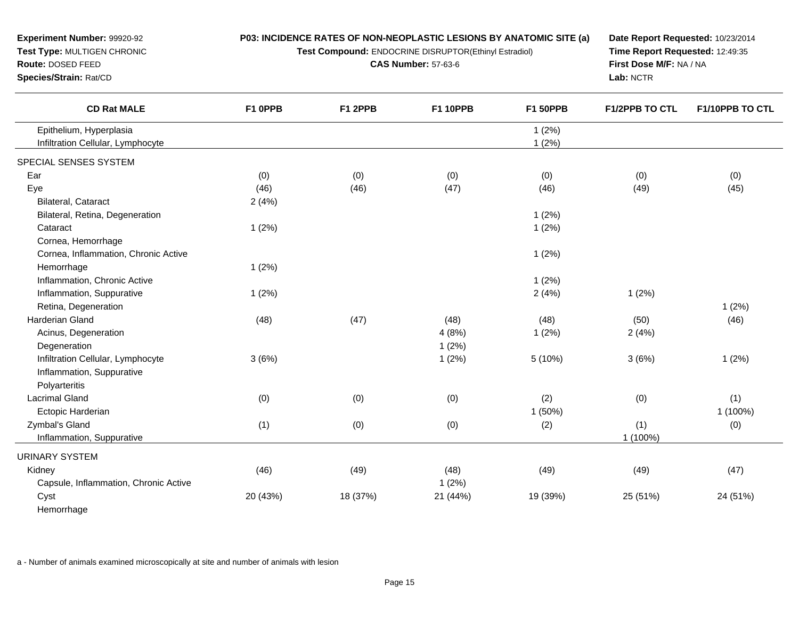| Test Type: MULTIGEN CHRONIC                                  |          |          | Test Compound: ENDOCRINE DISRUPTOR(Ethinyl Estradiol) | Time Report Requested: 12:49:35 |                |                 |
|--------------------------------------------------------------|----------|----------|-------------------------------------------------------|---------------------------------|----------------|-----------------|
| Route: DOSED FEED                                            |          |          | <b>CAS Number: 57-63-6</b>                            | First Dose M/F: NA / NA         |                |                 |
| Species/Strain: Rat/CD                                       |          |          |                                                       |                                 | Lab: NCTR      |                 |
| <b>CD Rat MALE</b>                                           | F1 OPPB  | F1 2PPB  | <b>F1 10PPB</b>                                       | <b>F1 50PPB</b>                 | F1/2PPB TO CTL | F1/10PPB TO CTL |
| Epithelium, Hyperplasia<br>Infiltration Cellular, Lymphocyte |          |          |                                                       | 1(2%)<br>1(2%)                  |                |                 |
| SPECIAL SENSES SYSTEM                                        |          |          |                                                       |                                 |                |                 |
| Ear                                                          | (0)      | (0)      | (0)                                                   | (0)                             | (0)            | (0)             |
| Eye                                                          | (46)     | (46)     | (47)                                                  | (46)                            | (49)           | (45)            |
| Bilateral, Cataract                                          | 2(4%)    |          |                                                       |                                 |                |                 |
| Bilateral, Retina, Degeneration                              |          |          |                                                       | 1(2%)                           |                |                 |
| Cataract                                                     | 1(2%)    |          |                                                       | 1(2%)                           |                |                 |
| Cornea, Hemorrhage                                           |          |          |                                                       |                                 |                |                 |
| Cornea, Inflammation, Chronic Active                         |          |          |                                                       | 1(2%)                           |                |                 |
| Hemorrhage                                                   | 1(2%)    |          |                                                       |                                 |                |                 |
| Inflammation, Chronic Active                                 |          |          |                                                       | 1(2%)                           |                |                 |
| Inflammation, Suppurative                                    | 1(2%)    |          |                                                       | 2(4%)                           | 1(2%)          |                 |
| Retina, Degeneration                                         |          |          |                                                       |                                 |                | 1(2%)           |
| Harderian Gland                                              | (48)     | (47)     | (48)                                                  | (48)                            | (50)           | (46)            |
| Acinus, Degeneration                                         |          |          | 4(8%)                                                 | 1(2%)                           | 2(4%)          |                 |
| Degeneration                                                 |          |          | 1(2%)                                                 |                                 |                |                 |
| Infiltration Cellular, Lymphocyte                            | 3(6%)    |          | 1(2%)                                                 | 5 (10%)                         | 3(6%)          | 1(2%)           |
| Inflammation, Suppurative                                    |          |          |                                                       |                                 |                |                 |
| Polyarteritis                                                |          |          |                                                       |                                 |                |                 |
| <b>Lacrimal Gland</b>                                        | (0)      | (0)      | (0)                                                   | (2)                             | (0)            | (1)             |
| Ectopic Harderian                                            |          |          |                                                       | 1 (50%)                         |                | 1 (100%)        |
| Zymbal's Gland                                               | (1)      | (0)      | (0)                                                   | (2)                             | (1)            | (0)             |
| Inflammation, Suppurative                                    |          |          |                                                       |                                 | 1 (100%)       |                 |
|                                                              |          |          |                                                       |                                 |                |                 |
| <b>URINARY SYSTEM</b>                                        |          |          |                                                       |                                 |                |                 |
| Kidney                                                       | (46)     | (49)     | (48)                                                  | (49)                            | (49)           | (47)            |
| Capsule, Inflammation, Chronic Active                        |          |          | 1(2%)                                                 |                                 |                |                 |
| Cyst                                                         | 20 (43%) | 18 (37%) | 21 (44%)                                              | 19 (39%)                        | 25 (51%)       | 24 (51%)        |
| Hemorrhage                                                   |          |          |                                                       |                                 |                |                 |

**Date Report Requested:** 10/23/2014

a - Number of animals examined microscopically at site and number of animals with lesion

**Experiment Number:** 99920-92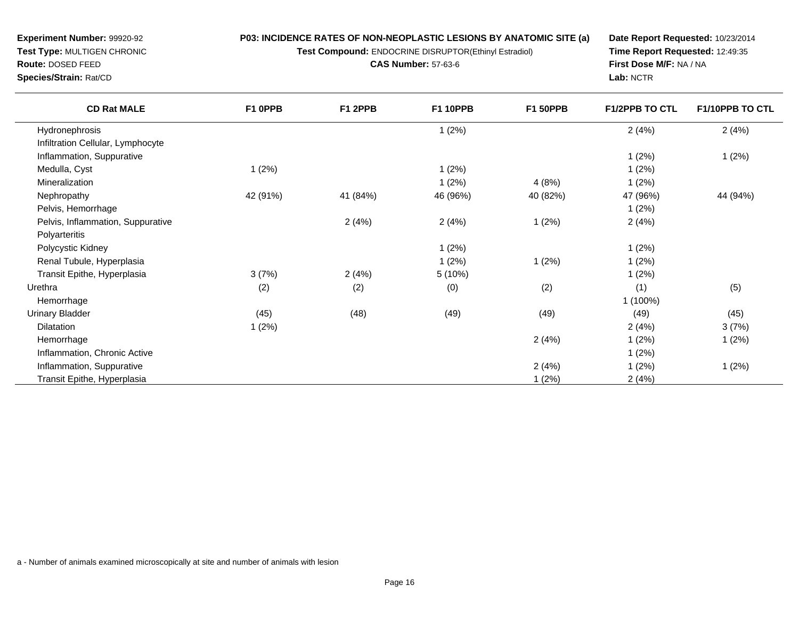**Test Compound:** ENDOCRINE DISRUPTOR(Ethinyl Estradiol)

**CAS Number:** 57-63-6

**Date Report Requested:** 10/23/2014**Time Report Requested:** 12:49:35**First Dose M/F:** NA / NA**Lab:** NCTR

| <b>CD Rat MALE</b>                | F1 OPPB  | F1 2PPB  | <b>F1 10PPB</b> | <b>F1 50PPB</b> | F1/2PPB TO CTL | F1/10PPB TO CTL |
|-----------------------------------|----------|----------|-----------------|-----------------|----------------|-----------------|
| Hydronephrosis                    |          |          | 1(2%)           |                 | 2(4%)          | 2(4%)           |
| Infiltration Cellular, Lymphocyte |          |          |                 |                 |                |                 |
| Inflammation, Suppurative         |          |          |                 |                 | 1(2%)          | 1(2%)           |
| Medulla, Cyst                     | 1(2%)    |          | 1(2%)           |                 | 1(2%)          |                 |
| Mineralization                    |          |          | 1(2%)           | 4(8%)           | 1(2%)          |                 |
| Nephropathy                       | 42 (91%) | 41 (84%) | 46 (96%)        | 40 (82%)        | 47 (96%)       | 44 (94%)        |
| Pelvis, Hemorrhage                |          |          |                 |                 | 1(2%)          |                 |
| Pelvis, Inflammation, Suppurative |          | 2(4%)    | 2(4%)           | 1(2%)           | 2(4%)          |                 |
| Polyarteritis                     |          |          |                 |                 |                |                 |
| Polycystic Kidney                 |          |          | 1(2%)           |                 | 1(2%)          |                 |
| Renal Tubule, Hyperplasia         |          |          | 1(2%)           | 1(2%)           | 1(2%)          |                 |
| Transit Epithe, Hyperplasia       | 3(7%)    | 2(4%)    | 5 (10%)         |                 | 1(2%)          |                 |
| Urethra                           | (2)      | (2)      | (0)             | (2)             | (1)            | (5)             |
| Hemorrhage                        |          |          |                 |                 | 1 (100%)       |                 |
| Urinary Bladder                   | (45)     | (48)     | (49)            | (49)            | (49)           | (45)            |
| <b>Dilatation</b>                 | 1(2%)    |          |                 |                 | 2(4%)          | 3(7%)           |
| Hemorrhage                        |          |          |                 | 2(4%)           | 1(2%)          | 1(2%)           |
| Inflammation, Chronic Active      |          |          |                 |                 | 1(2%)          |                 |
| Inflammation, Suppurative         |          |          |                 | 2(4%)           | 1(2%)          | 1(2%)           |
| Transit Epithe, Hyperplasia       |          |          |                 | 1(2%)           | 2(4%)          |                 |

**Species/Strain:** Rat/CD

**Route:** DOSED FEED

**Experiment Number:** 99920-92**Test Type:** MULTIGEN CHRONIC

a - Number of animals examined microscopically at site and number of animals with lesion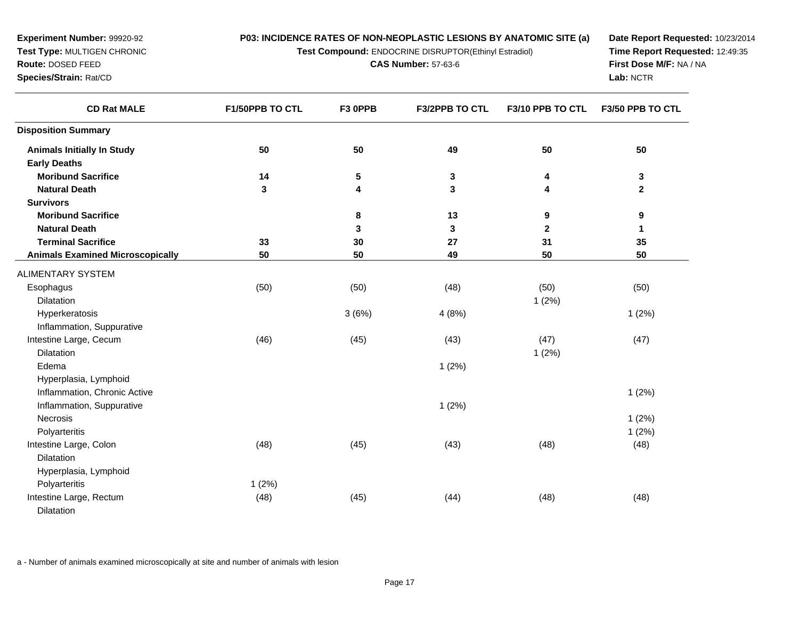**Test Compound:** ENDOCRINE DISRUPTOR(Ethinyl Estradiol)

**CAS Number:** 57-63-6

**Date Report Requested:** 10/23/2014**Time Report Requested:** 12:49:35**First Dose M/F:** NA / NA**Lab:** NCTR

| <b>CD Rat MALE</b>                      | F1/50PPB TO CTL | F3 OPPB | F3/2PPB TO CTL | F3/10 PPB TO CTL | F3/50 PPB TO CTL |
|-----------------------------------------|-----------------|---------|----------------|------------------|------------------|
| <b>Disposition Summary</b>              |                 |         |                |                  |                  |
| <b>Animals Initially In Study</b>       | 50              | 50      | 49             | 50               | 50               |
| <b>Early Deaths</b>                     |                 |         |                |                  |                  |
| <b>Moribund Sacrifice</b>               | 14              | 5       | $\mathbf 3$    | 4                | 3                |
| <b>Natural Death</b>                    | 3               | 4       | 3              | 4                | $\mathbf 2$      |
| <b>Survivors</b>                        |                 |         |                |                  |                  |
| <b>Moribund Sacrifice</b>               |                 | 8       | 13             | 9                | 9                |
| <b>Natural Death</b>                    |                 | 3       | 3              | $\mathbf 2$      | 1                |
| <b>Terminal Sacrifice</b>               | 33              | 30      | 27             | 31               | 35               |
| <b>Animals Examined Microscopically</b> | 50              | 50      | 49             | 50               | 50               |
| ALIMENTARY SYSTEM                       |                 |         |                |                  |                  |
| Esophagus                               | (50)            | (50)    | (48)           | (50)             | (50)             |
| <b>Dilatation</b>                       |                 |         |                | 1(2%)            |                  |
| Hyperkeratosis                          |                 | 3(6%)   | 4(8%)          |                  | 1(2%)            |
| Inflammation, Suppurative               |                 |         |                |                  |                  |
| Intestine Large, Cecum                  | (46)            | (45)    | (43)           | (47)             | (47)             |
| <b>Dilatation</b>                       |                 |         |                | 1(2%)            |                  |
| Edema                                   |                 |         | 1(2%)          |                  |                  |
| Hyperplasia, Lymphoid                   |                 |         |                |                  |                  |
| Inflammation, Chronic Active            |                 |         |                |                  | 1(2%)            |
| Inflammation, Suppurative               |                 |         | 1(2%)          |                  |                  |
| Necrosis                                |                 |         |                |                  | 1(2%)            |
| Polyarteritis                           |                 |         |                |                  | 1(2%)            |
| Intestine Large, Colon                  | (48)            | (45)    | (43)           | (48)             | (48)             |
| <b>Dilatation</b>                       |                 |         |                |                  |                  |
| Hyperplasia, Lymphoid                   |                 |         |                |                  |                  |
| Polyarteritis                           | 1(2%)           |         |                |                  |                  |
| Intestine Large, Rectum                 | (48)            | (45)    | (44)           | (48)             | (48)             |
| <b>Dilatation</b>                       |                 |         |                |                  |                  |

a - Number of animals examined microscopically at site and number of animals with lesion

**Experiment Number:** 99920-92**Test Type:** MULTIGEN CHRONIC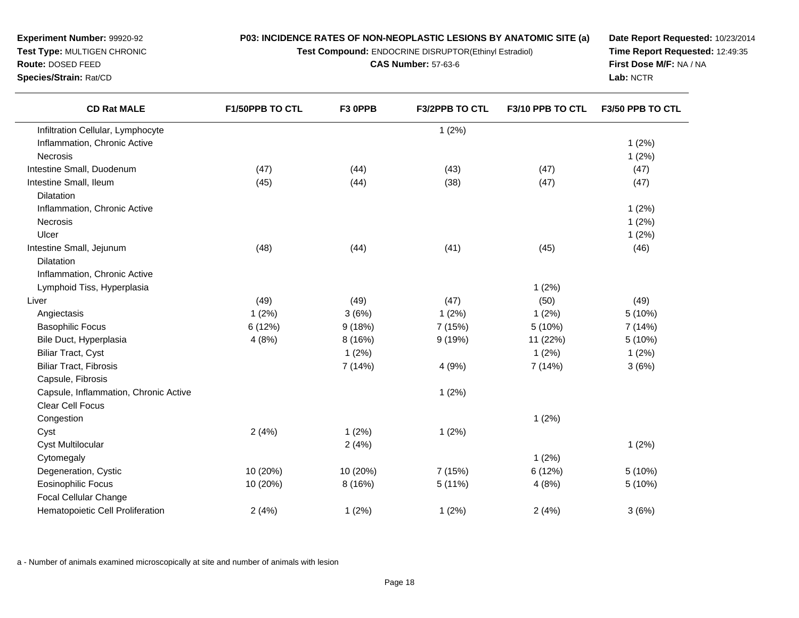**Test Compound:** ENDOCRINE DISRUPTOR(Ethinyl Estradiol)

**CAS Number:** 57-63-6

e  $1(2\%)$ 

m (47) (44) (43) (47) (47) (47) (47)

s and  $1(2\%)$ 

**Date Report Requested:** 10/23/2014**Time Report Requested:** 12:49:35**First Dose M/F:** NA / NA**Lab:** NCTR

**F3/2PPB TO CTL F3/10 PPB TO CTL F3/50 PPB TO CTL**

| Intestine Small, Ileum                | (45)     | (44)     | (38)    | (47)     | (47)    |
|---------------------------------------|----------|----------|---------|----------|---------|
| <b>Dilatation</b>                     |          |          |         |          |         |
| Inflammation, Chronic Active          |          |          |         |          | 1(2%)   |
| Necrosis                              |          |          |         |          | 1(2%)   |
| Ulcer                                 |          |          |         |          | 1(2%)   |
| Intestine Small, Jejunum              | (48)     | (44)     | (41)    | (45)     | (46)    |
| <b>Dilatation</b>                     |          |          |         |          |         |
| Inflammation, Chronic Active          |          |          |         |          |         |
| Lymphoid Tiss, Hyperplasia            |          |          |         | 1(2%)    |         |
| Liver                                 | (49)     | (49)     | (47)    | (50)     | (49)    |
| Angiectasis                           | 1(2%)    | 3(6%)    | 1(2%)   | 1(2%)    | 5 (10%) |
| <b>Basophilic Focus</b>               | 6 (12%)  | 9(18%)   | 7 (15%) | 5 (10%)  | 7 (14%) |
| Bile Duct, Hyperplasia                | 4(8%)    | 8 (16%)  | 9(19%)  | 11 (22%) | 5 (10%) |
| <b>Biliar Tract, Cyst</b>             |          | 1(2%)    |         | 1(2%)    | 1(2%)   |
| <b>Biliar Tract, Fibrosis</b>         |          | 7 (14%)  | 4(9%)   | 7 (14%)  | 3(6%)   |
| Capsule, Fibrosis                     |          |          |         |          |         |
| Capsule, Inflammation, Chronic Active |          |          | 1(2%)   |          |         |
| <b>Clear Cell Focus</b>               |          |          |         |          |         |
| Congestion                            |          |          |         | 1(2%)    |         |
| Cyst                                  | 2(4%)    | 1(2%)    | 1(2%)   |          |         |
| <b>Cyst Multilocular</b>              |          | 2(4%)    |         |          | 1(2%)   |
| Cytomegaly                            |          |          |         | 1(2%)    |         |
| Degeneration, Cystic                  | 10 (20%) | 10 (20%) | 7 (15%) | 6(12%)   | 5 (10%) |
| <b>Eosinophilic Focus</b>             | 10 (20%) | 8 (16%)  | 5(11%)  | 4(8%)    | 5 (10%) |
| <b>Focal Cellular Change</b>          |          |          |         |          |         |
| Hematopoietic Cell Proliferation      | 2(4%)    | 1(2%)    | 1(2%)   | 2(4%)    | 3(6%)   |

**F1/50PPB TO CTL F3 0PPB**

e and  $1(2\%)$ 

a - Number of animals examined microscopically at site and number of animals with lesion

**Species/Strain:** Rat/CD

Necrosis

**CD Rat MALE**

Infiltration Cellular, Lymphocyte

Inflammation, Chronic Active

Intestine Small, Duodenum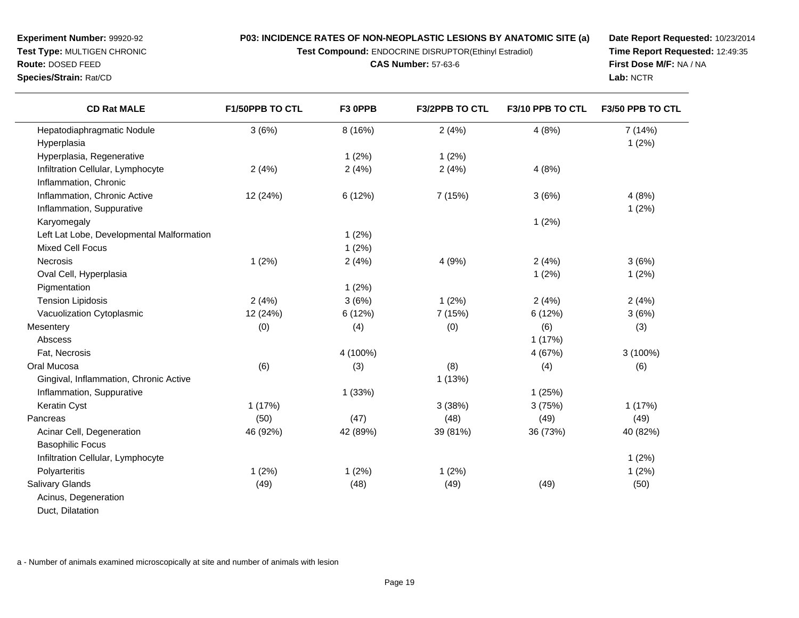**Test Compound:** ENDOCRINE DISRUPTOR(Ethinyl Estradiol)

**CAS Number:** 57-63-6

**Date Report Requested:** 10/23/2014**Time Report Requested:** 12:49:35**First Dose M/F:** NA / NA**Lab:** NCTR

| <b>CD Rat MALE</b>                        | F1/50PPB TO CTL | F3 OPPB  | F3/2PPB TO CTL | F3/10 PPB TO CTL | F3/50 PPB TO CTL |
|-------------------------------------------|-----------------|----------|----------------|------------------|------------------|
| Hepatodiaphragmatic Nodule                | 3(6%)           | 8 (16%)  | 2(4%)          | 4(8%)            | 7 (14%)          |
| Hyperplasia                               |                 |          |                |                  | 1(2%)            |
| Hyperplasia, Regenerative                 |                 | 1(2%)    | 1(2%)          |                  |                  |
| Infiltration Cellular, Lymphocyte         | 2(4%)           | 2(4%)    | 2(4%)          | 4(8%)            |                  |
| Inflammation, Chronic                     |                 |          |                |                  |                  |
| Inflammation, Chronic Active              | 12 (24%)        | 6 (12%)  | 7 (15%)        | 3(6%)            | 4(8%)            |
| Inflammation, Suppurative                 |                 |          |                |                  | 1(2%)            |
| Karyomegaly                               |                 |          |                | 1(2%)            |                  |
| Left Lat Lobe, Developmental Malformation |                 | 1(2%)    |                |                  |                  |
| <b>Mixed Cell Focus</b>                   |                 | 1(2%)    |                |                  |                  |
| Necrosis                                  | 1(2%)           | 2(4%)    | 4(9%)          | 2(4%)            | 3(6%)            |
| Oval Cell, Hyperplasia                    |                 |          |                | 1(2%)            | 1(2%)            |
| Pigmentation                              |                 | 1(2%)    |                |                  |                  |
| <b>Tension Lipidosis</b>                  | 2(4%)           | 3(6%)    | 1(2%)          | 2(4%)            | 2(4%)            |
| Vacuolization Cytoplasmic                 | 12 (24%)        | 6(12%)   | 7 (15%)        | 6 (12%)          | 3(6%)            |
| Mesentery                                 | (0)             | (4)      | (0)            | (6)              | (3)              |
| Abscess                                   |                 |          |                | 1(17%)           |                  |
| Fat, Necrosis                             |                 | 4 (100%) |                | 4 (67%)          | 3 (100%)         |
| Oral Mucosa                               | (6)             | (3)      | (8)            | (4)              | (6)              |
| Gingival, Inflammation, Chronic Active    |                 |          | 1(13%)         |                  |                  |
| Inflammation, Suppurative                 |                 | 1(33%)   |                | 1(25%)           |                  |
| Keratin Cyst                              | 1(17%)          |          | 3(38%)         | 3(75%)           | 1(17%)           |
| Pancreas                                  | (50)            | (47)     | (48)           | (49)             | (49)             |
| Acinar Cell, Degeneration                 | 46 (92%)        | 42 (89%) | 39 (81%)       | 36 (73%)         | 40 (82%)         |
| <b>Basophilic Focus</b>                   |                 |          |                |                  |                  |
| Infiltration Cellular, Lymphocyte         |                 |          |                |                  | 1(2%)            |
| Polyarteritis                             | 1(2%)           | 1(2%)    | 1(2%)          |                  | 1(2%)            |
| <b>Salivary Glands</b>                    | (49)            | (48)     | (49)           | (49)             | (50)             |
| Acinus, Degeneration                      |                 |          |                |                  |                  |
| Duct, Dilatation                          |                 |          |                |                  |                  |

a - Number of animals examined microscopically at site and number of animals with lesion

**Experiment Number:** 99920-92**Test Type:** MULTIGEN CHRONIC

**Route:** DOSED FEED**Species/Strain:** Rat/CD

 $\overline{\phantom{0}}$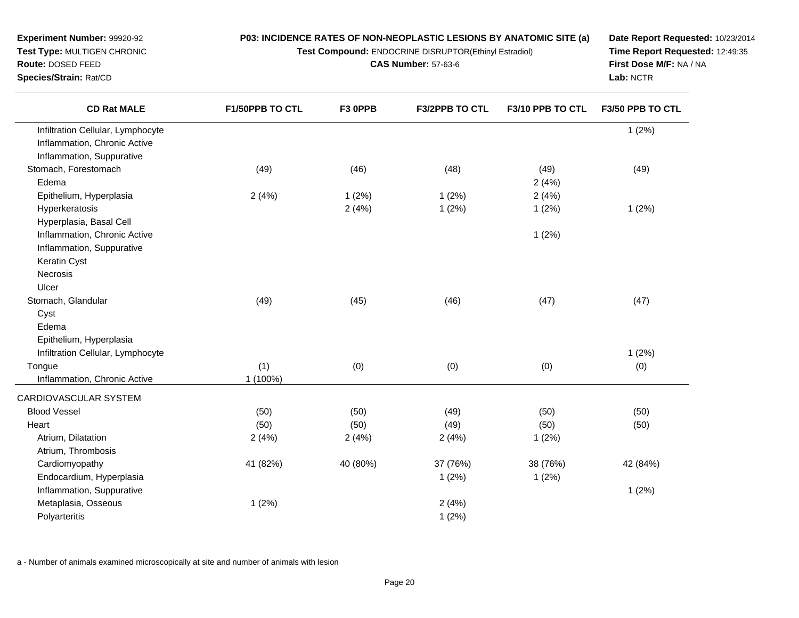**Test Compound:** ENDOCRINE DISRUPTOR(Ethinyl Estradiol)

**CAS Number:** 57-63-6

**Date Report Requested:** 10/23/2014**Time Report Requested:** 12:49:35**First Dose M/F:** NA / NA**Lab:** NCTR

| <b>CD Rat MALE</b>                | F1/50PPB TO CTL | F3 OPPB  | <b>F3/2PPB TO CTL</b> | F3/10 PPB TO CTL | F3/50 PPB TO CTL |
|-----------------------------------|-----------------|----------|-----------------------|------------------|------------------|
| Infiltration Cellular, Lymphocyte |                 |          |                       |                  | 1(2%)            |
| Inflammation, Chronic Active      |                 |          |                       |                  |                  |
| Inflammation, Suppurative         |                 |          |                       |                  |                  |
| Stomach, Forestomach              | (49)            | (46)     | (48)                  | (49)             | (49)             |
| Edema                             |                 |          |                       | 2(4%)            |                  |
| Epithelium, Hyperplasia           | 2(4%)           | 1(2%)    | 1(2%)                 | 2(4%)            |                  |
| Hyperkeratosis                    |                 | 2(4%)    | 1(2%)                 | 1(2%)            | 1(2%)            |
| Hyperplasia, Basal Cell           |                 |          |                       |                  |                  |
| Inflammation, Chronic Active      |                 |          |                       | 1(2%)            |                  |
| Inflammation, Suppurative         |                 |          |                       |                  |                  |
| Keratin Cyst                      |                 |          |                       |                  |                  |
| <b>Necrosis</b>                   |                 |          |                       |                  |                  |
| Ulcer                             |                 |          |                       |                  |                  |
| Stomach, Glandular                | (49)            | (45)     | (46)                  | (47)             | (47)             |
| Cyst                              |                 |          |                       |                  |                  |
| Edema                             |                 |          |                       |                  |                  |
| Epithelium, Hyperplasia           |                 |          |                       |                  |                  |
| Infiltration Cellular, Lymphocyte |                 |          |                       |                  | 1(2%)            |
| Tongue                            | (1)             | (0)      | (0)                   | (0)              | (0)              |
| Inflammation, Chronic Active      | 1 (100%)        |          |                       |                  |                  |
| CARDIOVASCULAR SYSTEM             |                 |          |                       |                  |                  |
| <b>Blood Vessel</b>               | (50)            | (50)     | (49)                  | (50)             | (50)             |
| Heart                             | (50)            | (50)     | (49)                  | (50)             | (50)             |
| Atrium, Dilatation                | 2(4%)           | 2(4%)    | 2(4%)                 | 1(2%)            |                  |
| Atrium, Thrombosis                |                 |          |                       |                  |                  |
| Cardiomyopathy                    | 41 (82%)        | 40 (80%) | 37 (76%)              | 38 (76%)         | 42 (84%)         |
| Endocardium, Hyperplasia          |                 |          | 1(2%)                 | 1(2%)            |                  |
| Inflammation, Suppurative         |                 |          |                       |                  | 1(2%)            |
| Metaplasia, Osseous               | 1(2%)           |          | 2(4%)                 |                  |                  |
| Polyarteritis                     |                 |          | 1(2%)                 |                  |                  |

a - Number of animals examined microscopically at site and number of animals with lesion

**Experiment Number:** 99920-92**Test Type:** MULTIGEN CHRONIC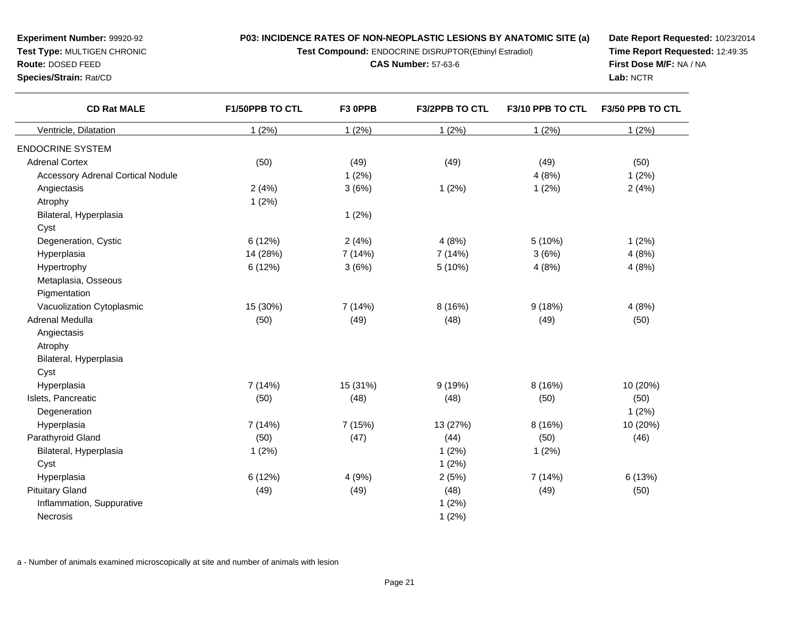**Test Compound:** ENDOCRINE DISRUPTOR(Ethinyl Estradiol)

**CAS Number:** 57-63-6

**Date Report Requested:** 10/23/2014**Time Report Requested:** 12:49:35**First Dose M/F:** NA / NA**Lab:** NCTR

| <b>CD Rat MALE</b>                       | F1/50PPB TO CTL | F3 OPPB  | F3/2PPB TO CTL | F3/10 PPB TO CTL | F3/50 PPB TO CTL |
|------------------------------------------|-----------------|----------|----------------|------------------|------------------|
| Ventricle, Dilatation                    | 1(2%)           | 1(2%)    | 1(2%)          | 1(2%)            | 1(2%)            |
| <b>ENDOCRINE SYSTEM</b>                  |                 |          |                |                  |                  |
| <b>Adrenal Cortex</b>                    | (50)            | (49)     | (49)           | (49)             | (50)             |
| <b>Accessory Adrenal Cortical Nodule</b> |                 | 1(2%)    |                | 4(8%)            | 1(2%)            |
| Angiectasis                              | 2(4%)           | 3(6%)    | 1(2%)          | 1(2%)            | 2(4%)            |
| Atrophy                                  | 1(2%)           |          |                |                  |                  |
| Bilateral, Hyperplasia                   |                 | 1(2%)    |                |                  |                  |
| Cyst                                     |                 |          |                |                  |                  |
| Degeneration, Cystic                     | 6(12%)          | 2(4%)    | 4(8%)          | 5 (10%)          | 1(2%)            |
| Hyperplasia                              | 14 (28%)        | 7 (14%)  | 7 (14%)        | 3(6%)            | 4(8%)            |
| Hypertrophy                              | 6(12%)          | 3(6%)    | 5 (10%)        | 4(8%)            | 4(8%)            |
| Metaplasia, Osseous                      |                 |          |                |                  |                  |
| Pigmentation                             |                 |          |                |                  |                  |
| Vacuolization Cytoplasmic                | 15 (30%)        | 7 (14%)  | 8 (16%)        | 9(18%)           | 4(8%)            |
| Adrenal Medulla                          | (50)            | (49)     | (48)           | (49)             | (50)             |
| Angiectasis                              |                 |          |                |                  |                  |
| Atrophy                                  |                 |          |                |                  |                  |
| Bilateral, Hyperplasia                   |                 |          |                |                  |                  |
| Cyst                                     |                 |          |                |                  |                  |
| Hyperplasia                              | 7 (14%)         | 15 (31%) | 9(19%)         | 8 (16%)          | 10 (20%)         |
| Islets, Pancreatic                       | (50)            | (48)     | (48)           | (50)             | (50)             |
| Degeneration                             |                 |          |                |                  | 1(2%)            |
| Hyperplasia                              | 7(14%)          | 7 (15%)  | 13 (27%)       | 8 (16%)          | 10 (20%)         |
| Parathyroid Gland                        | (50)            | (47)     | (44)           | (50)             | (46)             |
| Bilateral, Hyperplasia                   | 1(2%)           |          | 1(2%)          | 1(2%)            |                  |
| Cyst                                     |                 |          | 1(2%)          |                  |                  |
| Hyperplasia                              | 6 (12%)         | 4(9%)    | 2(5%)          | 7 (14%)          | 6(13%)           |
| <b>Pituitary Gland</b>                   | (49)            | (49)     | (48)           | (49)             | (50)             |
| Inflammation, Suppurative                |                 |          | 1(2%)          |                  |                  |
| <b>Necrosis</b>                          |                 |          | 1(2%)          |                  |                  |

a - Number of animals examined microscopically at site and number of animals with lesion

**Experiment Number:** 99920-92**Test Type:** MULTIGEN CHRONIC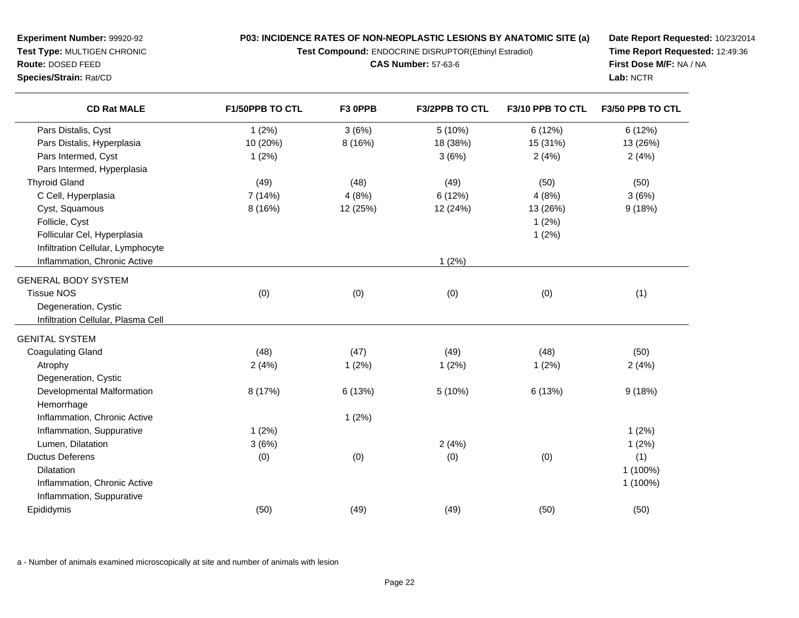**Test Compound:** ENDOCRINE DISRUPTOR(Ethinyl Estradiol)

**CAS Number:** 57-63-6

**Date Report Requested:** 10/23/2014**Time Report Requested:** 12:49:36**First Dose M/F:** NA / NA**Lab:** NCTR

| <b>CD Rat MALE</b>                 | F1/50PPB TO CTL | F3 OPPB  | F3/2PPB TO CTL | F3/10 PPB TO CTL | F3/50 PPB TO CTL |
|------------------------------------|-----------------|----------|----------------|------------------|------------------|
| Pars Distalis, Cyst                | 1(2%)           | 3(6%)    | 5(10%)         | 6(12%)           | 6(12%)           |
| Pars Distalis, Hyperplasia         | 10 (20%)        | 8(16%)   | 18 (38%)       | 15 (31%)         | 13 (26%)         |
| Pars Intermed, Cyst                | 1(2%)           |          | 3(6%)          | 2(4%)            | 2(4%)            |
| Pars Intermed, Hyperplasia         |                 |          |                |                  |                  |
| <b>Thyroid Gland</b>               | (49)            | (48)     | (49)           | (50)             | (50)             |
| C Cell, Hyperplasia                | 7 (14%)         | 4(8%)    | 6 (12%)        | 4(8%)            | 3(6%)            |
| Cyst, Squamous                     | 8 (16%)         | 12 (25%) | 12 (24%)       | 13 (26%)         | 9(18%)           |
| Follicle, Cyst                     |                 |          |                | 1(2%)            |                  |
| Follicular Cel, Hyperplasia        |                 |          |                | 1(2%)            |                  |
| Infiltration Cellular, Lymphocyte  |                 |          |                |                  |                  |
| Inflammation, Chronic Active       |                 |          | 1(2%)          |                  |                  |
| <b>GENERAL BODY SYSTEM</b>         |                 |          |                |                  |                  |
| <b>Tissue NOS</b>                  | (0)             | (0)      | (0)            | (0)              | (1)              |
| Degeneration, Cystic               |                 |          |                |                  |                  |
| Infiltration Cellular, Plasma Cell |                 |          |                |                  |                  |
| <b>GENITAL SYSTEM</b>              |                 |          |                |                  |                  |
| <b>Coagulating Gland</b>           | (48)            | (47)     | (49)           | (48)             | (50)             |
| Atrophy                            | 2(4%)           | 1(2%)    | 1(2%)          | 1(2%)            | 2(4%)            |
| Degeneration, Cystic               |                 |          |                |                  |                  |
| Developmental Malformation         | 8 (17%)         | 6 (13%)  | 5(10%)         | 6 (13%)          | 9(18%)           |
| Hemorrhage                         |                 |          |                |                  |                  |
| Inflammation, Chronic Active       |                 | 1(2%)    |                |                  |                  |
| Inflammation, Suppurative          | 1(2%)           |          |                |                  | 1(2%)            |
| Lumen, Dilatation                  | 3(6%)           |          | 2(4%)          |                  | 1(2%)            |
| <b>Ductus Deferens</b>             | (0)             | (0)      | (0)            | (0)              | (1)              |
| <b>Dilatation</b>                  |                 |          |                |                  | 1 (100%)         |
| Inflammation, Chronic Active       |                 |          |                |                  | 1 (100%)         |
| Inflammation, Suppurative          |                 |          |                |                  |                  |
| Epididymis                         | (50)            | (49)     | (49)           | (50)             | (50)             |

a - Number of animals examined microscopically at site and number of animals with lesion

**Experiment Number:** 99920-92**Test Type:** MULTIGEN CHRONIC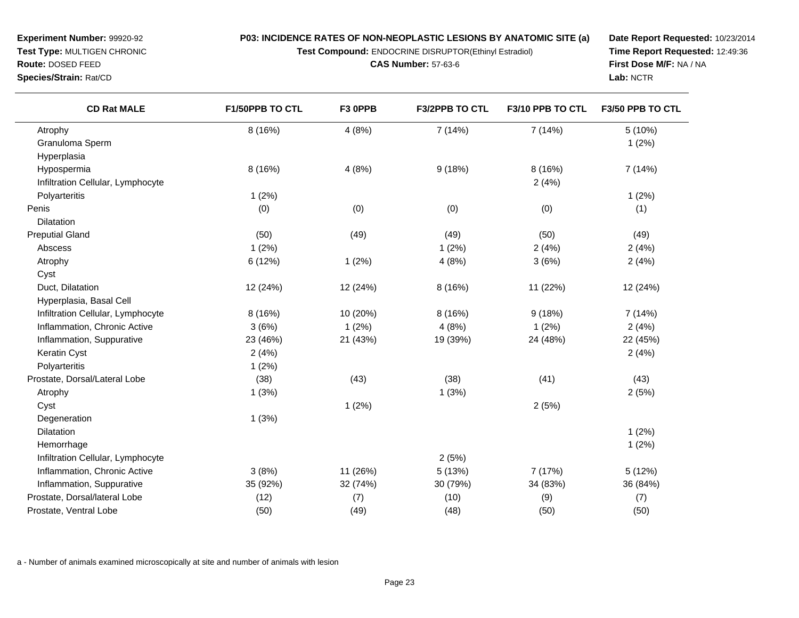**Test Compound:** ENDOCRINE DISRUPTOR(Ethinyl Estradiol)

**CAS Number:** 57-63-6

**Date Report Requested:** 10/23/2014**Time Report Requested:** 12:49:36**First Dose M/F:** NA / NA**Lab:** NCTR

| <b>CD Rat MALE</b>                | F1/50PPB TO CTL | F3 OPPB  | <b>F3/2PPB TO CTL</b> | F3/10 PPB TO CTL | F3/50 PPB TO CTL |
|-----------------------------------|-----------------|----------|-----------------------|------------------|------------------|
| Atrophy                           | 8 (16%)         | 4(8%)    | 7(14%)                | 7 (14%)          | 5 (10%)          |
| Granuloma Sperm                   |                 |          |                       |                  | 1(2%)            |
| Hyperplasia                       |                 |          |                       |                  |                  |
| Hypospermia                       | 8 (16%)         | 4(8%)    | 9(18%)                | 8 (16%)          | 7 (14%)          |
| Infiltration Cellular, Lymphocyte |                 |          |                       | 2(4%)            |                  |
| Polyarteritis                     | 1(2%)           |          |                       |                  | 1(2%)            |
| Penis                             | (0)             | (0)      | (0)                   | (0)              | (1)              |
| Dilatation                        |                 |          |                       |                  |                  |
| <b>Preputial Gland</b>            | (50)            | (49)     | (49)                  | (50)             | (49)             |
| Abscess                           | 1(2%)           |          | 1(2%)                 | 2(4%)            | 2(4%)            |
| Atrophy                           | 6 (12%)         | 1(2%)    | 4(8%)                 | 3(6%)            | 2(4%)            |
| Cyst                              |                 |          |                       |                  |                  |
| Duct, Dilatation                  | 12 (24%)        | 12 (24%) | 8 (16%)               | 11 (22%)         | 12 (24%)         |
| Hyperplasia, Basal Cell           |                 |          |                       |                  |                  |
| Infiltration Cellular, Lymphocyte | 8 (16%)         | 10 (20%) | 8 (16%)               | 9(18%)           | 7(14%)           |
| Inflammation, Chronic Active      | 3(6%)           | 1(2%)    | 4(8%)                 | 1(2%)            | 2(4%)            |
| Inflammation, Suppurative         | 23 (46%)        | 21 (43%) | 19 (39%)              | 24 (48%)         | 22 (45%)         |
| Keratin Cyst                      | 2(4%)           |          |                       |                  | 2(4%)            |
| Polyarteritis                     | 1(2%)           |          |                       |                  |                  |
| Prostate, Dorsal/Lateral Lobe     | (38)            | (43)     | (38)                  | (41)             | (43)             |
| Atrophy                           | 1(3%)           |          | 1(3%)                 |                  | 2(5%)            |
| Cyst                              |                 | 1(2%)    |                       | 2(5%)            |                  |
| Degeneration                      | 1(3%)           |          |                       |                  |                  |
| Dilatation                        |                 |          |                       |                  | 1(2%)            |
| Hemorrhage                        |                 |          |                       |                  | 1(2%)            |
| Infiltration Cellular, Lymphocyte |                 |          | 2(5%)                 |                  |                  |
| Inflammation, Chronic Active      | 3(8%)           | 11 (26%) | 5(13%)                | 7 (17%)          | 5(12%)           |
| Inflammation, Suppurative         | 35 (92%)        | 32 (74%) | 30 (79%)              | 34 (83%)         | 36 (84%)         |
| Prostate, Dorsal/lateral Lobe     | (12)            | (7)      | (10)                  | (9)              | (7)              |
| Prostate, Ventral Lobe            | (50)            | (49)     | (48)                  | (50)             | (50)             |

a - Number of animals examined microscopically at site and number of animals with lesion

**Experiment Number:** 99920-92**Test Type:** MULTIGEN CHRONIC

**Route:** DOSED FEED**Species/Strain:** Rat/CD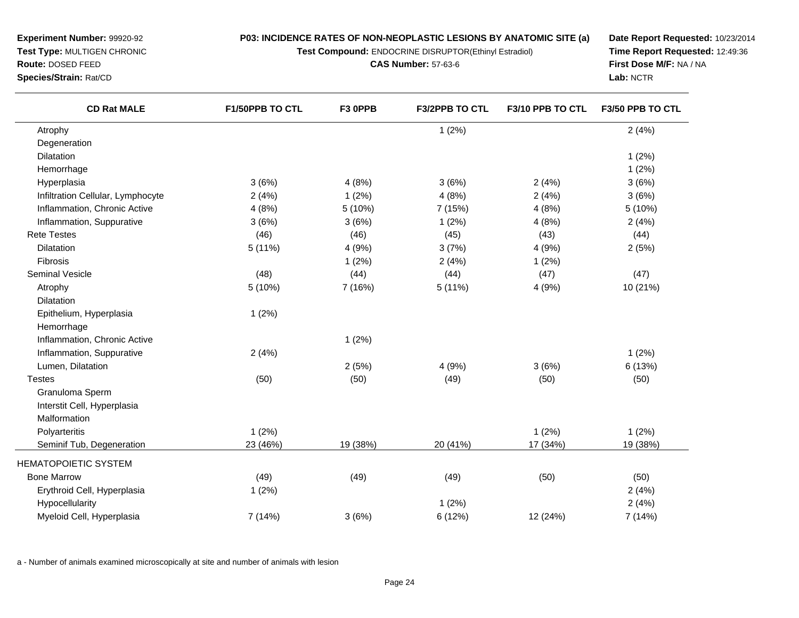**Test Compound:** ENDOCRINE DISRUPTOR(Ethinyl Estradiol)

**CAS Number:** 57-63-6

**Date Report Requested:** 10/23/2014**Time Report Requested:** 12:49:36**First Dose M/F:** NA / NA**Lab:** NCTR

| <b>CD Rat MALE</b>                | F1/50PPB TO CTL | F3 OPPB  | F3/2PPB TO CTL | F3/10 PPB TO CTL | F3/50 PPB TO CTL |
|-----------------------------------|-----------------|----------|----------------|------------------|------------------|
| Atrophy                           |                 |          | 1(2%)          |                  | 2(4%)            |
| Degeneration                      |                 |          |                |                  |                  |
| <b>Dilatation</b>                 |                 |          |                |                  | 1(2%)            |
| Hemorrhage                        |                 |          |                |                  | 1(2%)            |
| Hyperplasia                       | 3(6%)           | 4(8%)    | 3(6%)          | 2(4%)            | 3(6%)            |
| Infiltration Cellular, Lymphocyte | 2(4%)           | 1(2%)    | 4(8%)          | 2(4%)            | 3(6%)            |
| Inflammation, Chronic Active      | 4(8%)           | 5 (10%)  | 7 (15%)        | 4(8%)            | 5 (10%)          |
| Inflammation, Suppurative         | 3(6%)           | 3(6%)    | 1(2%)          | 4(8%)            | 2(4%)            |
| <b>Rete Testes</b>                | (46)            | (46)     | (45)           | (43)             | (44)             |
| Dilatation                        | 5 (11%)         | 4 (9%)   | 3(7%)          | 4 (9%)           | 2(5%)            |
| Fibrosis                          |                 | 1(2%)    | 2(4%)          | 1(2%)            |                  |
| Seminal Vesicle                   | (48)            | (44)     | (44)           | (47)             | (47)             |
| Atrophy                           | 5 (10%)         | 7 (16%)  | 5(11%)         | 4 (9%)           | 10 (21%)         |
| Dilatation                        |                 |          |                |                  |                  |
| Epithelium, Hyperplasia           | 1(2%)           |          |                |                  |                  |
| Hemorrhage                        |                 |          |                |                  |                  |
| Inflammation, Chronic Active      |                 | 1(2%)    |                |                  |                  |
| Inflammation, Suppurative         | 2(4%)           |          |                |                  | 1(2%)            |
| Lumen, Dilatation                 |                 | 2(5%)    | 4 (9%)         | 3(6%)            | 6 (13%)          |
| <b>Testes</b>                     | (50)            | (50)     | (49)           | (50)             | (50)             |
| Granuloma Sperm                   |                 |          |                |                  |                  |
| Interstit Cell, Hyperplasia       |                 |          |                |                  |                  |
| Malformation                      |                 |          |                |                  |                  |
| Polyarteritis                     | 1(2%)           |          |                | 1(2%)            | 1(2%)            |
| Seminif Tub, Degeneration         | 23 (46%)        | 19 (38%) | 20 (41%)       | 17 (34%)         | 19 (38%)         |
| <b>HEMATOPOIETIC SYSTEM</b>       |                 |          |                |                  |                  |
| <b>Bone Marrow</b>                | (49)            | (49)     | (49)           | (50)             | (50)             |
| Erythroid Cell, Hyperplasia       | 1(2%)           |          |                |                  | 2(4%)            |
| Hypocellularity                   |                 |          | 1(2%)          |                  | 2(4%)            |
| Myeloid Cell, Hyperplasia         | 7 (14%)         | 3(6%)    | 6(12%)         | 12 (24%)         | 7 (14%)          |

a - Number of animals examined microscopically at site and number of animals with lesion

**Experiment Number:** 99920-92**Test Type:** MULTIGEN CHRONIC

**Route:** DOSED FEED**Species/Strain:** Rat/CD

 $\overline{\phantom{0}}$ 

 $\frac{1}{2}$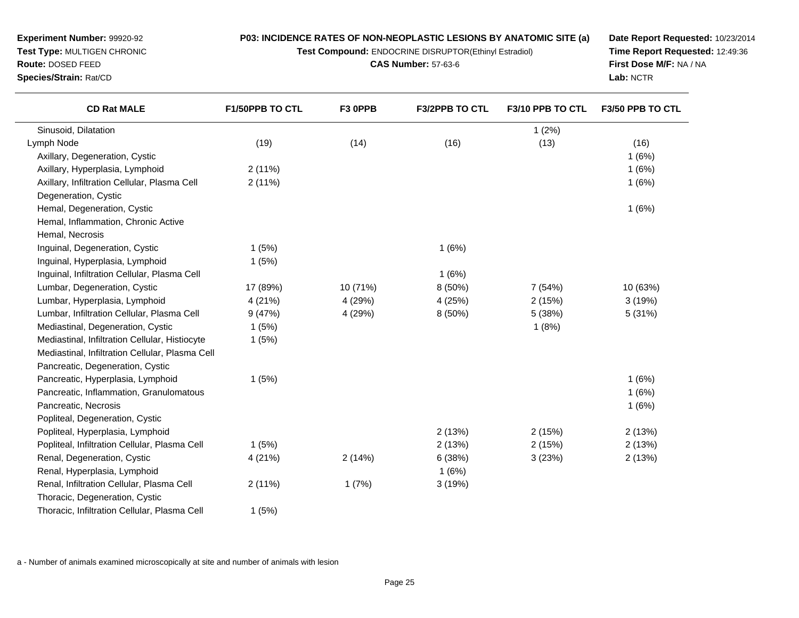**Test Compound:** ENDOCRINE DISRUPTOR(Ethinyl Estradiol)

**CAS Number:** 57-63-6

**Date Report Requested:** 10/23/2014**Time Report Requested:** 12:49:36**First Dose M/F:** NA / NA**Lab:** NCTR

| <b>CD Rat MALE</b>                              | <b>F1/50PPB TO CTL</b> | F3 OPPB  | <b>F3/2PPB TO CTL</b> | F3/10 PPB TO CTL | F3/50 PPB TO CTL |
|-------------------------------------------------|------------------------|----------|-----------------------|------------------|------------------|
| Sinusoid, Dilatation                            |                        |          |                       | 1(2%)            |                  |
| Lymph Node                                      | (19)                   | (14)     | (16)                  | (13)             | (16)             |
| Axillary, Degeneration, Cystic                  |                        |          |                       |                  | 1(6%)            |
| Axillary, Hyperplasia, Lymphoid                 | 2(11%)                 |          |                       |                  | 1(6%)            |
| Axillary, Infiltration Cellular, Plasma Cell    | 2(11%)                 |          |                       |                  | 1(6%)            |
| Degeneration, Cystic                            |                        |          |                       |                  |                  |
| Hemal, Degeneration, Cystic                     |                        |          |                       |                  | 1(6%)            |
| Hemal, Inflammation, Chronic Active             |                        |          |                       |                  |                  |
| Hemal, Necrosis                                 |                        |          |                       |                  |                  |
| Inguinal, Degeneration, Cystic                  | 1(5%)                  |          | 1(6%)                 |                  |                  |
| Inguinal, Hyperplasia, Lymphoid                 | 1(5%)                  |          |                       |                  |                  |
| Inguinal, Infiltration Cellular, Plasma Cell    |                        |          | 1(6%)                 |                  |                  |
| Lumbar, Degeneration, Cystic                    | 17 (89%)               | 10 (71%) | 8(50%)                | 7 (54%)          | 10 (63%)         |
| Lumbar, Hyperplasia, Lymphoid                   | 4 (21%)                | 4 (29%)  | 4(25%)                | 2(15%)           | 3(19%)           |
| Lumbar, Infiltration Cellular, Plasma Cell      | 9(47%)                 | 4 (29%)  | 8 (50%)               | 5 (38%)          | 5 (31%)          |
| Mediastinal, Degeneration, Cystic               | 1(5%)                  |          |                       | 1(8%)            |                  |
| Mediastinal, Infiltration Cellular, Histiocyte  | 1(5%)                  |          |                       |                  |                  |
| Mediastinal, Infiltration Cellular, Plasma Cell |                        |          |                       |                  |                  |
| Pancreatic, Degeneration, Cystic                |                        |          |                       |                  |                  |
| Pancreatic, Hyperplasia, Lymphoid               | 1(5%)                  |          |                       |                  | 1(6%)            |
| Pancreatic, Inflammation, Granulomatous         |                        |          |                       |                  | 1(6%)            |
| Pancreatic, Necrosis                            |                        |          |                       |                  | 1(6%)            |
| Popliteal, Degeneration, Cystic                 |                        |          |                       |                  |                  |
| Popliteal, Hyperplasia, Lymphoid                |                        |          | 2(13%)                | 2(15%)           | 2(13%)           |
| Popliteal, Infiltration Cellular, Plasma Cell   | 1(5%)                  |          | 2(13%)                | 2(15%)           | 2(13%)           |
| Renal, Degeneration, Cystic                     | 4 (21%)                | 2(14%)   | 6 (38%)               | 3(23%)           | 2(13%)           |

d  $1 (6\%)$ 

2 (11%)

1 (5%)

Renal, Hyperplasia, Lymphoid

Thoracic, Degeneration, Cystic

Renal, Infiltration Cellular, Plasma Cell

Thoracic, Infiltration Cellular, Plasma Cell

**Route:** DOSED FEED**Species/Strain:** Rat/CD

**Experiment Number:** 99920-92**Test Type:** MULTIGEN CHRONIC

a - Number of animals examined microscopically at site and number of animals with lesion

c 4 (21%) 2 (14%) 6 (38%) 2 (13%)

1 (7%) 3 (19%)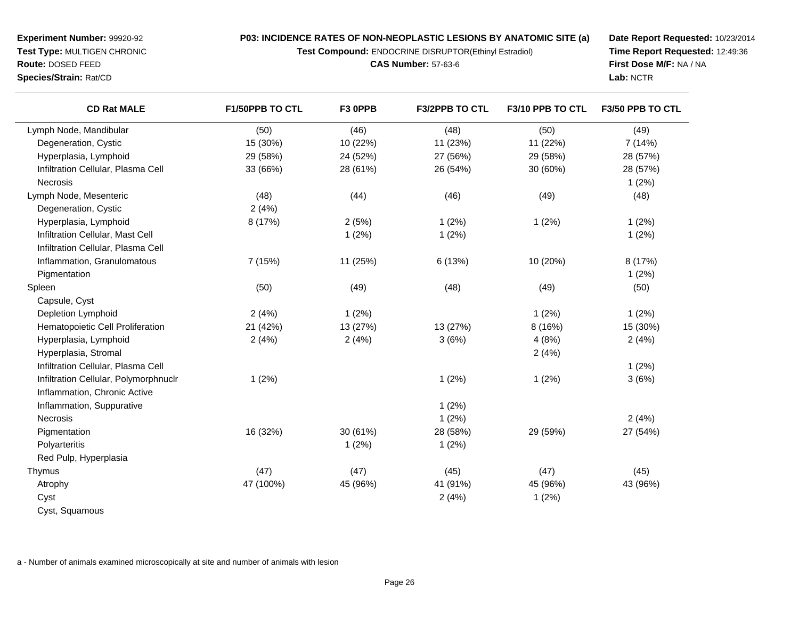**Test Compound:** ENDOCRINE DISRUPTOR(Ethinyl Estradiol)

**CAS Number:** 57-63-6

**Date Report Requested:** 10/23/2014**Time Report Requested:** 12:49:36**First Dose M/F:** NA / NA**Lab:** NCTR

| <b>CD Rat MALE</b>                    | F1/50PPB TO CTL | F3 OPPB  | F3/2PPB TO CTL | F3/10 PPB TO CTL | F3/50 PPB TO CTL |
|---------------------------------------|-----------------|----------|----------------|------------------|------------------|
| Lymph Node, Mandibular                | (50)            | (46)     | (48)           | (50)             | (49)             |
| Degeneration, Cystic                  | 15 (30%)        | 10 (22%) | 11 (23%)       | 11 (22%)         | 7(14%)           |
| Hyperplasia, Lymphoid                 | 29 (58%)        | 24 (52%) | 27 (56%)       | 29 (58%)         | 28 (57%)         |
| Infiltration Cellular, Plasma Cell    | 33 (66%)        | 28 (61%) | 26 (54%)       | 30 (60%)         | 28 (57%)         |
| Necrosis                              |                 |          |                |                  | 1(2%)            |
| Lymph Node, Mesenteric                | (48)            | (44)     | (46)           | (49)             | (48)             |
| Degeneration, Cystic                  | 2(4%)           |          |                |                  |                  |
| Hyperplasia, Lymphoid                 | 8 (17%)         | 2(5%)    | 1(2%)          | 1(2%)            | 1(2%)            |
| Infiltration Cellular, Mast Cell      |                 | 1(2%)    | 1(2%)          |                  | 1(2%)            |
| Infiltration Cellular, Plasma Cell    |                 |          |                |                  |                  |
| Inflammation, Granulomatous           | 7 (15%)         | 11 (25%) | 6 (13%)        | 10 (20%)         | 8 (17%)          |
| Pigmentation                          |                 |          |                |                  | 1(2%)            |
| Spleen                                | (50)            | (49)     | (48)           | (49)             | (50)             |
| Capsule, Cyst                         |                 |          |                |                  |                  |
| Depletion Lymphoid                    | 2(4%)           | 1(2%)    |                | 1(2%)            | 1(2%)            |
| Hematopoietic Cell Proliferation      | 21 (42%)        | 13 (27%) | 13 (27%)       | 8 (16%)          | 15 (30%)         |
| Hyperplasia, Lymphoid                 | 2(4%)           | 2(4%)    | 3(6%)          | 4(8%)            | 2(4%)            |
| Hyperplasia, Stromal                  |                 |          |                | 2(4%)            |                  |
| Infiltration Cellular, Plasma Cell    |                 |          |                |                  | 1(2%)            |
| Infiltration Cellular, Polymorphnuclr | 1(2%)           |          | 1(2%)          | 1(2%)            | 3(6%)            |
| Inflammation, Chronic Active          |                 |          |                |                  |                  |
| Inflammation, Suppurative             |                 |          | 1(2%)          |                  |                  |
| Necrosis                              |                 |          | 1(2%)          |                  | 2(4%)            |
| Pigmentation                          | 16 (32%)        | 30 (61%) | 28 (58%)       | 29 (59%)         | 27 (54%)         |
| Polyarteritis                         |                 | 1(2%)    | 1(2%)          |                  |                  |
| Red Pulp, Hyperplasia                 |                 |          |                |                  |                  |
| Thymus                                | (47)            | (47)     | (45)           | (47)             | (45)             |
| Atrophy                               | 47 (100%)       | 45 (96%) | 41 (91%)       | 45 (96%)         | 43 (96%)         |
| Cyst                                  |                 |          | 2(4%)          | 1(2%)            |                  |
| Cyst, Squamous                        |                 |          |                |                  |                  |

a - Number of animals examined microscopically at site and number of animals with lesion

**Experiment Number:** 99920-92**Test Type:** MULTIGEN CHRONIC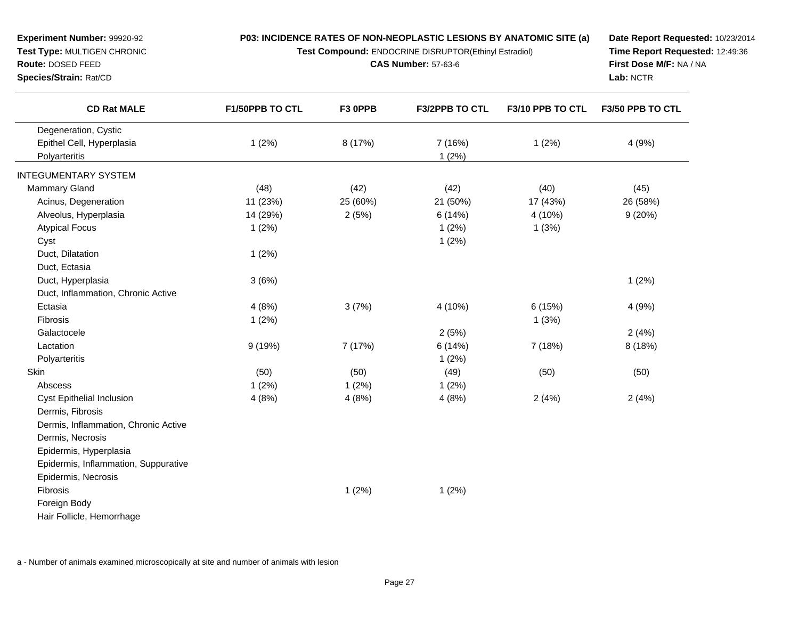**Test Compound:** ENDOCRINE DISRUPTOR(Ethinyl Estradiol)

**CAS Number:** 57-63-6

**Date Report Requested:** 10/23/2014**Time Report Requested:** 12:49:36**First Dose M/F:** NA / NA**Lab:** NCTR

| <b>CD Rat MALE</b>                   | <b>F1/50PPB TO CTL</b> | F3 OPPB  | <b>F3/2PPB TO CTL</b> | F3/10 PPB TO CTL | F3/50 PPB TO CTL |
|--------------------------------------|------------------------|----------|-----------------------|------------------|------------------|
| Degeneration, Cystic                 |                        |          |                       |                  |                  |
| Epithel Cell, Hyperplasia            | 1(2%)                  | 8 (17%)  | 7 (16%)               | 1(2%)            | 4 (9%)           |
| Polyarteritis                        |                        |          | 1(2%)                 |                  |                  |
| <b>INTEGUMENTARY SYSTEM</b>          |                        |          |                       |                  |                  |
| <b>Mammary Gland</b>                 | (48)                   | (42)     | (42)                  | (40)             | (45)             |
| Acinus, Degeneration                 | 11 (23%)               | 25 (60%) | 21 (50%)              | 17 (43%)         | 26 (58%)         |
| Alveolus, Hyperplasia                | 14 (29%)               | 2(5%)    | 6(14%)                | 4 (10%)          | 9(20%)           |
| <b>Atypical Focus</b>                | 1(2%)                  |          | 1(2%)                 | 1(3%)            |                  |
| Cyst                                 |                        |          | 1(2%)                 |                  |                  |
| Duct, Dilatation                     | 1(2%)                  |          |                       |                  |                  |
| Duct, Ectasia                        |                        |          |                       |                  |                  |
| Duct, Hyperplasia                    | 3(6%)                  |          |                       |                  | 1(2%)            |
| Duct, Inflammation, Chronic Active   |                        |          |                       |                  |                  |
| Ectasia                              | 4(8%)                  | 3(7%)    | 4 (10%)               | 6(15%)           | 4(9%)            |
| <b>Fibrosis</b>                      | 1(2%)                  |          |                       | 1(3%)            |                  |
| Galactocele                          |                        |          | 2(5%)                 |                  | 2(4%)            |
| Lactation                            | 9(19%)                 | 7 (17%)  | 6(14%)                | 7 (18%)          | 8 (18%)          |
| Polyarteritis                        |                        |          | 1(2%)                 |                  |                  |
| Skin                                 | (50)                   | (50)     | (49)                  | (50)             | (50)             |
| Abscess                              | 1(2%)                  | 1(2%)    | 1(2%)                 |                  |                  |
| <b>Cyst Epithelial Inclusion</b>     | 4(8%)                  | 4(8%)    | 4(8%)                 | 2(4%)            | 2(4%)            |
| Dermis, Fibrosis                     |                        |          |                       |                  |                  |
| Dermis, Inflammation, Chronic Active |                        |          |                       |                  |                  |
| Dermis, Necrosis                     |                        |          |                       |                  |                  |
| Epidermis, Hyperplasia               |                        |          |                       |                  |                  |
| Epidermis, Inflammation, Suppurative |                        |          |                       |                  |                  |
| Epidermis, Necrosis                  |                        |          |                       |                  |                  |
| Fibrosis                             |                        | 1(2%)    | 1(2%)                 |                  |                  |
| Foreign Body                         |                        |          |                       |                  |                  |
| Hair Follicle, Hemorrhage            |                        |          |                       |                  |                  |
|                                      |                        |          |                       |                  |                  |

a - Number of animals examined microscopically at site and number of animals with lesion

**Experiment Number:** 99920-92**Test Type:** MULTIGEN CHRONIC

**Route:** DOSED FEED**Species/Strain:** Rat/CD

 $\overline{\phantom{a}}$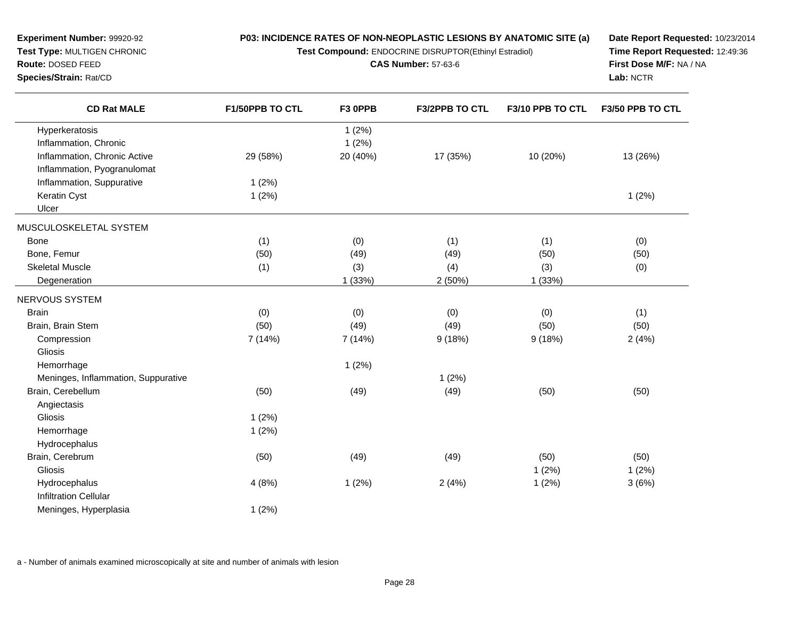**Test Compound:** ENDOCRINE DISRUPTOR(Ethinyl Estradiol)

**CAS Number:** 57-63-6

**Date Report Requested:** 10/23/2014**Time Report Requested:** 12:49:36**First Dose M/F:** NA / NA**Lab:** NCTR

| <b>CD Rat MALE</b>                  | F1/50PPB TO CTL | F3 OPPB  | F3/2PPB TO CTL | F3/10 PPB TO CTL | F3/50 PPB TO CTL |
|-------------------------------------|-----------------|----------|----------------|------------------|------------------|
| Hyperkeratosis                      |                 | 1(2%)    |                |                  |                  |
| Inflammation, Chronic               |                 | 1(2%)    |                |                  |                  |
| Inflammation, Chronic Active        | 29 (58%)        | 20 (40%) | 17 (35%)       | 10 (20%)         | 13 (26%)         |
| Inflammation, Pyogranulomat         |                 |          |                |                  |                  |
| Inflammation, Suppurative           | 1(2%)           |          |                |                  |                  |
| Keratin Cyst                        | 1(2%)           |          |                |                  | 1(2%)            |
| Ulcer                               |                 |          |                |                  |                  |
| MUSCULOSKELETAL SYSTEM              |                 |          |                |                  |                  |
| <b>Bone</b>                         | (1)             | (0)      | (1)            | (1)              | (0)              |
| Bone, Femur                         | (50)            | (49)     | (49)           | (50)             | (50)             |
| <b>Skeletal Muscle</b>              | (1)             | (3)      | (4)            | (3)              | (0)              |
| Degeneration                        |                 | 1(33%)   | 2(50%)         | 1(33%)           |                  |
| NERVOUS SYSTEM                      |                 |          |                |                  |                  |
| <b>Brain</b>                        | (0)             | (0)      | (0)            | (0)              | (1)              |
| Brain, Brain Stem                   | (50)            | (49)     | (49)           | (50)             | (50)             |
| Compression                         | 7 (14%)         | 7 (14%)  | 9(18%)         | 9(18%)           | 2(4%)            |
| Gliosis                             |                 |          |                |                  |                  |
| Hemorrhage                          |                 | 1(2%)    |                |                  |                  |
| Meninges, Inflammation, Suppurative |                 |          | 1(2%)          |                  |                  |
| Brain, Cerebellum                   | (50)            | (49)     | (49)           | (50)             | (50)             |
| Angiectasis                         |                 |          |                |                  |                  |
| Gliosis                             | 1(2%)           |          |                |                  |                  |
| Hemorrhage                          | 1(2%)           |          |                |                  |                  |
| Hydrocephalus                       |                 |          |                |                  |                  |
| Brain, Cerebrum                     | (50)            | (49)     | (49)           | (50)             | (50)             |
| Gliosis                             |                 |          |                | 1(2%)            | 1(2%)            |
| Hydrocephalus                       | 4(8%)           | 1(2%)    | 2(4%)          | 1(2%)            | 3(6%)            |
| <b>Infiltration Cellular</b>        |                 |          |                |                  |                  |
| Meninges, Hyperplasia               | 1(2%)           |          |                |                  |                  |

a - Number of animals examined microscopically at site and number of animals with lesion

**Experiment Number:** 99920-92**Test Type:** MULTIGEN CHRONIC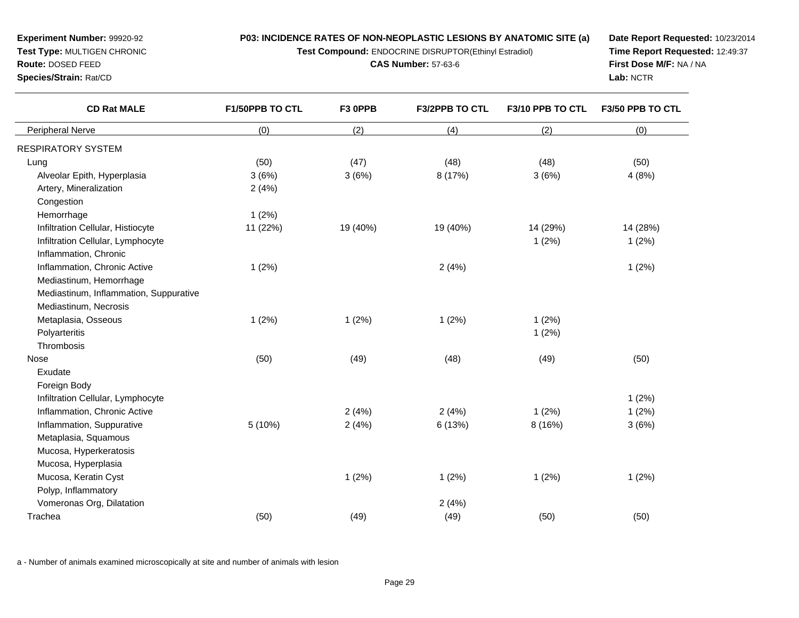**Test Compound:** ENDOCRINE DISRUPTOR(Ethinyl Estradiol)

**CAS Number:** 57-63-6

**Date Report Requested:** 10/23/2014**Time Report Requested:** 12:49:37**First Dose M/F:** NA / NA**Lab:** NCTR

| <b>CD Rat MALE</b>                     | F1/50PPB TO CTL | F3 OPPB  | F3/2PPB TO CTL | F3/10 PPB TO CTL | F3/50 PPB TO CTL |
|----------------------------------------|-----------------|----------|----------------|------------------|------------------|
| Peripheral Nerve                       | (0)             | (2)      | (4)            | (2)              | (0)              |
| RESPIRATORY SYSTEM                     |                 |          |                |                  |                  |
| Lung                                   | (50)            | (47)     | (48)           | (48)             | (50)             |
| Alveolar Epith, Hyperplasia            | 3(6%)           | 3(6%)    | 8 (17%)        | 3(6%)            | 4(8%)            |
| Artery, Mineralization                 | 2(4%)           |          |                |                  |                  |
| Congestion                             |                 |          |                |                  |                  |
| Hemorrhage                             | 1(2%)           |          |                |                  |                  |
| Infiltration Cellular, Histiocyte      | 11 (22%)        | 19 (40%) | 19 (40%)       | 14 (29%)         | 14 (28%)         |
| Infiltration Cellular, Lymphocyte      |                 |          |                | 1(2%)            | 1(2%)            |
| Inflammation, Chronic                  |                 |          |                |                  |                  |
| Inflammation, Chronic Active           | 1(2%)           |          | 2(4%)          |                  | 1(2%)            |
| Mediastinum, Hemorrhage                |                 |          |                |                  |                  |
| Mediastinum, Inflammation, Suppurative |                 |          |                |                  |                  |
| Mediastinum, Necrosis                  |                 |          |                |                  |                  |
| Metaplasia, Osseous                    | 1(2%)           | 1(2%)    | 1(2%)          | 1(2%)            |                  |
| Polyarteritis                          |                 |          |                | 1(2%)            |                  |
| Thrombosis                             |                 |          |                |                  |                  |
| <b>Nose</b>                            | (50)            | (49)     | (48)           | (49)             | (50)             |
| Exudate                                |                 |          |                |                  |                  |
| Foreign Body                           |                 |          |                |                  |                  |
| Infiltration Cellular, Lymphocyte      |                 |          |                |                  | 1(2%)            |
| Inflammation, Chronic Active           |                 | 2(4%)    | 2(4%)          | 1(2%)            | 1(2%)            |
| Inflammation, Suppurative              | 5 (10%)         | 2(4%)    | 6(13%)         | 8 (16%)          | 3(6%)            |
| Metaplasia, Squamous                   |                 |          |                |                  |                  |
| Mucosa, Hyperkeratosis                 |                 |          |                |                  |                  |
| Mucosa, Hyperplasia                    |                 |          |                |                  |                  |
| Mucosa, Keratin Cyst                   |                 | 1(2%)    | 1(2%)          | 1(2%)            | 1(2%)            |
| Polyp, Inflammatory                    |                 |          |                |                  |                  |
| Vomeronas Org, Dilatation              |                 |          | 2(4%)          |                  |                  |
| Trachea                                | (50)            | (49)     | (49)           | (50)             | (50)             |

a - Number of animals examined microscopically at site and number of animals with lesion

**Experiment Number:** 99920-92**Test Type:** MULTIGEN CHRONIC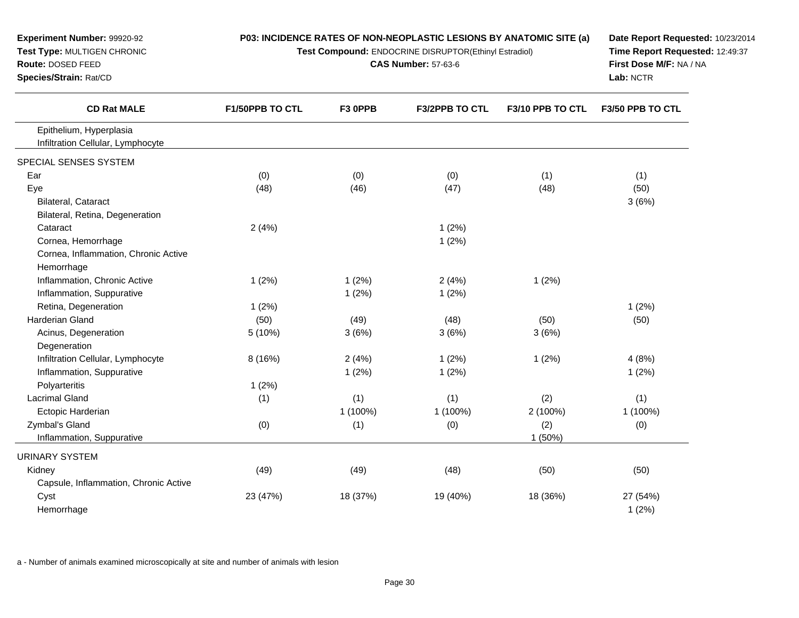| <b>Experiment Number: 99920-92</b><br>Test Type: MULTIGEN CHRONIC<br>Route: DOSED FEED<br>Species/Strain: Rat/CD | P03: INCIDENCE RATES OF NON-NEOPLASTIC LESIONS BY ANATOMIC SITE (a)<br>Test Compound: ENDOCRINE DISRUPTOR(Ethinyl Estradiol) | Date Report Requested: 10/23/2014<br>Time Report Requested: 12:49:37<br>First Dose M/F: NA / NA<br>Lab: NCTR |                       |                  |                         |
|------------------------------------------------------------------------------------------------------------------|------------------------------------------------------------------------------------------------------------------------------|--------------------------------------------------------------------------------------------------------------|-----------------------|------------------|-------------------------|
| <b>CD Rat MALE</b>                                                                                               | F1/50PPB TO CTL                                                                                                              | F3 OPPB                                                                                                      | <b>F3/2PPB TO CTL</b> | F3/10 PPB TO CTL | <b>F3/50 PPB TO CTL</b> |
| Epithelium, Hyperplasia<br>Infiltration Cellular, Lymphocyte                                                     |                                                                                                                              |                                                                                                              |                       |                  |                         |
| SPECIAL SENSES SYSTEM                                                                                            |                                                                                                                              |                                                                                                              |                       |                  |                         |
| Ear                                                                                                              | (0)                                                                                                                          | (0)                                                                                                          | (0)                   | (1)              | (1)                     |
| Eye                                                                                                              | (48)                                                                                                                         | (46)                                                                                                         | (47)                  | (48)             | (50)                    |
| Bilateral, Cataract                                                                                              |                                                                                                                              |                                                                                                              |                       |                  | 3(6%)                   |
| Bilateral, Retina, Degeneration                                                                                  |                                                                                                                              |                                                                                                              |                       |                  |                         |
| Cataract                                                                                                         | 2(4%)                                                                                                                        |                                                                                                              | 1(2%)                 |                  |                         |
| Cornea, Hemorrhage                                                                                               |                                                                                                                              |                                                                                                              | 1(2%)                 |                  |                         |
| Cornea, Inflammation, Chronic Active                                                                             |                                                                                                                              |                                                                                                              |                       |                  |                         |
| Hemorrhage                                                                                                       |                                                                                                                              |                                                                                                              |                       |                  |                         |
| Inflammation, Chronic Active                                                                                     | 1(2%)                                                                                                                        | 1(2%)                                                                                                        | 2(4%)                 | 1(2%)            |                         |
| Inflammation, Suppurative                                                                                        |                                                                                                                              | 1(2%)                                                                                                        | 1(2%)                 |                  |                         |
| Retina, Degeneration                                                                                             | 1(2%)                                                                                                                        |                                                                                                              |                       |                  | 1(2%)                   |
| Harderian Gland                                                                                                  | (50)                                                                                                                         | (49)                                                                                                         | (48)                  | (50)             | (50)                    |
| Acinus, Degeneration                                                                                             | 5 (10%)                                                                                                                      | 3(6%)                                                                                                        | 3(6%)                 | 3(6%)            |                         |
| Degeneration                                                                                                     |                                                                                                                              |                                                                                                              |                       |                  |                         |
| Infiltration Cellular, Lymphocyte                                                                                | 8 (16%)                                                                                                                      | 2(4%)                                                                                                        | 1(2%)                 | 1(2%)            | 4(8%)                   |
| Inflammation, Suppurative                                                                                        |                                                                                                                              | 1(2%)                                                                                                        | 1(2%)                 |                  | 1(2%)                   |
| Polyarteritis                                                                                                    | 1(2%)                                                                                                                        |                                                                                                              |                       |                  |                         |
| <b>Lacrimal Gland</b>                                                                                            | (1)                                                                                                                          | (1)                                                                                                          | (1)                   | (2)              | (1)                     |
| Ectopic Harderian                                                                                                |                                                                                                                              | 1 (100%)                                                                                                     | 1 (100%)              | 2 (100%)         | 1 (100%)                |
| Zymbal's Gland                                                                                                   | (0)                                                                                                                          | (1)                                                                                                          | (0)                   | (2)              | (0)                     |
| Inflammation, Suppurative                                                                                        |                                                                                                                              |                                                                                                              |                       | 1(50%)           |                         |
| <b>URINARY SYSTEM</b>                                                                                            |                                                                                                                              |                                                                                                              |                       |                  |                         |
| Kidney                                                                                                           | (49)                                                                                                                         | (49)                                                                                                         | (48)                  | (50)             | (50)                    |
| Capsule, Inflammation, Chronic Active                                                                            |                                                                                                                              |                                                                                                              |                       |                  |                         |
| Cyst                                                                                                             | 23 (47%)                                                                                                                     | 18 (37%)                                                                                                     | 19 (40%)              | 18 (36%)         | 27 (54%)                |
| Hemorrhage                                                                                                       |                                                                                                                              |                                                                                                              |                       |                  | 1(2%)                   |
|                                                                                                                  |                                                                                                                              |                                                                                                              |                       |                  |                         |

a - Number of animals examined microscopically at site and number of animals with lesion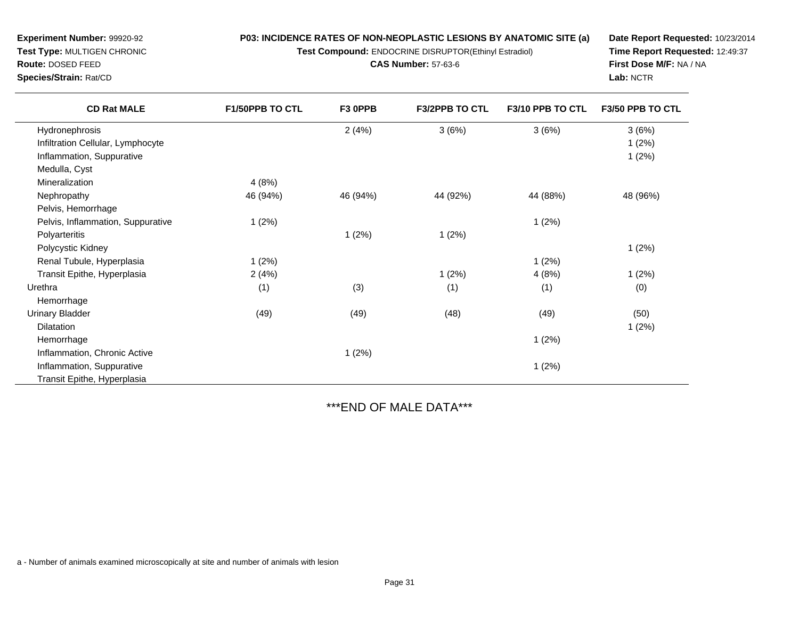**Test Compound:** ENDOCRINE DISRUPTOR(Ethinyl Estradiol)

**CAS Number:** 57-63-6

**Date Report Requested:** 10/23/2014**Time Report Requested:** 12:49:37**First Dose M/F:** NA / NA**Lab:** NCTR

| <b>CD Rat MALE</b>                | F1/50PPB TO CTL | F3 OPPB  | <b>F3/2PPB TO CTL</b> | F3/10 PPB TO CTL | F3/50 PPB TO CTL |
|-----------------------------------|-----------------|----------|-----------------------|------------------|------------------|
| Hydronephrosis                    |                 | 2(4%)    | 3(6%)                 | 3(6%)            | 3(6%)            |
| Infiltration Cellular, Lymphocyte |                 |          |                       |                  | 1(2%)            |
| Inflammation, Suppurative         |                 |          |                       |                  | 1(2%)            |
| Medulla, Cyst                     |                 |          |                       |                  |                  |
| Mineralization                    | 4(8%)           |          |                       |                  |                  |
| Nephropathy                       | 46 (94%)        | 46 (94%) | 44 (92%)              | 44 (88%)         | 48 (96%)         |
| Pelvis, Hemorrhage                |                 |          |                       |                  |                  |
| Pelvis, Inflammation, Suppurative | 1(2%)           |          |                       | 1(2%)            |                  |
| Polyarteritis                     |                 | 1(2%)    | 1(2%)                 |                  |                  |
| Polycystic Kidney                 |                 |          |                       |                  | 1(2%)            |
| Renal Tubule, Hyperplasia         | 1(2%)           |          |                       | 1(2%)            |                  |
| Transit Epithe, Hyperplasia       | 2(4%)           |          | 1(2%)                 | 4(8%)            | 1(2%)            |
| Urethra                           | (1)             | (3)      | (1)                   | (1)              | (0)              |
| Hemorrhage                        |                 |          |                       |                  |                  |
| <b>Urinary Bladder</b>            | (49)            | (49)     | (48)                  | (49)             | (50)             |
| <b>Dilatation</b>                 |                 |          |                       |                  | 1(2%)            |
| Hemorrhage                        |                 |          |                       | 1(2%)            |                  |
| Inflammation, Chronic Active      |                 | 1(2%)    |                       |                  |                  |
| Inflammation, Suppurative         |                 |          |                       | 1(2%)            |                  |
| Transit Epithe, Hyperplasia       |                 |          |                       |                  |                  |
|                                   |                 |          |                       |                  |                  |

\*\*\*END OF MALE DATA\*\*\*

a - Number of animals examined microscopically at site and number of animals with lesion

**Experiment Number:** 99920-92**Test Type:** MULTIGEN CHRONIC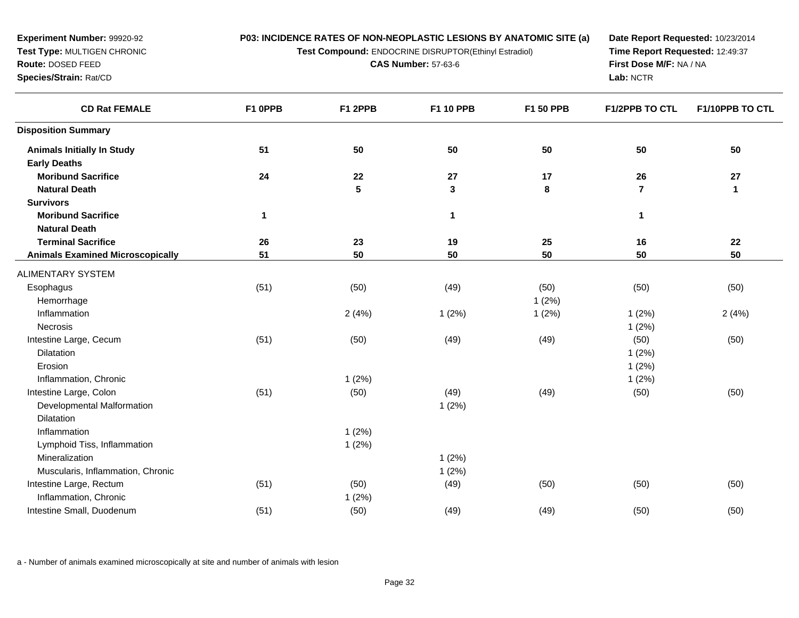**Test Compound:** ENDOCRINE DISRUPTOR(Ethinyl Estradiol)

**CAS Number:** 57-63-6

**Date Report Requested:** 10/23/2014**Time Report Requested:** 12:49:37**First Dose M/F:** NA / NA**Lab:** NCTR

| <b>CD Rat FEMALE</b>                    | F1 OPPB     | F1 2PPB         | F1 10 PPB    | F1 50 PPB | <b>F1/2PPB TO CTL</b>   | F1/10PPB TO CTL |
|-----------------------------------------|-------------|-----------------|--------------|-----------|-------------------------|-----------------|
| <b>Disposition Summary</b>              |             |                 |              |           |                         |                 |
| <b>Animals Initially In Study</b>       | 51          | 50              | 50           | 50        | 50                      | 50              |
| <b>Early Deaths</b>                     |             |                 |              |           |                         |                 |
| <b>Moribund Sacrifice</b>               | 24          | 22              | 27           | 17        | 26                      | 27              |
| <b>Natural Death</b>                    |             | $5\phantom{.0}$ | $\mathbf{3}$ | 8         | $\overline{\mathbf{r}}$ | $\mathbf{1}$    |
| <b>Survivors</b>                        |             |                 |              |           |                         |                 |
| <b>Moribund Sacrifice</b>               | $\mathbf 1$ |                 | $\mathbf{1}$ |           | 1                       |                 |
| <b>Natural Death</b>                    |             |                 |              |           |                         |                 |
| <b>Terminal Sacrifice</b>               | 26          | 23              | 19           | 25        | 16                      | 22              |
| <b>Animals Examined Microscopically</b> | 51          | 50              | 50           | 50        | 50                      | 50              |
| ALIMENTARY SYSTEM                       |             |                 |              |           |                         |                 |
| Esophagus                               | (51)        | (50)            | (49)         | (50)      | (50)                    | (50)            |
| Hemorrhage                              |             |                 |              | 1(2%)     |                         |                 |
| Inflammation                            |             | 2(4%)           | 1(2%)        | 1(2%)     | 1(2%)                   | 2(4%)           |
| Necrosis                                |             |                 |              |           | 1(2%)                   |                 |
| Intestine Large, Cecum                  | (51)        | (50)            | (49)         | (49)      | (50)                    | (50)            |
| Dilatation                              |             |                 |              |           | 1(2%)                   |                 |
| Erosion                                 |             |                 |              |           | 1(2%)                   |                 |
| Inflammation, Chronic                   |             | 1(2%)           |              |           | 1(2%)                   |                 |
| Intestine Large, Colon                  | (51)        | (50)            | (49)         | (49)      | (50)                    | (50)            |
| Developmental Malformation              |             |                 | 1(2%)        |           |                         |                 |
| <b>Dilatation</b>                       |             |                 |              |           |                         |                 |
| Inflammation                            |             | 1(2%)           |              |           |                         |                 |
| Lymphoid Tiss, Inflammation             |             | 1(2%)           |              |           |                         |                 |
| Mineralization                          |             |                 | 1(2%)        |           |                         |                 |
| Muscularis, Inflammation, Chronic       |             |                 | 1(2%)        |           |                         |                 |
| Intestine Large, Rectum                 | (51)        | (50)            | (49)         | (50)      | (50)                    | (50)            |
| Inflammation, Chronic                   |             | 1(2%)           |              |           |                         |                 |
| Intestine Small, Duodenum               | (51)        | (50)            | (49)         | (49)      | (50)                    | (50)            |

a - Number of animals examined microscopically at site and number of animals with lesion

**Experiment Number:** 99920-92**Test Type:** MULTIGEN CHRONIC

**Route:** DOSED FEED**Species/Strain:** Rat/CD

 $\overline{\phantom{a}}$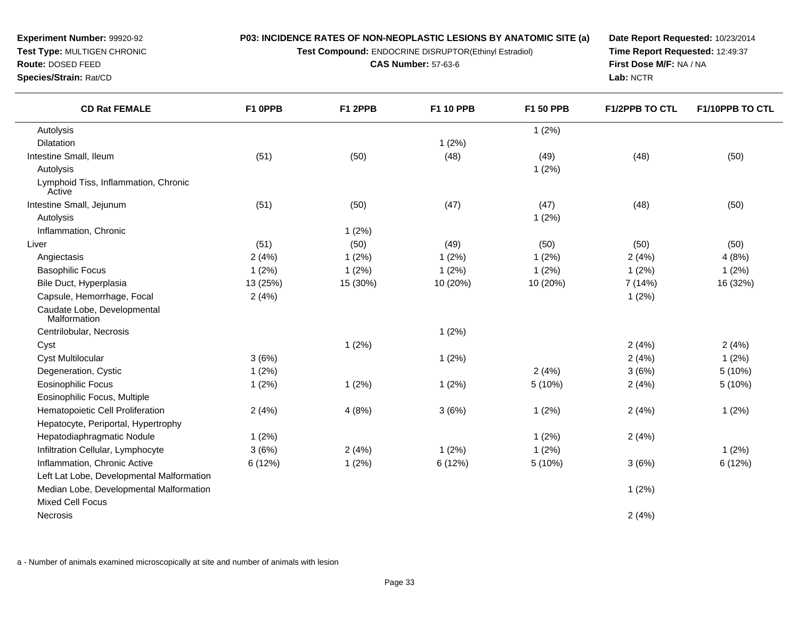**P03: INCIDENCE RATES OF NON-NEOPLASTIC LESIONS BY ANATOMIC SITE (a)Test Compound:** ENDOCRINE DISRUPTOR(Ethinyl Estradiol)

**CAS Number:** 57-63-6

**Experiment Number:** 99920-92**Test Type:** MULTIGEN CHRONIC

**Route:** DOSED FEED

**Species/Strain:** Rat/CD

**Date Report Requested:** 10/23/2014**Time Report Requested:** 12:49:37**First Dose M/F:** NA / NA**Lab:** NCTR

| <b>CD Rat FEMALE</b>                           | F1 OPPB  | F1 2PPB  | F1 10 PPB | <b>F1 50 PPB</b> | <b>F1/2PPB TO CTL</b> | F1/10PPB TO CTL |
|------------------------------------------------|----------|----------|-----------|------------------|-----------------------|-----------------|
| Autolysis                                      |          |          |           | 1(2%)            |                       |                 |
| Dilatation                                     |          |          | 1(2%)     |                  |                       |                 |
| Intestine Small, Ileum                         | (51)     | (50)     | (48)      | (49)             | (48)                  | (50)            |
| Autolysis                                      |          |          |           | 1(2%)            |                       |                 |
| Lymphoid Tiss, Inflammation, Chronic<br>Active |          |          |           |                  |                       |                 |
| Intestine Small, Jejunum                       | (51)     | (50)     | (47)      | (47)             | (48)                  | (50)            |
| Autolysis                                      |          |          |           | 1(2%)            |                       |                 |
| Inflammation, Chronic                          |          | 1(2%)    |           |                  |                       |                 |
| Liver                                          | (51)     | (50)     | (49)      | (50)             | (50)                  | (50)            |
| Angiectasis                                    | 2(4%)    | 1(2%)    | 1(2%)     | 1(2%)            | 2(4%)                 | 4(8%)           |
| <b>Basophilic Focus</b>                        | 1(2%)    | 1(2%)    | 1(2%)     | $1(2\%)$         | 1(2%)                 | 1(2%)           |
| Bile Duct, Hyperplasia                         | 13 (25%) | 15 (30%) | 10 (20%)  | 10 (20%)         | 7 (14%)               | 16 (32%)        |
| Capsule, Hemorrhage, Focal                     | 2(4%)    |          |           |                  | 1(2%)                 |                 |
| Caudate Lobe, Developmental<br>Malformation    |          |          |           |                  |                       |                 |
| Centrilobular, Necrosis                        |          |          | 1(2%)     |                  |                       |                 |
| Cyst                                           |          | 1(2%)    |           |                  | 2(4%)                 | 2(4%)           |
| <b>Cyst Multilocular</b>                       | 3(6%)    |          | 1(2%)     |                  | 2(4%)                 | 1(2%)           |
| Degeneration, Cystic                           | $1(2\%)$ |          |           | 2(4%)            | 3(6%)                 | 5(10%)          |
| <b>Eosinophilic Focus</b>                      | 1(2%)    | 1(2%)    | 1(2%)     | 5 (10%)          | 2(4%)                 | 5(10%)          |
| Eosinophilic Focus, Multiple                   |          |          |           |                  |                       |                 |
| Hematopoietic Cell Proliferation               | 2(4%)    | 4(8%)    | 3(6%)     | 1(2%)            | 2(4%)                 | 1(2%)           |
| Hepatocyte, Periportal, Hypertrophy            |          |          |           |                  |                       |                 |
| Hepatodiaphragmatic Nodule                     | 1(2%)    |          |           | 1(2%)            | 2(4%)                 |                 |
| Infiltration Cellular, Lymphocyte              | 3(6%)    | 2(4%)    | 1(2%)     | 1(2%)            |                       | 1(2%)           |
| Inflammation, Chronic Active                   | 6(12%)   | 1(2%)    | 6 (12%)   | 5 (10%)          | 3(6%)                 | 6(12%)          |
| Left Lat Lobe, Developmental Malformation      |          |          |           |                  |                       |                 |
| Median Lobe, Developmental Malformation        |          |          |           |                  | 1(2%)                 |                 |
| <b>Mixed Cell Focus</b>                        |          |          |           |                  |                       |                 |
| Necrosis                                       |          |          |           |                  | 2(4%)                 |                 |

a - Number of animals examined microscopically at site and number of animals with lesion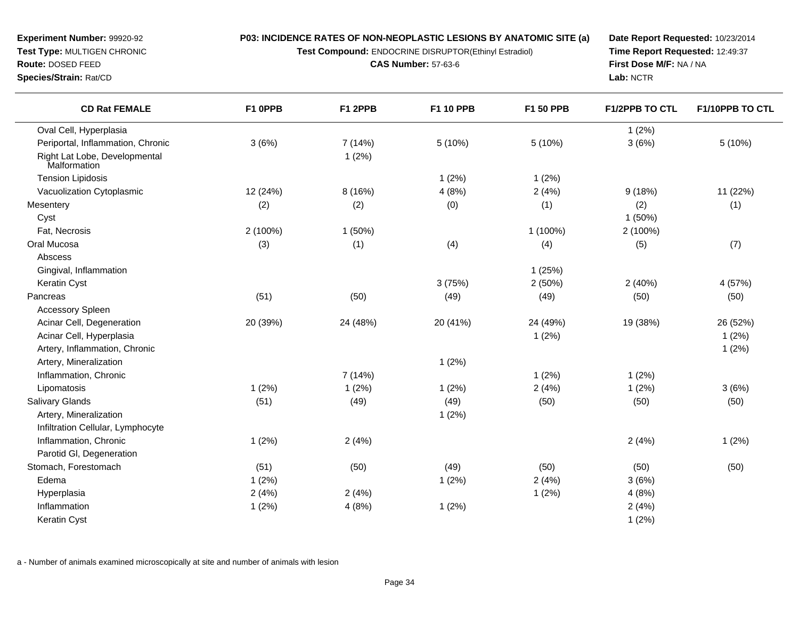**Test Compound:** ENDOCRINE DISRUPTOR(Ethinyl Estradiol)

**CAS Number:** 57-63-6

**Date Report Requested:** 10/23/2014**Time Report Requested:** 12:49:37**First Dose M/F:** NA / NA**Lab:** NCTR

| <b>CD Rat FEMALE</b>                          | F1 OPPB  | F1 2PPB  | <b>F1 10 PPB</b> | F1 50 PPB | <b>F1/2PPB TO CTL</b> | F1/10PPB TO CTL |
|-----------------------------------------------|----------|----------|------------------|-----------|-----------------------|-----------------|
| Oval Cell, Hyperplasia                        |          |          |                  |           | 1(2%)                 |                 |
| Periportal, Inflammation, Chronic             | 3(6%)    | 7 (14%)  | 5 (10%)          | 5 (10%)   | 3(6%)                 | 5(10%)          |
| Right Lat Lobe, Developmental<br>Malformation |          | 1(2%)    |                  |           |                       |                 |
| <b>Tension Lipidosis</b>                      |          |          | 1(2%)            | 1(2%)     |                       |                 |
| Vacuolization Cytoplasmic                     | 12 (24%) | 8(16%)   | 4(8%)            | 2(4%)     | 9(18%)                | 11 (22%)        |
| Mesentery                                     | (2)      | (2)      | (0)              | (1)       | (2)                   | (1)             |
| Cyst                                          |          |          |                  |           | 1(50%)                |                 |
| Fat, Necrosis                                 | 2 (100%) | 1(50%)   |                  | 1 (100%)  | 2 (100%)              |                 |
| Oral Mucosa                                   | (3)      | (1)      | (4)              | (4)       | (5)                   | (7)             |
| Abscess                                       |          |          |                  |           |                       |                 |
| Gingival, Inflammation                        |          |          |                  | 1(25%)    |                       |                 |
| Keratin Cyst                                  |          |          | 3(75%)           | 2(50%)    | 2(40%)                | 4 (57%)         |
| Pancreas                                      | (51)     | (50)     | (49)             | (49)      | (50)                  | (50)            |
| <b>Accessory Spleen</b>                       |          |          |                  |           |                       |                 |
| Acinar Cell, Degeneration                     | 20 (39%) | 24 (48%) | 20 (41%)         | 24 (49%)  | 19 (38%)              | 26 (52%)        |
| Acinar Cell, Hyperplasia                      |          |          |                  | 1(2%)     |                       | 1(2%)           |
| Artery, Inflammation, Chronic                 |          |          |                  |           |                       | 1(2%)           |
| Artery, Mineralization                        |          |          | 1(2%)            |           |                       |                 |
| Inflammation, Chronic                         |          | 7 (14%)  |                  | 1(2%)     | 1(2%)                 |                 |
| Lipomatosis                                   | 1(2%)    | 1(2%)    | 1(2%)            | 2(4%)     | 1(2%)                 | 3(6%)           |
| <b>Salivary Glands</b>                        | (51)     | (49)     | (49)             | (50)      | (50)                  | (50)            |
| Artery, Mineralization                        |          |          | 1(2%)            |           |                       |                 |
| Infiltration Cellular, Lymphocyte             |          |          |                  |           |                       |                 |
| Inflammation, Chronic                         | 1(2%)    | 2(4%)    |                  |           | 2(4%)                 | 1(2%)           |
| Parotid GI, Degeneration                      |          |          |                  |           |                       |                 |
| Stomach, Forestomach                          | (51)     | (50)     | (49)             | (50)      | (50)                  | (50)            |
| Edema                                         | 1(2%)    |          | 1(2%)            | 2(4%)     | 3(6%)                 |                 |
| Hyperplasia                                   | 2(4%)    | 2(4%)    |                  | 1(2%)     | 4(8%)                 |                 |
| Inflammation                                  | 1(2%)    | 4(8%)    | 1(2%)            |           | 2(4%)                 |                 |
| Keratin Cyst                                  |          |          |                  |           | 1(2%)                 |                 |

a - Number of animals examined microscopically at site and number of animals with lesion

**Test Type:** MULTIGEN CHRONIC

**Experiment Number:** 99920-92

**Route:** DOSED FEED

**Species/Strain:** Rat/CD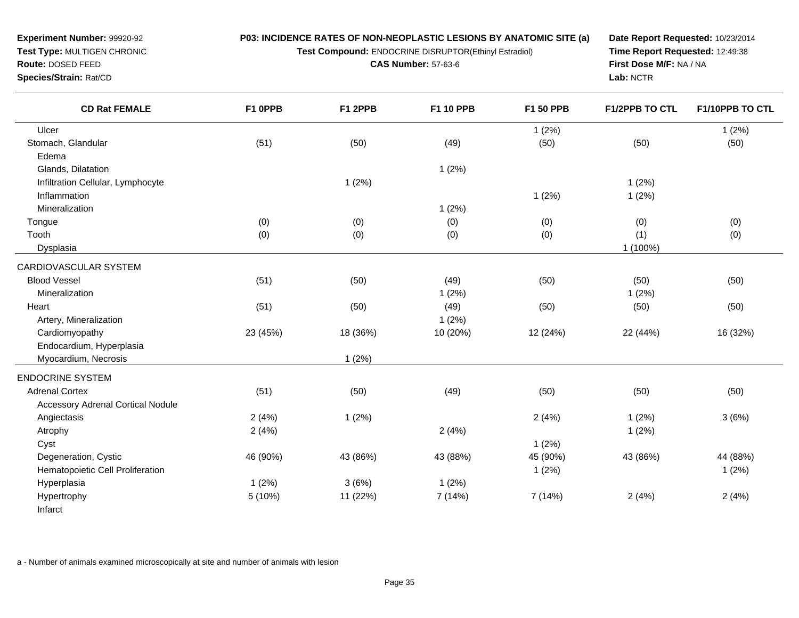**P03: INCIDENCE RATES OF NON-NEOPLASTIC LESIONS BY ANATOMIC SITE (a)Test Compound:** ENDOCRINE DISRUPTOR(Ethinyl Estradiol)

**CAS Number:** 57-63-6

**Test Type:** MULTIGEN CHRONIC

**Experiment Number:** 99920-92

**Route:** DOSED FEED

**Species/Strain:** Rat/CD

**Date Report Requested:** 10/23/2014**Time Report Requested:** 12:49:38**First Dose M/F:** NA / NA**Lab:** NCTR

| <b>CD Rat FEMALE</b>                     | F1 0PPB  | F1 2PPB  | F1 10 PPB | F1 50 PPB | <b>F1/2PPB TO CTL</b> | F1/10PPB TO CTL |
|------------------------------------------|----------|----------|-----------|-----------|-----------------------|-----------------|
| Ulcer                                    |          |          |           | 1(2%)     |                       | 1(2%)           |
| Stomach, Glandular                       | (51)     | (50)     | (49)      | (50)      | (50)                  | (50)            |
| Edema                                    |          |          |           |           |                       |                 |
| Glands, Dilatation                       |          |          | 1(2%)     |           |                       |                 |
| Infiltration Cellular, Lymphocyte        |          | 1(2%)    |           |           | 1(2%)                 |                 |
| Inflammation                             |          |          |           | 1(2%)     | 1(2%)                 |                 |
| Mineralization                           |          |          | 1(2%)     |           |                       |                 |
| Tongue                                   | (0)      | (0)      | (0)       | (0)       | (0)                   | (0)             |
| Tooth                                    | (0)      | (0)      | (0)       | (0)       | (1)                   | (0)             |
| Dysplasia                                |          |          |           |           | 1 (100%)              |                 |
| CARDIOVASCULAR SYSTEM                    |          |          |           |           |                       |                 |
| <b>Blood Vessel</b>                      | (51)     | (50)     | (49)      | (50)      | (50)                  | (50)            |
| Mineralization                           |          |          | 1(2%)     |           | 1(2%)                 |                 |
| Heart                                    | (51)     | (50)     | (49)      | (50)      | (50)                  | (50)            |
| Artery, Mineralization                   |          |          | 1(2%)     |           |                       |                 |
| Cardiomyopathy                           | 23 (45%) | 18 (36%) | 10 (20%)  | 12 (24%)  | 22 (44%)              | 16 (32%)        |
| Endocardium, Hyperplasia                 |          |          |           |           |                       |                 |
| Myocardium, Necrosis                     |          | 1(2%)    |           |           |                       |                 |
| <b>ENDOCRINE SYSTEM</b>                  |          |          |           |           |                       |                 |
| <b>Adrenal Cortex</b>                    | (51)     | (50)     | (49)      | (50)      | (50)                  | (50)            |
| <b>Accessory Adrenal Cortical Nodule</b> |          |          |           |           |                       |                 |
| Angiectasis                              | 2(4%)    | 1(2%)    |           | 2(4%)     | 1(2%)                 | 3(6%)           |
| Atrophy                                  | 2(4%)    |          | 2(4%)     |           | 1(2%)                 |                 |
| Cyst                                     |          |          |           | 1(2%)     |                       |                 |
| Degeneration, Cystic                     | 46 (90%) | 43 (86%) | 43 (88%)  | 45 (90%)  | 43 (86%)              | 44 (88%)        |
| Hematopoietic Cell Proliferation         |          |          |           | 1(2%)     |                       | 1(2%)           |
| Hyperplasia                              | 1(2%)    | 3(6%)    | 1(2%)     |           |                       |                 |
| Hypertrophy                              | 5 (10%)  | 11 (22%) | 7 (14%)   | 7(14%)    | 2(4%)                 | 2(4%)           |
| Infarct                                  |          |          |           |           |                       |                 |

a - Number of animals examined microscopically at site and number of animals with lesion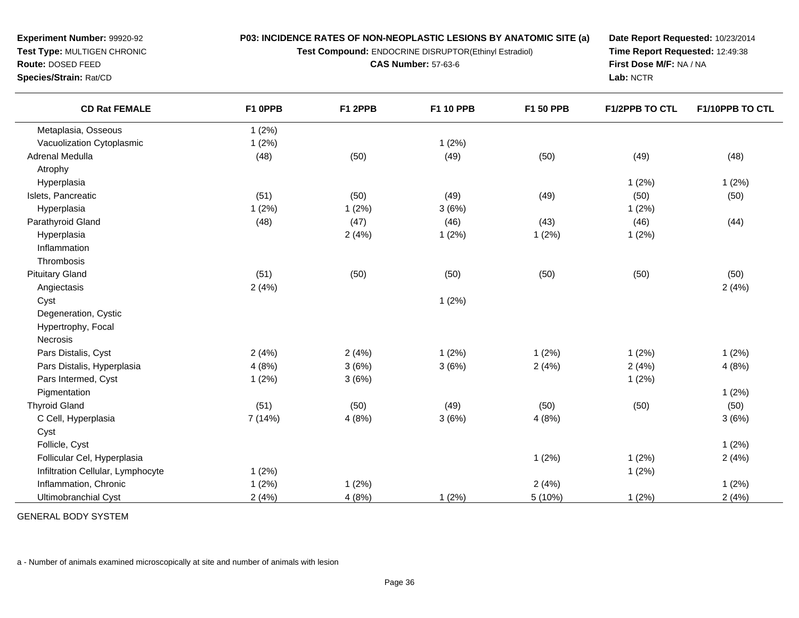**Test Compound:** ENDOCRINE DISRUPTOR(Ethinyl Estradiol)

**CAS Number:** 57-63-6

**Date Report Requested:** 10/23/2014**Time Report Requested:** 12:49:38**First Dose M/F:** NA / NA**Lab:** NCTR

| <b>CD Rat FEMALE</b>              | F1 OPPB | F1 2PPB | <b>F1 10 PPB</b> | F1 50 PPB | <b>F1/2PPB TO CTL</b> | F1/10PPB TO CTL |
|-----------------------------------|---------|---------|------------------|-----------|-----------------------|-----------------|
| Metaplasia, Osseous               | 1(2%)   |         |                  |           |                       |                 |
| Vacuolization Cytoplasmic         | 1(2%)   |         | 1(2%)            |           |                       |                 |
| Adrenal Medulla                   | (48)    | (50)    | (49)             | (50)      | (49)                  | (48)            |
| Atrophy                           |         |         |                  |           |                       |                 |
| Hyperplasia                       |         |         |                  |           | 1(2%)                 | 1(2%)           |
| Islets, Pancreatic                | (51)    | (50)    | (49)             | (49)      | (50)                  | (50)            |
| Hyperplasia                       | 1(2%)   | 1(2%)   | 3(6%)            |           | 1(2%)                 |                 |
| Parathyroid Gland                 | (48)    | (47)    | (46)             | (43)      | (46)                  | (44)            |
| Hyperplasia                       |         | 2(4%)   | 1(2%)            | 1(2%)     | 1(2%)                 |                 |
| Inflammation                      |         |         |                  |           |                       |                 |
| Thrombosis                        |         |         |                  |           |                       |                 |
| <b>Pituitary Gland</b>            | (51)    | (50)    | (50)             | (50)      | (50)                  | (50)            |
| Angiectasis                       | 2(4%)   |         |                  |           |                       | 2(4%)           |
| Cyst                              |         |         | 1(2%)            |           |                       |                 |
| Degeneration, Cystic              |         |         |                  |           |                       |                 |
| Hypertrophy, Focal                |         |         |                  |           |                       |                 |
| Necrosis                          |         |         |                  |           |                       |                 |
| Pars Distalis, Cyst               | 2(4%)   | 2(4%)   | 1(2%)            | 1(2%)     | 1(2%)                 | 1(2%)           |
| Pars Distalis, Hyperplasia        | 4(8%)   | 3(6%)   | 3(6%)            | 2(4%)     | 2(4%)                 | 4(8%)           |
| Pars Intermed, Cyst               | 1(2%)   | 3(6%)   |                  |           | 1(2%)                 |                 |
| Pigmentation                      |         |         |                  |           |                       | 1(2%)           |
| <b>Thyroid Gland</b>              | (51)    | (50)    | (49)             | (50)      | (50)                  | (50)            |
| C Cell, Hyperplasia               | 7 (14%) | 4(8%)   | 3(6%)            | 4(8%)     |                       | 3(6%)           |
| Cyst                              |         |         |                  |           |                       |                 |
| Follicle, Cyst                    |         |         |                  |           |                       | 1(2%)           |
| Follicular Cel, Hyperplasia       |         |         |                  | 1(2%)     | 1(2%)                 | 2(4%)           |
| Infiltration Cellular, Lymphocyte | 1(2%)   |         |                  |           | 1(2%)                 |                 |
| Inflammation, Chronic             | 1(2%)   | 1(2%)   |                  | 2(4%)     |                       | 1(2%)           |
| Ultimobranchial Cyst              | 2(4%)   | 4(8%)   | 1(2%)            | 5 (10%)   | 1(2%)                 | 2(4%)           |

GENERAL BODY SYSTEM

**Experiment Number:** 99920-92**Test Type:** MULTIGEN CHRONIC

**Route:** DOSED FEED**Species/Strain:** Rat/CD

 $\overline{\phantom{0}}$ 

a - Number of animals examined microscopically at site and number of animals with lesion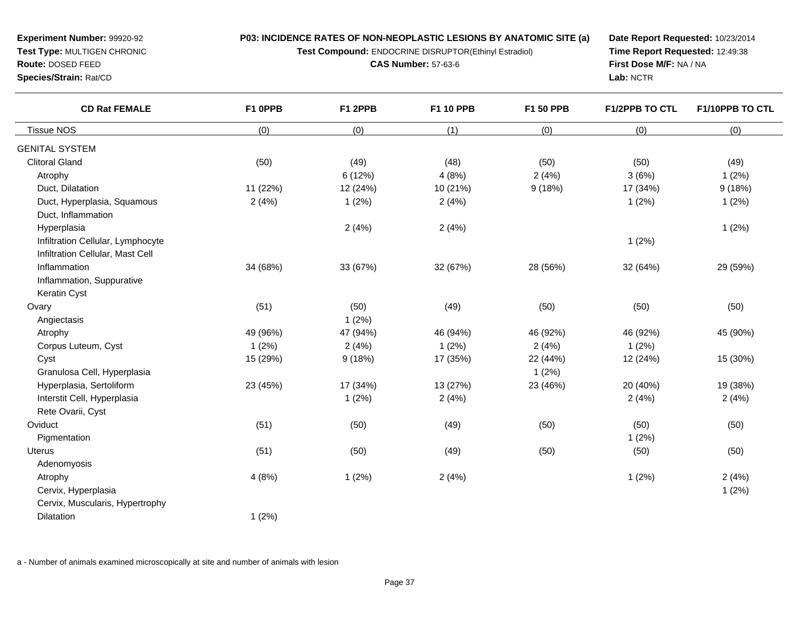**Test Compound:** ENDOCRINE DISRUPTOR(Ethinyl Estradiol)

**CAS Number:** 57-63-6

**Date Report Requested:** 10/23/2014**Time Report Requested:** 12:49:38**First Dose M/F:** NA / NA**Lab:** NCTR

| <b>CD Rat FEMALE</b>              | F1 OPPB  | F1 2PPB  | F1 10 PPB | F1 50 PPB | F1/2PPB TO CTL | F1/10PPB TO CTL |
|-----------------------------------|----------|----------|-----------|-----------|----------------|-----------------|
| <b>Tissue NOS</b>                 | (0)      | (0)      | (1)       | (0)       | (0)            | (0)             |
| <b>GENITAL SYSTEM</b>             |          |          |           |           |                |                 |
| <b>Clitoral Gland</b>             | (50)     | (49)     | (48)      | (50)      | (50)           | (49)            |
| Atrophy                           |          | 6(12%)   | 4(8%)     | 2(4%)     | 3(6%)          | 1(2%)           |
| Duct, Dilatation                  | 11 (22%) | 12 (24%) | 10 (21%)  | 9(18%)    | 17 (34%)       | 9(18%)          |
| Duct, Hyperplasia, Squamous       | 2(4%)    | 1(2%)    | 2(4%)     |           | 1(2%)          | 1(2%)           |
| Duct, Inflammation                |          |          |           |           |                |                 |
| Hyperplasia                       |          | 2(4%)    | 2(4%)     |           |                | 1(2%)           |
| Infiltration Cellular, Lymphocyte |          |          |           |           | 1(2%)          |                 |
| Infiltration Cellular, Mast Cell  |          |          |           |           |                |                 |
| Inflammation                      | 34 (68%) | 33 (67%) | 32 (67%)  | 28 (56%)  | 32 (64%)       | 29 (59%)        |
| Inflammation, Suppurative         |          |          |           |           |                |                 |
| Keratin Cyst                      |          |          |           |           |                |                 |
| Ovary                             | (51)     | (50)     | (49)      | (50)      | (50)           | (50)            |
| Angiectasis                       |          | 1(2%)    |           |           |                |                 |
| Atrophy                           | 49 (96%) | 47 (94%) | 46 (94%)  | 46 (92%)  | 46 (92%)       | 45 (90%)        |
| Corpus Luteum, Cyst               | 1(2%)    | 2(4%)    | 1(2%)     | 2(4%)     | 1(2%)          |                 |
| Cyst                              | 15 (29%) | 9(18%)   | 17 (35%)  | 22 (44%)  | 12 (24%)       | 15 (30%)        |
| Granulosa Cell, Hyperplasia       |          |          |           | 1(2%)     |                |                 |
| Hyperplasia, Sertoliform          | 23 (45%) | 17 (34%) | 13 (27%)  | 23 (46%)  | 20 (40%)       | 19 (38%)        |
| Interstit Cell, Hyperplasia       |          | 1(2%)    | 2(4%)     |           | 2(4%)          | 2(4%)           |
| Rete Ovarii, Cyst                 |          |          |           |           |                |                 |
| Oviduct                           | (51)     | (50)     | (49)      | (50)      | (50)           | (50)            |
| Pigmentation                      |          |          |           |           | 1(2%)          |                 |
| <b>Uterus</b>                     | (51)     | (50)     | (49)      | (50)      | (50)           | (50)            |
| Adenomyosis                       |          |          |           |           |                |                 |
| Atrophy                           | 4(8%)    | 1(2%)    | 2(4%)     |           | 1(2%)          | 2(4%)           |
| Cervix, Hyperplasia               |          |          |           |           |                | 1(2%)           |
| Cervix, Muscularis, Hypertrophy   |          |          |           |           |                |                 |
| Dilatation                        | 1(2%)    |          |           |           |                |                 |
|                                   |          |          |           |           |                |                 |

a - Number of animals examined microscopically at site and number of animals with lesion

**Experiment Number:** 99920-92**Test Type:** MULTIGEN CHRONIC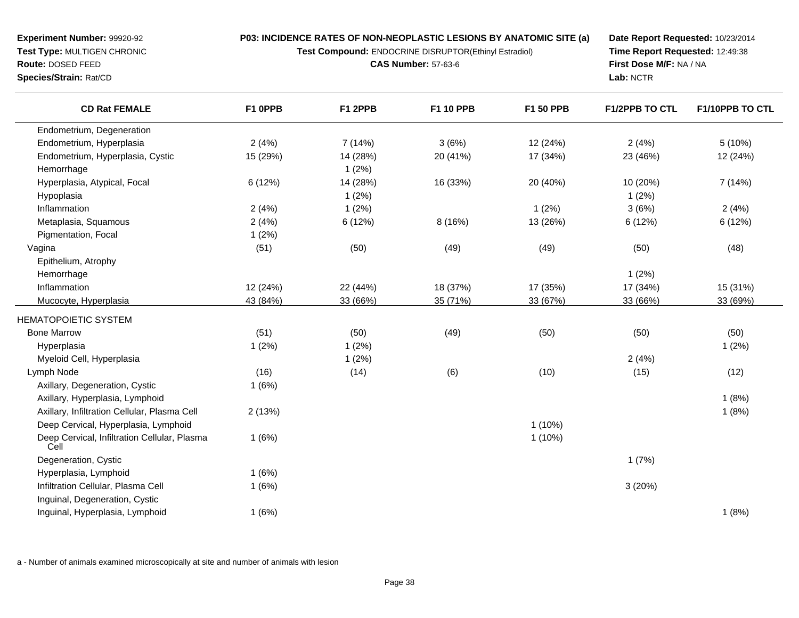**Test Compound:** ENDOCRINE DISRUPTOR(Ethinyl Estradiol)

**CAS Number:** 57-63-6

**Date Report Requested:** 10/23/2014**Time Report Requested:** 12:49:38**First Dose M/F:** NA / NA**Lab:** NCTR

| <b>CD Rat FEMALE</b>                                 | F1 OPPB  | F1 2PPB  | F1 10 PPB | F1 50 PPB | <b>F1/2PPB TO CTL</b> | F1/10PPB TO CTL |
|------------------------------------------------------|----------|----------|-----------|-----------|-----------------------|-----------------|
| Endometrium, Degeneration                            |          |          |           |           |                       |                 |
| Endometrium, Hyperplasia                             | 2(4%)    | 7 (14%)  | 3(6%)     | 12 (24%)  | 2(4%)                 | 5(10%)          |
| Endometrium, Hyperplasia, Cystic                     | 15 (29%) | 14 (28%) | 20 (41%)  | 17 (34%)  | 23 (46%)              | 12 (24%)        |
| Hemorrhage                                           |          | 1(2%)    |           |           |                       |                 |
| Hyperplasia, Atypical, Focal                         | 6(12%)   | 14 (28%) | 16 (33%)  | 20 (40%)  | 10 (20%)              | 7(14%)          |
| Hypoplasia                                           |          | 1(2%)    |           |           | 1(2%)                 |                 |
| Inflammation                                         | 2(4%)    | 1(2%)    |           | 1(2%)     | 3(6%)                 | 2(4%)           |
| Metaplasia, Squamous                                 | 2(4%)    | 6 (12%)  | 8(16%)    | 13 (26%)  | 6 (12%)               | 6(12%)          |
| Pigmentation, Focal                                  | 1(2%)    |          |           |           |                       |                 |
| Vagina                                               | (51)     | (50)     | (49)      | (49)      | (50)                  | (48)            |
| Epithelium, Atrophy                                  |          |          |           |           |                       |                 |
| Hemorrhage                                           |          |          |           |           | 1(2%)                 |                 |
| Inflammation                                         | 12 (24%) | 22 (44%) | 18 (37%)  | 17 (35%)  | 17 (34%)              | 15 (31%)        |
| Mucocyte, Hyperplasia                                | 43 (84%) | 33 (66%) | 35 (71%)  | 33 (67%)  | 33 (66%)              | 33 (69%)        |
| <b>HEMATOPOIETIC SYSTEM</b>                          |          |          |           |           |                       |                 |
| <b>Bone Marrow</b>                                   | (51)     | (50)     | (49)      | (50)      | (50)                  | (50)            |
| Hyperplasia                                          | 1(2%)    | 1(2%)    |           |           |                       | 1(2%)           |
| Myeloid Cell, Hyperplasia                            |          | 1(2%)    |           |           | 2(4%)                 |                 |
| Lymph Node                                           | (16)     | (14)     | (6)       | (10)      | (15)                  | (12)            |
| Axillary, Degeneration, Cystic                       | 1(6%)    |          |           |           |                       |                 |
| Axillary, Hyperplasia, Lymphoid                      |          |          |           |           |                       | 1(8%)           |
| Axillary, Infiltration Cellular, Plasma Cell         | 2(13%)   |          |           |           |                       | 1(8%)           |
| Deep Cervical, Hyperplasia, Lymphoid                 |          |          |           | $1(10\%)$ |                       |                 |
| Deep Cervical, Infiltration Cellular, Plasma<br>Cell | 1(6%)    |          |           | $1(10\%)$ |                       |                 |
| Degeneration, Cystic                                 |          |          |           |           | 1(7%)                 |                 |
| Hyperplasia, Lymphoid                                | 1(6%)    |          |           |           |                       |                 |
| Infiltration Cellular, Plasma Cell                   | 1(6%)    |          |           |           | 3(20%)                |                 |
| Inguinal, Degeneration, Cystic                       |          |          |           |           |                       |                 |
| Inguinal, Hyperplasia, Lymphoid                      | 1(6%)    |          |           |           |                       | 1(8%)           |

a - Number of animals examined microscopically at site and number of animals with lesion

**Experiment Number:** 99920-92**Test Type:** MULTIGEN CHRONIC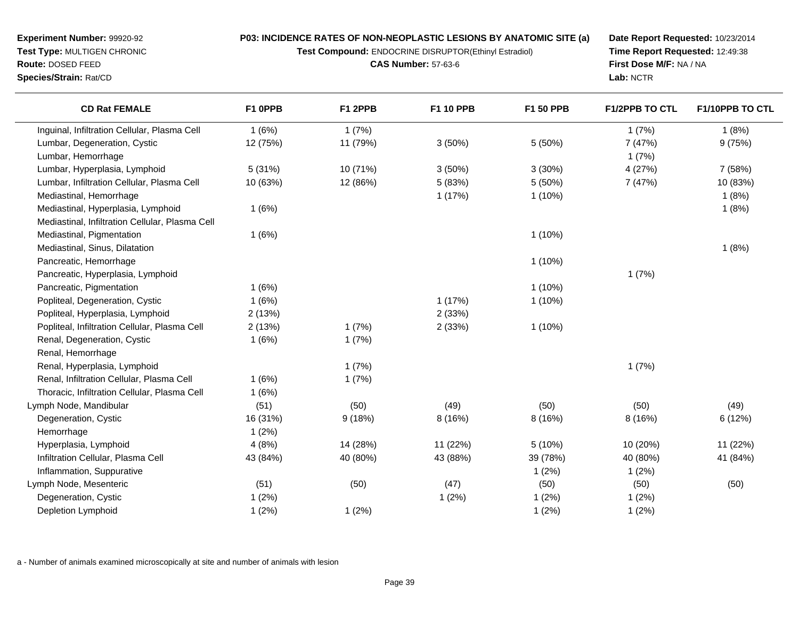**Test Compound:** ENDOCRINE DISRUPTOR(Ethinyl Estradiol)

**Date Report Requested:** 10/23/2014**Time Report Requested:** 12:49:38**First Dose M/F:** NA / NA**Lab:** NCTR

| <b>CD Rat FEMALE</b>                            | F1 0PPB  | F1 2PPB  | <b>F1 10 PPB</b> | F1 50 PPB | <b>F1/2PPB TO CTL</b> | <b>F1/10PPB TO CTL</b> |
|-------------------------------------------------|----------|----------|------------------|-----------|-----------------------|------------------------|
| Inguinal, Infiltration Cellular, Plasma Cell    | 1(6%)    | 1(7%)    |                  |           | 1(7%)                 | 1(8%)                  |
| Lumbar, Degeneration, Cystic                    | 12 (75%) | 11 (79%) | 3(50%)           | 5 (50%)   | 7 (47%)               | 9(75%)                 |
| Lumbar, Hemorrhage                              |          |          |                  |           | 1(7%)                 |                        |
| Lumbar, Hyperplasia, Lymphoid                   | 5(31%)   | 10 (71%) | 3(50%)           | 3(30%)    | 4 (27%)               | 7 (58%)                |
| Lumbar, Infiltration Cellular, Plasma Cell      | 10 (63%) | 12 (86%) | 5 (83%)          | 5(50%)    | 7 (47%)               | 10 (83%)               |
| Mediastinal, Hemorrhage                         |          |          | 1(17%)           | 1(10%)    |                       | 1(8%)                  |
| Mediastinal, Hyperplasia, Lymphoid              | 1(6%)    |          |                  |           |                       | 1(8%)                  |
| Mediastinal, Infiltration Cellular, Plasma Cell |          |          |                  |           |                       |                        |
| Mediastinal, Pigmentation                       | 1(6%)    |          |                  | $1(10\%)$ |                       |                        |
| Mediastinal, Sinus, Dilatation                  |          |          |                  |           |                       | 1(8%)                  |
| Pancreatic, Hemorrhage                          |          |          |                  | 1(10%)    |                       |                        |
| Pancreatic, Hyperplasia, Lymphoid               |          |          |                  |           | 1(7%)                 |                        |
| Pancreatic, Pigmentation                        | 1(6%)    |          |                  | $1(10\%)$ |                       |                        |
| Popliteal, Degeneration, Cystic                 | 1(6%)    |          | 1(17%)           | 1(10%)    |                       |                        |
| Popliteal, Hyperplasia, Lymphoid                | 2(13%)   |          | 2(33%)           |           |                       |                        |
| Popliteal, Infiltration Cellular, Plasma Cell   | 2(13%)   | 1(7%)    | 2(33%)           | $1(10\%)$ |                       |                        |
| Renal, Degeneration, Cystic                     | 1(6%)    | 1(7%)    |                  |           |                       |                        |
| Renal, Hemorrhage                               |          |          |                  |           |                       |                        |
| Renal, Hyperplasia, Lymphoid                    |          | 1(7%)    |                  |           | 1(7%)                 |                        |
| Renal, Infiltration Cellular, Plasma Cell       | 1(6%)    | 1(7%)    |                  |           |                       |                        |
| Thoracic, Infiltration Cellular, Plasma Cell    | 1(6%)    |          |                  |           |                       |                        |
| Lymph Node, Mandibular                          | (51)     | (50)     | (49)             | (50)      | (50)                  | (49)                   |
| Degeneration, Cystic                            | 16 (31%) | 9(18%)   | 8 (16%)          | 8 (16%)   | 8 (16%)               | 6(12%)                 |
| Hemorrhage                                      | 1(2%)    |          |                  |           |                       |                        |
| Hyperplasia, Lymphoid                           | 4(8%)    | 14 (28%) | 11 (22%)         | 5(10%)    | 10 (20%)              | 11 (22%)               |
| Infiltration Cellular, Plasma Cell              | 43 (84%) | 40 (80%) | 43 (88%)         | 39 (78%)  | 40 (80%)              | 41 (84%)               |
| Inflammation, Suppurative                       |          |          |                  | 1(2%)     | 1(2%)                 |                        |
| Lymph Node, Mesenteric                          | (51)     | (50)     | (47)             | (50)      | (50)                  | (50)                   |
| Degeneration, Cystic                            | 1(2%)    |          | 1(2%)            | 1(2%)     | 1(2%)                 |                        |
| Depletion Lymphoid                              | 1(2%)    | 1(2%)    |                  | 1(2%)     | 1(2%)                 |                        |

a - Number of animals examined microscopically at site and number of animals with lesion

**Experiment Number:** 99920-92 **Test Type:** MULTIGEN CHRONIC**Route:** DOSED FEED

**Species/Strain:** Rat/CD

**CAS Number:** 57-63-6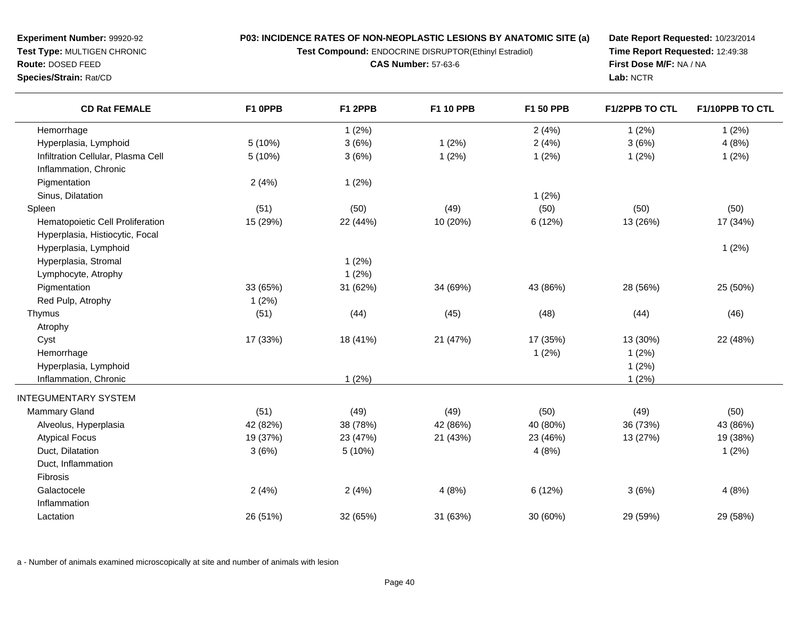**Test Compound:** ENDOCRINE DISRUPTOR(Ethinyl Estradiol)

**CAS Number:** 57-63-6

**Date Report Requested:** 10/23/2014**Time Report Requested:** 12:49:38**First Dose M/F:** NA / NA**Lab:** NCTR

| <b>CD Rat FEMALE</b>               | F1 OPPB  | F1 2PPB  | F1 10 PPB | F1 50 PPB | <b>F1/2PPB TO CTL</b> | F1/10PPB TO CTL |
|------------------------------------|----------|----------|-----------|-----------|-----------------------|-----------------|
| Hemorrhage                         |          | 1(2%)    |           | 2(4%)     | 1(2%)                 | 1(2%)           |
| Hyperplasia, Lymphoid              | 5(10%)   | 3(6%)    | 1(2%)     | 2(4%)     | 3(6%)                 | 4(8%)           |
| Infiltration Cellular, Plasma Cell | 5 (10%)  | 3(6%)    | 1(2%)     | 1(2%)     | 1(2%)                 | 1(2%)           |
| Inflammation, Chronic              |          |          |           |           |                       |                 |
| Pigmentation                       | 2(4%)    | 1(2%)    |           |           |                       |                 |
| Sinus, Dilatation                  |          |          |           | 1(2%)     |                       |                 |
| Spleen                             | (51)     | (50)     | (49)      | (50)      | (50)                  | (50)            |
| Hematopoietic Cell Proliferation   | 15 (29%) | 22 (44%) | 10 (20%)  | 6 (12%)   | 13 (26%)              | 17 (34%)        |
| Hyperplasia, Histiocytic, Focal    |          |          |           |           |                       |                 |
| Hyperplasia, Lymphoid              |          |          |           |           |                       | 1(2%)           |
| Hyperplasia, Stromal               |          | 1(2%)    |           |           |                       |                 |
| Lymphocyte, Atrophy                |          | 1(2%)    |           |           |                       |                 |
| Pigmentation                       | 33 (65%) | 31 (62%) | 34 (69%)  | 43 (86%)  | 28 (56%)              | 25 (50%)        |
| Red Pulp, Atrophy                  | 1(2%)    |          |           |           |                       |                 |
| Thymus                             | (51)     | (44)     | (45)      | (48)      | (44)                  | (46)            |
| Atrophy                            |          |          |           |           |                       |                 |
| Cyst                               | 17 (33%) | 18 (41%) | 21 (47%)  | 17 (35%)  | 13 (30%)              | 22 (48%)        |
| Hemorrhage                         |          |          |           | 1(2%)     | 1(2%)                 |                 |
| Hyperplasia, Lymphoid              |          |          |           |           | 1(2%)                 |                 |
| Inflammation, Chronic              |          | 1(2%)    |           |           | 1(2%)                 |                 |
| <b>INTEGUMENTARY SYSTEM</b>        |          |          |           |           |                       |                 |
| Mammary Gland                      | (51)     | (49)     | (49)      | (50)      | (49)                  | (50)            |
| Alveolus, Hyperplasia              | 42 (82%) | 38 (78%) | 42 (86%)  | 40 (80%)  | 36 (73%)              | 43 (86%)        |
| <b>Atypical Focus</b>              | 19 (37%) | 23 (47%) | 21 (43%)  | 23 (46%)  | 13 (27%)              | 19 (38%)        |
| Duct, Dilatation                   | 3(6%)    | 5 (10%)  |           | 4(8%)     |                       | 1(2%)           |
| Duct, Inflammation                 |          |          |           |           |                       |                 |
| Fibrosis                           |          |          |           |           |                       |                 |
| Galactocele                        | 2(4%)    | 2(4%)    | 4(8%)     | 6(12%)    | 3(6%)                 | 4(8%)           |
| Inflammation                       |          |          |           |           |                       |                 |
| Lactation                          | 26 (51%) | 32 (65%) | 31 (63%)  | 30 (60%)  | 29 (59%)              | 29 (58%)        |

a - Number of animals examined microscopically at site and number of animals with lesion

**Experiment Number:** 99920-92**Test Type:** MULTIGEN CHRONIC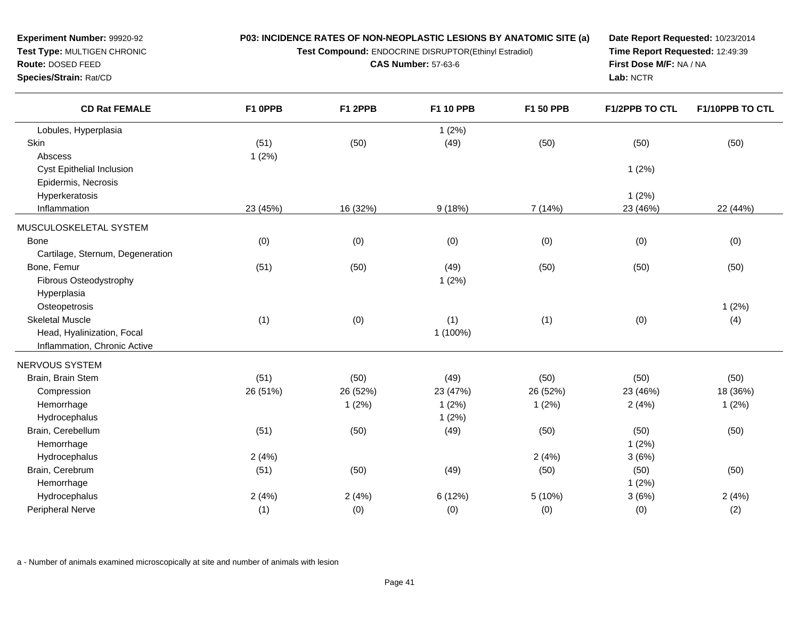**Test Compound:** ENDOCRINE DISRUPTOR(Ethinyl Estradiol)

**CAS Number:** 57-63-6

**Date Report Requested:** 10/23/2014**Time Report Requested:** 12:49:39**First Dose M/F:** NA / NA**Lab:** NCTR

| <b>CD Rat FEMALE</b>             | F1 OPPB  | F1 2PPB  | F1 10 PPB | F1 50 PPB | F1/2PPB TO CTL | F1/10PPB TO CTL |
|----------------------------------|----------|----------|-----------|-----------|----------------|-----------------|
| Lobules, Hyperplasia             |          |          | 1(2%)     |           |                |                 |
| Skin                             | (51)     | (50)     | (49)      | (50)      | (50)           | (50)            |
| Abscess                          | 1(2%)    |          |           |           |                |                 |
| <b>Cyst Epithelial Inclusion</b> |          |          |           |           | 1(2%)          |                 |
| Epidermis, Necrosis              |          |          |           |           |                |                 |
| Hyperkeratosis                   |          |          |           |           | 1(2%)          |                 |
| Inflammation                     | 23 (45%) | 16 (32%) | 9(18%)    | 7(14%)    | 23 (46%)       | 22 (44%)        |
| MUSCULOSKELETAL SYSTEM           |          |          |           |           |                |                 |
| <b>Bone</b>                      | (0)      | (0)      | (0)       | (0)       | (0)            | (0)             |
| Cartilage, Sternum, Degeneration |          |          |           |           |                |                 |
| Bone, Femur                      | (51)     | (50)     | (49)      | (50)      | (50)           | (50)            |
| Fibrous Osteodystrophy           |          |          | 1(2%)     |           |                |                 |
| Hyperplasia                      |          |          |           |           |                |                 |
| Osteopetrosis                    |          |          |           |           |                | 1(2%)           |
| <b>Skeletal Muscle</b>           | (1)      | (0)      | (1)       | (1)       | (0)            | (4)             |
| Head, Hyalinization, Focal       |          |          | 1 (100%)  |           |                |                 |
| Inflammation, Chronic Active     |          |          |           |           |                |                 |
| <b>NERVOUS SYSTEM</b>            |          |          |           |           |                |                 |
| Brain, Brain Stem                | (51)     | (50)     | (49)      | (50)      | (50)           | (50)            |
| Compression                      | 26 (51%) | 26 (52%) | 23 (47%)  | 26 (52%)  | 23 (46%)       | 18 (36%)        |
| Hemorrhage                       |          | 1(2%)    | 1(2%)     | 1(2%)     | 2(4%)          | 1(2%)           |
| Hydrocephalus                    |          |          | 1(2%)     |           |                |                 |
| Brain, Cerebellum                | (51)     | (50)     | (49)      | (50)      | (50)           | (50)            |
| Hemorrhage                       |          |          |           |           | 1(2%)          |                 |
| Hydrocephalus                    | 2(4%)    |          |           | 2(4%)     | 3(6%)          |                 |
| Brain, Cerebrum                  | (51)     | (50)     | (49)      | (50)      | (50)           | (50)            |
| Hemorrhage                       |          |          |           |           | 1(2%)          |                 |
| Hydrocephalus                    | 2(4%)    | 2(4%)    | 6(12%)    | 5(10%)    | 3(6%)          | 2(4%)           |
| Peripheral Nerve                 | (1)      | (0)      | (0)       | (0)       | (0)            | (2)             |
|                                  |          |          |           |           |                |                 |

a - Number of animals examined microscopically at site and number of animals with lesion

**Experiment Number:** 99920-92**Test Type:** MULTIGEN CHRONIC

**Route:** DOSED FEED**Species/Strain:** Rat/CD

۰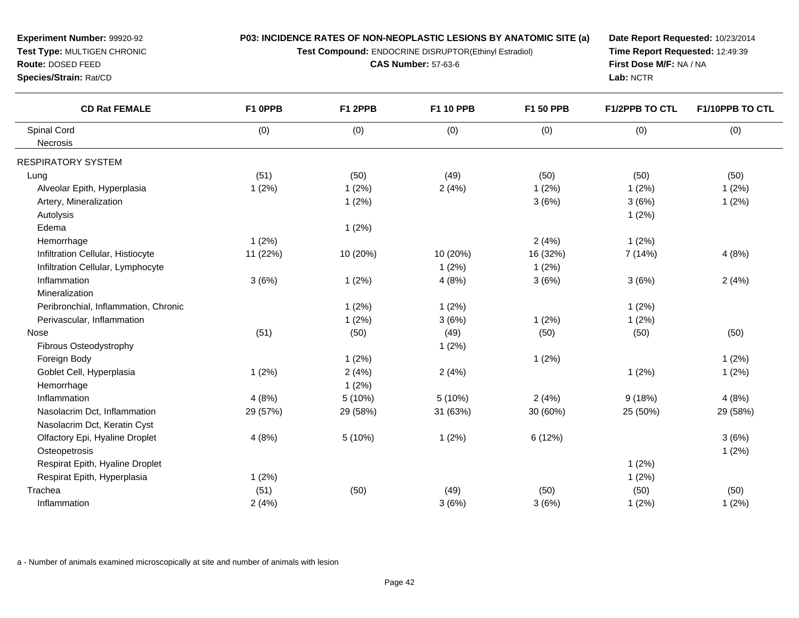**Test Compound:** ENDOCRINE DISRUPTOR(Ethinyl Estradiol)

**CAS Number:** 57-63-6

**Date Report Requested:** 10/23/2014**Time Report Requested:** 12:49:39**First Dose M/F:** NA / NA**Lab:** NCTR

| <b>CD Rat FEMALE</b>                 | F1 OPPB  | F1 2PPB  | <b>F1 10 PPB</b> | F1 50 PPB | <b>F1/2PPB TO CTL</b> | F1/10PPB TO CTL |
|--------------------------------------|----------|----------|------------------|-----------|-----------------------|-----------------|
| Spinal Cord                          | (0)      | (0)      | (0)              | (0)       | (0)                   | (0)             |
| Necrosis                             |          |          |                  |           |                       |                 |
| RESPIRATORY SYSTEM                   |          |          |                  |           |                       |                 |
| Lung                                 | (51)     | (50)     | (49)             | (50)      | (50)                  | (50)            |
| Alveolar Epith, Hyperplasia          | 1(2%)    | 1(2%)    | 2(4%)            | 1(2%)     | 1(2%)                 | 1(2%)           |
| Artery, Mineralization               |          | 1(2%)    |                  | 3(6%)     | 3(6%)                 | 1(2%)           |
| Autolysis                            |          |          |                  |           | 1(2%)                 |                 |
| Edema                                |          | 1(2%)    |                  |           |                       |                 |
| Hemorrhage                           | 1(2%)    |          |                  | 2(4%)     | 1(2%)                 |                 |
| Infiltration Cellular, Histiocyte    | 11 (22%) | 10 (20%) | 10 (20%)         | 16 (32%)  | 7(14%)                | 4(8%)           |
| Infiltration Cellular, Lymphocyte    |          |          | 1(2%)            | 1(2%)     |                       |                 |
| Inflammation                         | 3(6%)    | 1(2%)    | 4(8%)            | 3(6%)     | 3(6%)                 | 2(4%)           |
| Mineralization                       |          |          |                  |           |                       |                 |
| Peribronchial, Inflammation, Chronic |          | 1(2%)    | 1(2%)            |           | 1(2%)                 |                 |
| Perivascular, Inflammation           |          | 1(2%)    | 3(6%)            | 1(2%)     | 1(2%)                 |                 |
| Nose                                 | (51)     | (50)     | (49)             | (50)      | (50)                  | (50)            |
| Fibrous Osteodystrophy               |          |          | 1(2%)            |           |                       |                 |
| Foreign Body                         |          | 1(2%)    |                  | 1(2%)     |                       | 1(2%)           |
| Goblet Cell, Hyperplasia             | 1(2%)    | 2(4%)    | 2(4%)            |           | 1(2%)                 | 1(2%)           |
| Hemorrhage                           |          | 1(2%)    |                  |           |                       |                 |
| Inflammation                         | 4(8%)    | 5(10%)   | 5(10%)           | 2(4%)     | 9(18%)                | 4(8%)           |
| Nasolacrim Dct, Inflammation         | 29 (57%) | 29 (58%) | 31 (63%)         | 30 (60%)  | 25 (50%)              | 29 (58%)        |
| Nasolacrim Dct, Keratin Cyst         |          |          |                  |           |                       |                 |
| Olfactory Epi, Hyaline Droplet       | 4(8%)    | 5(10%)   | 1(2%)            | 6 (12%)   |                       | 3(6%)           |
| Osteopetrosis                        |          |          |                  |           |                       | 1(2%)           |
| Respirat Epith, Hyaline Droplet      |          |          |                  |           | 1(2%)                 |                 |
| Respirat Epith, Hyperplasia          | 1(2%)    |          |                  |           | 1(2%)                 |                 |
| Trachea                              | (51)     | (50)     | (49)             | (50)      | (50)                  | (50)            |
| Inflammation                         | 2(4%)    |          | 3(6%)            | 3(6%)     | 1(2%)                 | 1(2%)           |
|                                      |          |          |                  |           |                       |                 |

a - Number of animals examined microscopically at site and number of animals with lesion

**Experiment Number:** 99920-92**Test Type:** MULTIGEN CHRONIC

**Route:** DOSED FEED**Species/Strain:** Rat/CD

 $\overline{\phantom{0}}$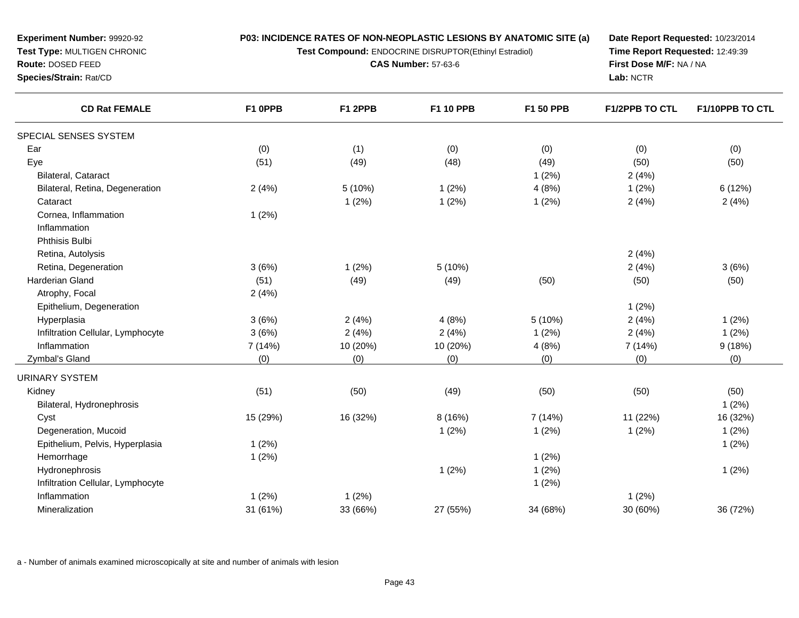**Test Compound:** ENDOCRINE DISRUPTOR(Ethinyl Estradiol)

**CAS Number:** 57-63-6

**Date Report Requested:** 10/23/2014**Time Report Requested:** 12:49:39**First Dose M/F:** NA / NA**Lab:** NCTR

| <b>CD Rat FEMALE</b>              | F1 OPPB  | F1 2PPB  | F1 10 PPB | F1 50 PPB | F1/2PPB TO CTL | F1/10PPB TO CTL |
|-----------------------------------|----------|----------|-----------|-----------|----------------|-----------------|
| SPECIAL SENSES SYSTEM             |          |          |           |           |                |                 |
| Ear                               | (0)      | (1)      | (0)       | (0)       | (0)            | (0)             |
| Eye                               | (51)     | (49)     | (48)      | (49)      | (50)           | (50)            |
| Bilateral, Cataract               |          |          |           | 1(2%)     | 2(4%)          |                 |
| Bilateral, Retina, Degeneration   | 2(4%)    | 5 (10%)  | 1(2%)     | 4(8%)     | 1(2%)          | 6(12%)          |
| Cataract                          |          | 1(2%)    | 1(2%)     | 1(2%)     | 2(4%)          | 2(4%)           |
| Cornea, Inflammation              | $1(2\%)$ |          |           |           |                |                 |
| Inflammation                      |          |          |           |           |                |                 |
| Phthisis Bulbi                    |          |          |           |           |                |                 |
| Retina, Autolysis                 |          |          |           |           | 2(4%)          |                 |
| Retina, Degeneration              | 3(6%)    | 1(2%)    | 5(10%)    |           | 2(4%)          | 3(6%)           |
| Harderian Gland                   | (51)     | (49)     | (49)      | (50)      | (50)           | (50)            |
| Atrophy, Focal                    | 2(4%)    |          |           |           |                |                 |
| Epithelium, Degeneration          |          |          |           |           | 1(2%)          |                 |
| Hyperplasia                       | 3(6%)    | 2(4%)    | 4(8%)     | 5 (10%)   | 2(4%)          | 1(2%)           |
| Infiltration Cellular, Lymphocyte | 3(6%)    | 2(4%)    | 2(4%)     | 1(2%)     | 2(4%)          | 1(2%)           |
| Inflammation                      | 7 (14%)  | 10 (20%) | 10 (20%)  | 4(8%)     | 7 (14%)        | 9(18%)          |
| Zymbal's Gland                    | (0)      | (0)      | (0)       | (0)       | (0)            | (0)             |
| <b>URINARY SYSTEM</b>             |          |          |           |           |                |                 |
| Kidney                            | (51)     | (50)     | (49)      | (50)      | (50)           | (50)            |
| Bilateral, Hydronephrosis         |          |          |           |           |                | 1(2%)           |
| Cyst                              | 15 (29%) | 16 (32%) | 8 (16%)   | 7 (14%)   | 11 (22%)       | 16 (32%)        |
| Degeneration, Mucoid              |          |          | 1(2%)     | 1(2%)     | 1(2%)          | 1(2%)           |
| Epithelium, Pelvis, Hyperplasia   | 1(2%)    |          |           |           |                | 1(2%)           |
| Hemorrhage                        | 1(2%)    |          |           | 1(2%)     |                |                 |
| Hydronephrosis                    |          |          | 1(2%)     | 1(2%)     |                | 1(2%)           |
| Infiltration Cellular, Lymphocyte |          |          |           | 1(2%)     |                |                 |
| Inflammation                      | 1(2%)    | 1(2%)    |           |           | 1(2%)          |                 |
| Mineralization                    | 31 (61%) | 33 (66%) | 27 (55%)  | 34 (68%)  | 30 (60%)       | 36 (72%)        |

a - Number of animals examined microscopically at site and number of animals with lesion

**Experiment Number:** 99920-92**Test Type:** MULTIGEN CHRONIC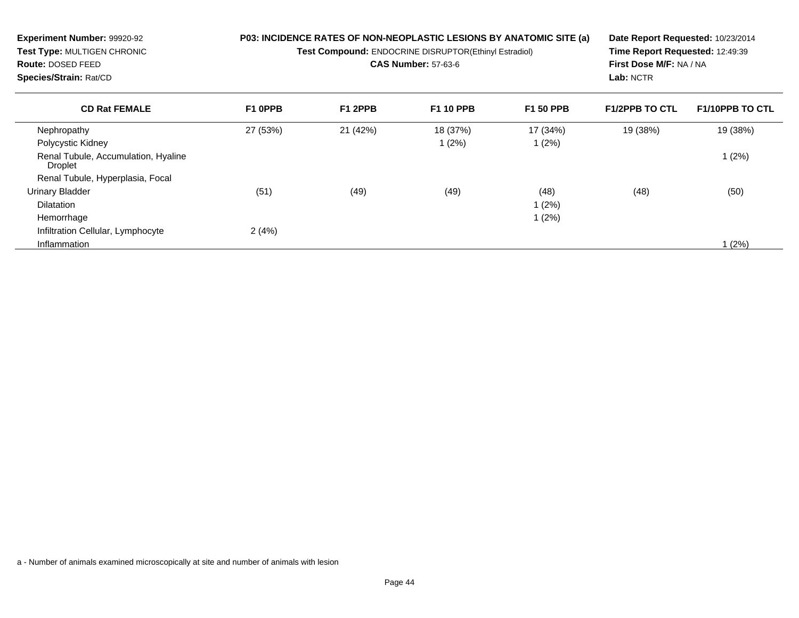| Experiment Number: 99920-92<br>Test Type: MULTIGEN CHRONIC<br><b>Route: DOSED FEED</b><br>Species/Strain: Rat/CD |          | P03: INCIDENCE RATES OF NON-NEOPLASTIC LESIONS BY ANATOMIC SITE (a)<br><b>Test Compound: ENDOCRINE DISRUPTOR(Ethinyl Estradiol)</b><br><b>CAS Number: 57-63-6</b> | Date Report Requested: 10/23/2014<br>Time Report Requested: 12:49:39<br>First Dose M/F: NA / NA<br>Lab: NCTR |                  |                       |                        |
|------------------------------------------------------------------------------------------------------------------|----------|-------------------------------------------------------------------------------------------------------------------------------------------------------------------|--------------------------------------------------------------------------------------------------------------|------------------|-----------------------|------------------------|
| <b>CD Rat FEMALE</b>                                                                                             | F1 OPPB  | F1 2PPB                                                                                                                                                           | <b>F1 10 PPB</b>                                                                                             | <b>F1 50 PPB</b> | <b>F1/2PPB TO CTL</b> | <b>F1/10PPB TO CTL</b> |
| Nephropathy                                                                                                      | 27 (53%) | 21 (42%)                                                                                                                                                          | 18 (37%)                                                                                                     | 17 (34%)         | 19 (38%)              | 19 (38%)               |
| Polycystic Kidney                                                                                                |          |                                                                                                                                                                   | 1(2%)                                                                                                        | 1(2%)            |                       |                        |
| Renal Tubule, Accumulation, Hyaline<br>Droplet                                                                   |          |                                                                                                                                                                   |                                                                                                              |                  |                       | 1(2%)                  |
| Renal Tubule, Hyperplasia, Focal                                                                                 |          |                                                                                                                                                                   |                                                                                                              |                  |                       |                        |
| Urinary Bladder                                                                                                  | (51)     | (49)                                                                                                                                                              | (49)                                                                                                         | (48)             | (48)                  | (50)                   |
| <b>Dilatation</b>                                                                                                |          |                                                                                                                                                                   |                                                                                                              | 1(2%)            |                       |                        |
| Hemorrhage                                                                                                       |          |                                                                                                                                                                   |                                                                                                              | 1(2%)            |                       |                        |
| Infiltration Cellular, Lymphocyte                                                                                | 2(4%)    |                                                                                                                                                                   |                                                                                                              |                  |                       |                        |
| Inflammation                                                                                                     |          |                                                                                                                                                                   |                                                                                                              |                  |                       | 1(2%)                  |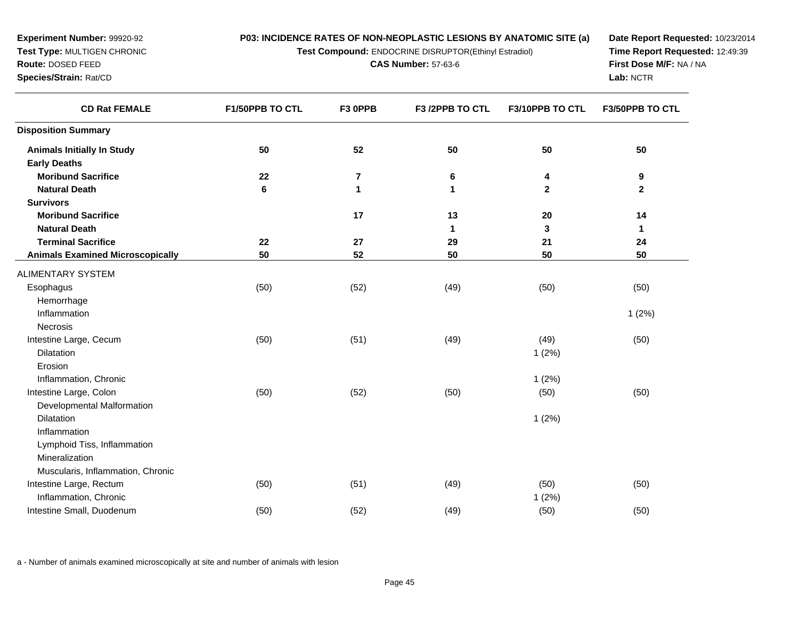**Test Compound:** ENDOCRINE DISRUPTOR(Ethinyl Estradiol)

**CAS Number:** 57-63-6

**Date Report Requested:** 10/23/2014**Time Report Requested:** 12:49:39**First Dose M/F:** NA / NA**Lab:** NCTR

| <b>CD Rat FEMALE</b>                               | F1/50PPB TO CTL | F3 OPPB      | F3 /2PPB TO CTL | F3/10PPB TO CTL | <b>F3/50PPB TO CTL</b> |
|----------------------------------------------------|-----------------|--------------|-----------------|-----------------|------------------------|
| <b>Disposition Summary</b>                         |                 |              |                 |                 |                        |
| <b>Animals Initially In Study</b>                  | 50              | 52           | 50              | 50              | 50                     |
| <b>Early Deaths</b>                                |                 |              |                 |                 |                        |
| <b>Moribund Sacrifice</b>                          | 22              | 7            | 6               | 4               | 9                      |
| <b>Natural Death</b>                               | 6               | $\mathbf{1}$ | 1               | $\mathbf{2}$    | $\mathbf 2$            |
| <b>Survivors</b>                                   |                 |              |                 |                 |                        |
| <b>Moribund Sacrifice</b>                          |                 | 17           | 13              | 20              | 14                     |
| <b>Natural Death</b>                               |                 |              | 1               | 3               | 1                      |
| <b>Terminal Sacrifice</b>                          | 22              | 27           | 29              | 21              | 24                     |
| <b>Animals Examined Microscopically</b>            | 50              | 52           | 50              | 50              | 50                     |
| ALIMENTARY SYSTEM                                  |                 |              |                 |                 |                        |
| Esophagus                                          | (50)            | (52)         | (49)            | (50)            | (50)                   |
| Hemorrhage                                         |                 |              |                 |                 |                        |
| Inflammation                                       |                 |              |                 |                 | 1(2%)                  |
| <b>Necrosis</b>                                    |                 |              |                 |                 |                        |
| Intestine Large, Cecum                             | (50)            | (51)         | (49)            | (49)            | (50)                   |
| Dilatation                                         |                 |              |                 | 1(2%)           |                        |
| Erosion                                            |                 |              |                 |                 |                        |
| Inflammation, Chronic                              |                 |              |                 | 1(2%)           |                        |
| Intestine Large, Colon                             | (50)            | (52)         | (50)            | (50)            | (50)                   |
| Developmental Malformation                         |                 |              |                 |                 |                        |
| Dilatation                                         |                 |              |                 | 1(2%)           |                        |
| Inflammation                                       |                 |              |                 |                 |                        |
| Lymphoid Tiss, Inflammation                        |                 |              |                 |                 |                        |
| Mineralization                                     |                 |              |                 |                 |                        |
| Muscularis, Inflammation, Chronic                  |                 |              |                 |                 |                        |
| Intestine Large, Rectum                            | (50)            | (51)         | (49)            | (50)            | (50)                   |
| Inflammation, Chronic<br>Intestine Small, Duodenum |                 |              |                 | 1(2%)           |                        |
|                                                    | (50)            | (52)         | (49)            | (50)            | (50)                   |

a - Number of animals examined microscopically at site and number of animals with lesion

**Experiment Number:** 99920-92**Test Type:** MULTIGEN CHRONIC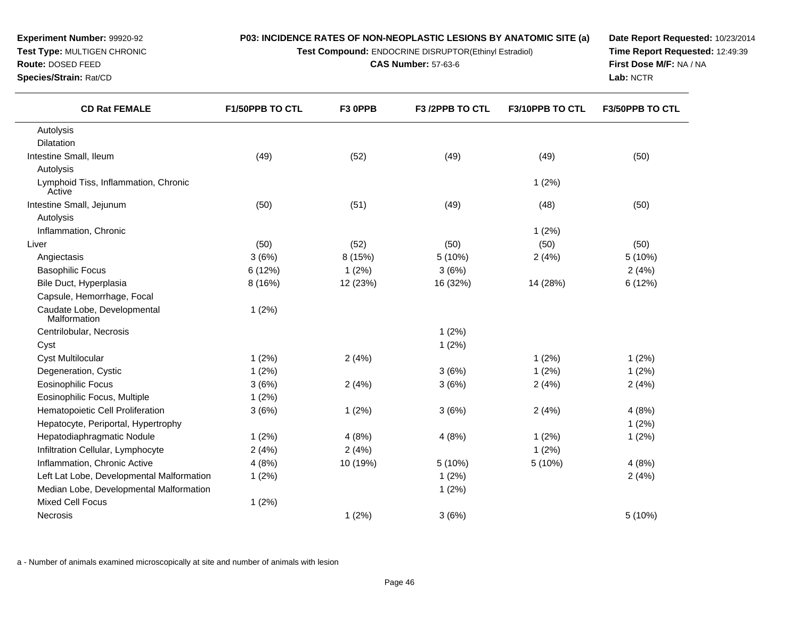**Test Compound:** ENDOCRINE DISRUPTOR(Ethinyl Estradiol)

**CAS Number:** 57-63-6

**Date Report Requested:** 10/23/2014**Time Report Requested:** 12:49:39**First Dose M/F:** NA / NA**Lab:** NCTR

| <b>CD Rat FEMALE</b>                           | <b>F1/50PPB TO CTL</b> | F3 OPPB  | F <sub>3</sub> /2PPB TO CTL | F3/10PPB TO CTL | <b>F3/50PPB TO CTL</b> |
|------------------------------------------------|------------------------|----------|-----------------------------|-----------------|------------------------|
| Autolysis                                      |                        |          |                             |                 |                        |
| <b>Dilatation</b>                              |                        |          |                             |                 |                        |
| Intestine Small, Ileum                         | (49)                   | (52)     | (49)                        | (49)            | (50)                   |
| Autolysis                                      |                        |          |                             |                 |                        |
| Lymphoid Tiss, Inflammation, Chronic<br>Active |                        |          |                             | 1(2%)           |                        |
| Intestine Small, Jejunum                       | (50)                   | (51)     | (49)                        | (48)            | (50)                   |
| Autolysis                                      |                        |          |                             |                 |                        |
| Inflammation, Chronic                          |                        |          |                             | 1(2%)           |                        |
| Liver                                          | (50)                   | (52)     | (50)                        | (50)            | (50)                   |
| Angiectasis                                    | 3(6%)                  | 8 (15%)  | 5 (10%)                     | 2(4%)           | 5 (10%)                |
| <b>Basophilic Focus</b>                        | 6(12%)                 | 1(2%)    | 3(6%)                       |                 | 2(4%)                  |
| Bile Duct, Hyperplasia                         | 8 (16%)                | 12 (23%) | 16 (32%)                    | 14 (28%)        | 6 (12%)                |
| Capsule, Hemorrhage, Focal                     |                        |          |                             |                 |                        |
| Caudate Lobe, Developmental<br>Malformation    | 1(2%)                  |          |                             |                 |                        |
| Centrilobular, Necrosis                        |                        |          | 1(2%)                       |                 |                        |
| Cyst                                           |                        |          | 1(2%)                       |                 |                        |
| <b>Cyst Multilocular</b>                       | 1(2%)                  | 2(4%)    |                             | 1(2%)           | 1(2%)                  |
| Degeneration, Cystic                           | 1(2%)                  |          | 3(6%)                       | 1(2%)           | 1(2%)                  |
| <b>Eosinophilic Focus</b>                      | 3(6%)                  | 2(4%)    | 3(6%)                       | 2(4%)           | 2(4%)                  |
| Eosinophilic Focus, Multiple                   | 1(2%)                  |          |                             |                 |                        |
| Hematopoietic Cell Proliferation               | 3(6%)                  | 1(2%)    | 3(6%)                       | 2(4%)           | 4(8%)                  |
| Hepatocyte, Periportal, Hypertrophy            |                        |          |                             |                 | 1(2%)                  |
| Hepatodiaphragmatic Nodule                     | 1(2%)                  | 4(8%)    | 4(8%)                       | 1(2%)           | 1(2%)                  |
| Infiltration Cellular, Lymphocyte              | 2(4%)                  | 2(4%)    |                             | 1(2%)           |                        |
| Inflammation, Chronic Active                   | 4(8%)                  | 10 (19%) | 5 (10%)                     | 5 (10%)         | 4(8%)                  |
| Left Lat Lobe, Developmental Malformation      | 1(2%)                  |          | 1(2%)                       |                 | 2(4%)                  |
| Median Lobe, Developmental Malformation        |                        |          | 1(2%)                       |                 |                        |
| <b>Mixed Cell Focus</b>                        | 1(2%)                  |          |                             |                 |                        |
| <b>Necrosis</b>                                |                        | 1(2%)    | 3(6%)                       |                 | 5 (10%)                |

a - Number of animals examined microscopically at site and number of animals with lesion

**Experiment Number:** 99920-92**Test Type:** MULTIGEN CHRONIC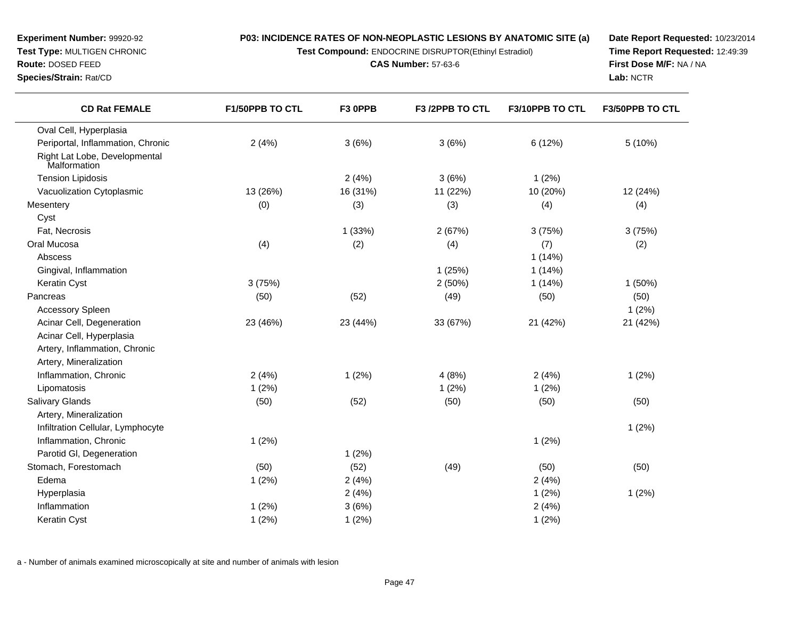**Test Compound:** ENDOCRINE DISRUPTOR(Ethinyl Estradiol)

**CAS Number:** 57-63-6

**Date Report Requested:** 10/23/2014**Time Report Requested:** 12:49:39**First Dose M/F:** NA / NA**Lab:** NCTR

| <b>CD Rat FEMALE</b>                          | F1/50PPB TO CTL | F3 OPPB  | F3 /2PPB TO CTL | F3/10PPB TO CTL | F3/50PPB TO CTL |
|-----------------------------------------------|-----------------|----------|-----------------|-----------------|-----------------|
| Oval Cell, Hyperplasia                        |                 |          |                 |                 |                 |
| Periportal, Inflammation, Chronic             | 2(4%)           | 3(6%)    | 3(6%)           | 6(12%)          | 5 (10%)         |
| Right Lat Lobe, Developmental<br>Malformation |                 |          |                 |                 |                 |
| <b>Tension Lipidosis</b>                      |                 | 2(4%)    | 3(6%)           | 1(2%)           |                 |
| Vacuolization Cytoplasmic                     | 13 (26%)        | 16 (31%) | 11 (22%)        | 10 (20%)        | 12 (24%)        |
| Mesentery                                     | (0)             | (3)      | (3)             | (4)             | (4)             |
| Cyst                                          |                 |          |                 |                 |                 |
| Fat, Necrosis                                 |                 | 1(33%)   | 2(67%)          | 3(75%)          | 3(75%)          |
| Oral Mucosa                                   | (4)             | (2)      | (4)             | (7)             | (2)             |
| Abscess                                       |                 |          |                 | 1(14%)          |                 |
| Gingival, Inflammation                        |                 |          | 1(25%)          | 1(14%)          |                 |
| Keratin Cyst                                  | 3(75%)          |          | 2(50%)          | 1(14%)          | 1(50%)          |
| Pancreas                                      | (50)            | (52)     | (49)            | (50)            | (50)            |
| <b>Accessory Spleen</b>                       |                 |          |                 |                 | 1(2%)           |
| Acinar Cell, Degeneration                     | 23 (46%)        | 23 (44%) | 33 (67%)        | 21 (42%)        | 21 (42%)        |
| Acinar Cell, Hyperplasia                      |                 |          |                 |                 |                 |
| Artery, Inflammation, Chronic                 |                 |          |                 |                 |                 |
| Artery, Mineralization                        |                 |          |                 |                 |                 |
| Inflammation, Chronic                         | 2(4%)           | 1(2%)    | 4(8%)           | 2(4%)           | 1(2%)           |
| Lipomatosis                                   | 1(2%)           |          | 1(2%)           | 1(2%)           |                 |
| <b>Salivary Glands</b>                        | (50)            | (52)     | (50)            | (50)            | (50)            |
| Artery, Mineralization                        |                 |          |                 |                 |                 |
| Infiltration Cellular, Lymphocyte             |                 |          |                 |                 | 1(2%)           |
| Inflammation, Chronic                         | 1(2%)           |          |                 | 1(2%)           |                 |
| Parotid GI, Degeneration                      |                 | 1(2%)    |                 |                 |                 |
| Stomach, Forestomach                          | (50)            | (52)     | (49)            | (50)            | (50)            |
| Edema                                         | 1(2%)           | 2(4%)    |                 | 2(4%)           |                 |
| Hyperplasia                                   |                 | 2(4%)    |                 | 1(2%)           | 1(2%)           |
| Inflammation                                  | 1(2%)           | 3(6%)    |                 | 2(4%)           |                 |
| Keratin Cyst                                  | 1(2%)           | 1(2%)    |                 | 1(2%)           |                 |

a - Number of animals examined microscopically at site and number of animals with lesion

**Route:** DOSED FEED

**Species/Strain:** Rat/CD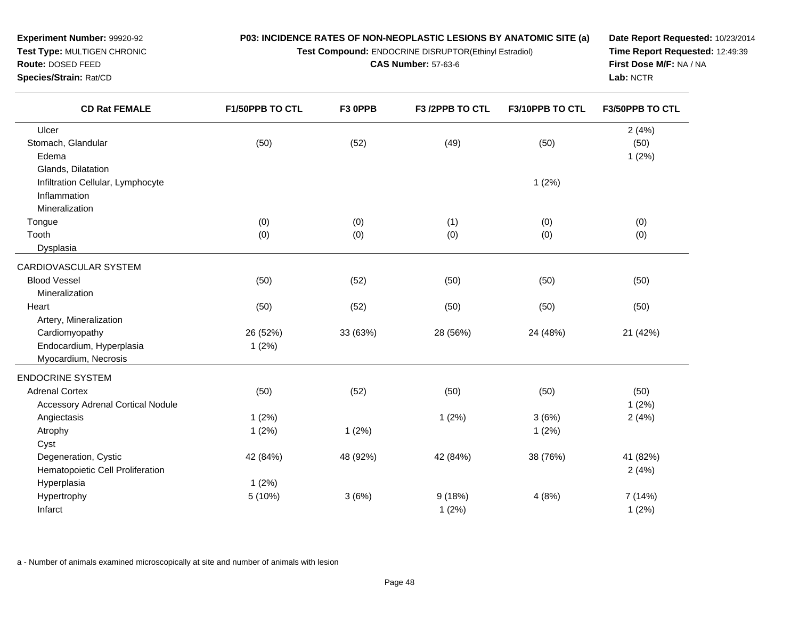**Test Compound:** ENDOCRINE DISRUPTOR(Ethinyl Estradiol)

**CAS Number:** 57-63-6

**Date Report Requested:** 10/23/2014**Time Report Requested:** 12:49:39**First Dose M/F:** NA / NA**Lab:** NCTR

| <b>CD Rat FEMALE</b>                     | F1/50PPB TO CTL | F3 OPPB  | F3 /2PPB TO CTL | F3/10PPB TO CTL | F3/50PPB TO CTL |  |
|------------------------------------------|-----------------|----------|-----------------|-----------------|-----------------|--|
| Ulcer                                    |                 |          |                 |                 | 2(4%)           |  |
| Stomach, Glandular                       | (50)            | (52)     | (49)            | (50)            | (50)            |  |
| Edema                                    |                 |          |                 |                 | 1(2%)           |  |
| Glands, Dilatation                       |                 |          |                 |                 |                 |  |
| Infiltration Cellular, Lymphocyte        |                 |          |                 | 1(2%)           |                 |  |
| Inflammation                             |                 |          |                 |                 |                 |  |
| Mineralization                           |                 |          |                 |                 |                 |  |
| Tongue                                   | (0)             | (0)      | (1)             | (0)             | (0)             |  |
| Tooth                                    | (0)             | (0)      | (0)             | (0)             | (0)             |  |
| Dysplasia                                |                 |          |                 |                 |                 |  |
| CARDIOVASCULAR SYSTEM                    |                 |          |                 |                 |                 |  |
| <b>Blood Vessel</b>                      | (50)            | (52)     | (50)            | (50)            | (50)            |  |
| Mineralization                           |                 |          |                 |                 |                 |  |
| Heart                                    | (50)            | (52)     | (50)            | (50)            | (50)            |  |
| Artery, Mineralization                   |                 |          |                 |                 |                 |  |
| Cardiomyopathy                           | 26 (52%)        | 33 (63%) | 28 (56%)        | 24 (48%)        | 21 (42%)        |  |
| Endocardium, Hyperplasia                 | 1(2%)           |          |                 |                 |                 |  |
| Myocardium, Necrosis                     |                 |          |                 |                 |                 |  |
| <b>ENDOCRINE SYSTEM</b>                  |                 |          |                 |                 |                 |  |
| <b>Adrenal Cortex</b>                    | (50)            | (52)     | (50)            | (50)            | (50)            |  |
| <b>Accessory Adrenal Cortical Nodule</b> |                 |          |                 |                 | 1(2%)           |  |
| Angiectasis                              | 1(2%)           |          | 1(2%)           | 3(6%)           | 2(4%)           |  |
| Atrophy                                  | 1(2%)           | 1(2%)    |                 | 1(2%)           |                 |  |
| Cyst                                     |                 |          |                 |                 |                 |  |
| Degeneration, Cystic                     | 42 (84%)        | 48 (92%) | 42 (84%)        | 38 (76%)        | 41 (82%)        |  |
| Hematopoietic Cell Proliferation         |                 |          |                 |                 | 2(4%)           |  |
| Hyperplasia                              | 1(2%)           |          |                 |                 |                 |  |
| Hypertrophy                              | 5(10%)          | 3(6%)    | 9(18%)          | 4(8%)           | 7 (14%)         |  |
| Infarct                                  |                 |          | 1(2%)           |                 | 1(2%)           |  |

a - Number of animals examined microscopically at site and number of animals with lesion

**Experiment Number:** 99920-92**Test Type:** MULTIGEN CHRONIC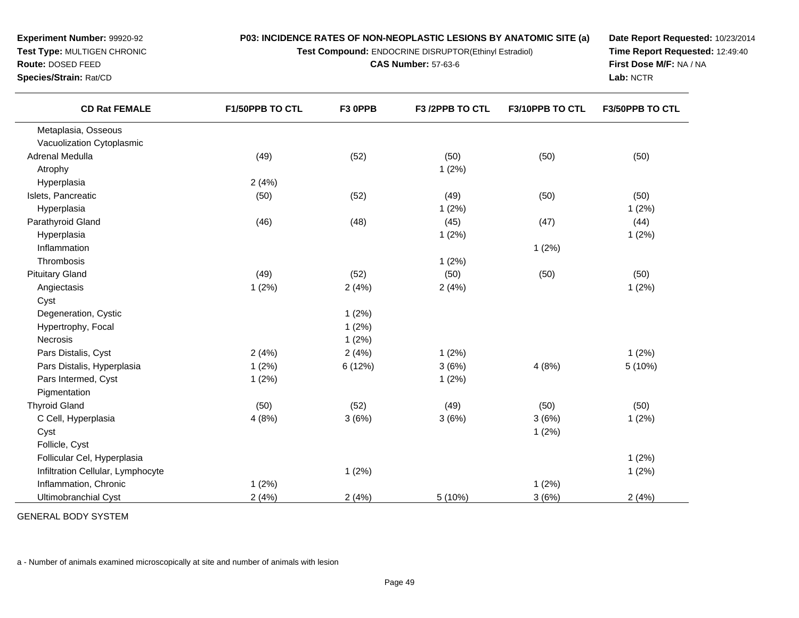**Test Compound:** ENDOCRINE DISRUPTOR(Ethinyl Estradiol)

**CAS Number:** 57-63-6

**Date Report Requested:** 10/23/2014**Time Report Requested:** 12:49:40**First Dose M/F:** NA / NA**Lab:** NCTR

| <b>CD Rat FEMALE</b>              | <b>F1/50PPB TO CTL</b> | F3 OPPB | F3 /2PPB TO CTL | F3/10PPB TO CTL | <b>F3/50PPB TO CTL</b> |
|-----------------------------------|------------------------|---------|-----------------|-----------------|------------------------|
| Metaplasia, Osseous               |                        |         |                 |                 |                        |
| Vacuolization Cytoplasmic         |                        |         |                 |                 |                        |
| Adrenal Medulla                   | (49)                   | (52)    | (50)            | (50)            | (50)                   |
| Atrophy                           |                        |         | 1(2%)           |                 |                        |
| Hyperplasia                       | 2(4%)                  |         |                 |                 |                        |
| Islets, Pancreatic                | (50)                   | (52)    | (49)            | (50)            | (50)                   |
| Hyperplasia                       |                        |         | 1(2%)           |                 | 1(2%)                  |
| Parathyroid Gland                 | (46)                   | (48)    | (45)            | (47)            | (44)                   |
| Hyperplasia                       |                        |         | 1(2%)           |                 | 1(2%)                  |
| Inflammation                      |                        |         |                 | 1(2%)           |                        |
| Thrombosis                        |                        |         | 1(2%)           |                 |                        |
| <b>Pituitary Gland</b>            | (49)                   | (52)    | (50)            | (50)            | (50)                   |
| Angiectasis                       | 1(2%)                  | 2(4%)   | 2(4%)           |                 | 1(2%)                  |
| Cyst                              |                        |         |                 |                 |                        |
| Degeneration, Cystic              |                        | 1(2%)   |                 |                 |                        |
| Hypertrophy, Focal                |                        | 1(2%)   |                 |                 |                        |
| Necrosis                          |                        | 1(2%)   |                 |                 |                        |
| Pars Distalis, Cyst               | 2(4%)                  | 2(4%)   | 1(2%)           |                 | 1(2%)                  |
| Pars Distalis, Hyperplasia        | 1(2%)                  | 6(12%)  | 3(6%)           | 4(8%)           | 5(10%)                 |
| Pars Intermed, Cyst               | 1(2%)                  |         | 1(2%)           |                 |                        |
| Pigmentation                      |                        |         |                 |                 |                        |
| <b>Thyroid Gland</b>              | (50)                   | (52)    | (49)            | (50)            | (50)                   |
| C Cell, Hyperplasia               | 4(8%)                  | 3(6%)   | 3(6%)           | 3(6%)           | 1(2%)                  |
| Cyst                              |                        |         |                 | 1(2%)           |                        |
| Follicle, Cyst                    |                        |         |                 |                 |                        |
| Follicular Cel, Hyperplasia       |                        |         |                 |                 | 1(2%)                  |
| Infiltration Cellular, Lymphocyte |                        | 1(2%)   |                 |                 | 1(2%)                  |
| Inflammation, Chronic             | 1(2%)                  |         |                 | 1(2%)           |                        |
| <b>Ultimobranchial Cyst</b>       | 2(4%)                  | 2(4%)   | 5 (10%)         | 3(6%)           | 2(4%)                  |

GENERAL BODY SYSTEM

**Experiment Number:** 99920-92**Test Type:** MULTIGEN CHRONIC

**Route:** DOSED FEED**Species/Strain:** Rat/CD

a - Number of animals examined microscopically at site and number of animals with lesion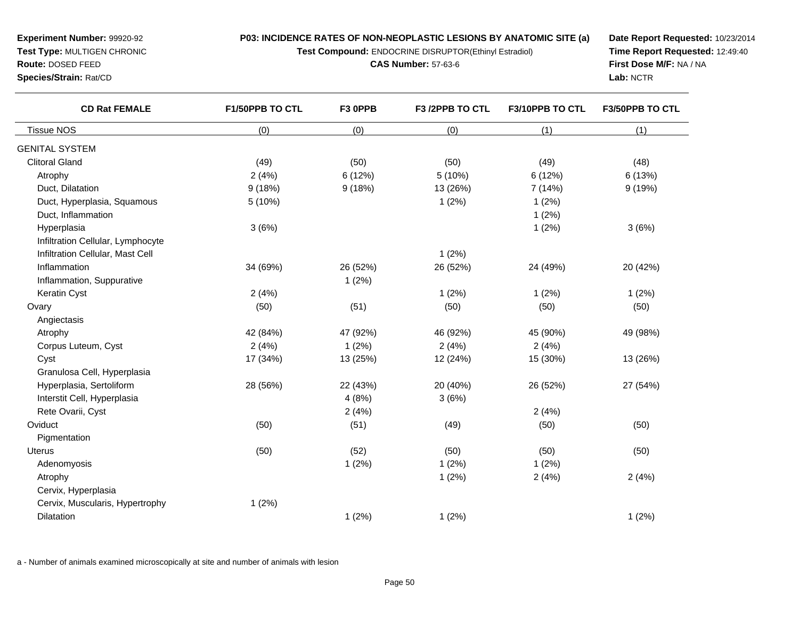**Test Compound:** ENDOCRINE DISRUPTOR(Ethinyl Estradiol)

**CAS Number:** 57-63-6

**Date Report Requested:** 10/23/2014**Time Report Requested:** 12:49:40**First Dose M/F:** NA / NA**Lab:** NCTR

| <b>CD Rat FEMALE</b>              | F1/50PPB TO CTL<br>F3 OPPB |          | F3 /2PPB TO CTL | F3/10PPB TO CTL | F3/50PPB TO CTL |  |
|-----------------------------------|----------------------------|----------|-----------------|-----------------|-----------------|--|
| <b>Tissue NOS</b>                 | (0)                        | (0)      | (0)             | (1)             | (1)             |  |
| <b>GENITAL SYSTEM</b>             |                            |          |                 |                 |                 |  |
| <b>Clitoral Gland</b>             | (49)                       | (50)     | (50)            | (49)            | (48)            |  |
| Atrophy                           | 2(4%)                      | 6 (12%)  | 5(10%)          | 6 (12%)         | 6(13%)          |  |
| Duct, Dilatation                  | 9(18%)                     | 9(18%)   | 13 (26%)        | 7(14%)          | 9(19%)          |  |
| Duct, Hyperplasia, Squamous       | 5(10%)                     |          | 1(2%)           | 1(2%)           |                 |  |
| Duct, Inflammation                |                            |          |                 | 1(2%)           |                 |  |
| Hyperplasia                       | 3(6%)                      |          |                 | 1(2%)           | 3(6%)           |  |
| Infiltration Cellular, Lymphocyte |                            |          |                 |                 |                 |  |
| Infiltration Cellular, Mast Cell  |                            |          | 1(2%)           |                 |                 |  |
| Inflammation                      | 34 (69%)                   | 26 (52%) | 26 (52%)        | 24 (49%)        | 20 (42%)        |  |
| Inflammation, Suppurative         |                            | 1(2%)    |                 |                 |                 |  |
| Keratin Cyst                      | 2(4%)                      |          | 1(2%)           | 1(2%)           | 1(2%)           |  |
| Ovary                             | (50)                       | (51)     | (50)            | (50)            | (50)            |  |
| Angiectasis                       |                            |          |                 |                 |                 |  |
| Atrophy                           | 42 (84%)                   | 47 (92%) | 46 (92%)        | 45 (90%)        | 49 (98%)        |  |
| Corpus Luteum, Cyst               | 2(4%)                      | 1(2%)    | 2(4%)           | 2(4%)           |                 |  |
| Cyst                              | 17 (34%)                   | 13 (25%) | 12 (24%)        | 15 (30%)        | 13 (26%)        |  |
| Granulosa Cell, Hyperplasia       |                            |          |                 |                 |                 |  |
| Hyperplasia, Sertoliform          | 28 (56%)                   | 22 (43%) | 20 (40%)        | 26 (52%)        | 27 (54%)        |  |
| Interstit Cell, Hyperplasia       |                            | 4(8%)    | 3(6%)           |                 |                 |  |
| Rete Ovarii, Cyst                 |                            | 2(4%)    |                 | 2(4%)           |                 |  |
| Oviduct                           | (50)                       | (51)     | (49)            | (50)            | (50)            |  |
| Pigmentation                      |                            |          |                 |                 |                 |  |
| <b>Uterus</b>                     | (50)                       | (52)     | (50)            | (50)            | (50)            |  |
| Adenomyosis                       |                            | 1(2%)    | 1(2%)           | 1(2%)           |                 |  |
| Atrophy                           |                            |          | 1(2%)           | 2(4%)           | 2(4%)           |  |
| Cervix, Hyperplasia               |                            |          |                 |                 |                 |  |
| Cervix, Muscularis, Hypertrophy   | 1(2%)                      |          |                 |                 |                 |  |
| Dilatation                        |                            | 1(2%)    | 1(2%)           |                 | 1(2%)           |  |

a - Number of animals examined microscopically at site and number of animals with lesion

**Experiment Number:** 99920-92**Test Type:** MULTIGEN CHRONIC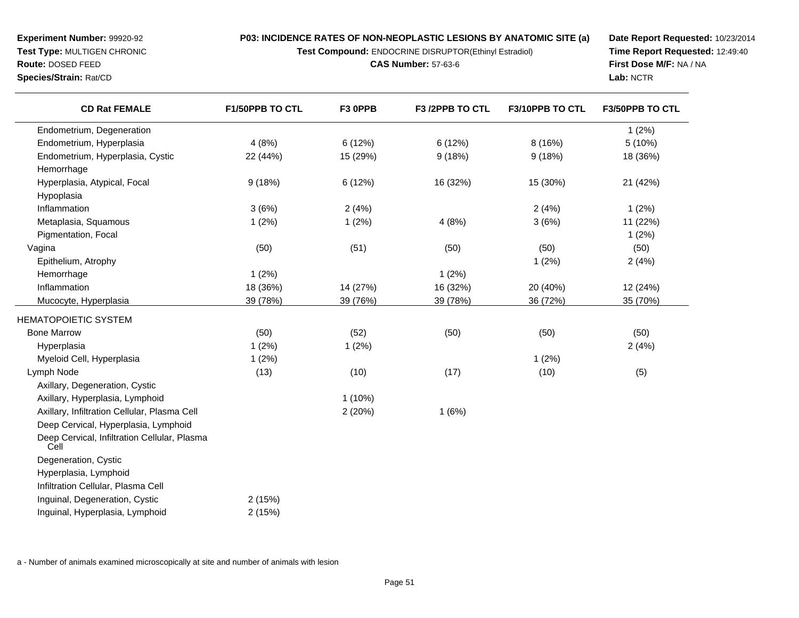**Test Compound:** ENDOCRINE DISRUPTOR(Ethinyl Estradiol)

**CAS Number:** 57-63-6

**Date Report Requested:** 10/23/2014**Time Report Requested:** 12:49:40**First Dose M/F:** NA / NA**Lab:** NCTR

| <b>CD Rat FEMALE</b>                                 | F1/50PPB TO CTL | F3 OPPB   | F3 /2PPB TO CTL | F3/10PPB TO CTL | F3/50PPB TO CTL |
|------------------------------------------------------|-----------------|-----------|-----------------|-----------------|-----------------|
| Endometrium, Degeneration                            |                 |           |                 |                 | 1(2%)           |
| Endometrium, Hyperplasia                             | 4(8%)           | 6(12%)    | 6(12%)          | 8(16%)          | 5(10%)          |
| Endometrium, Hyperplasia, Cystic                     | 22 (44%)        | 15 (29%)  | 9(18%)          | 9(18%)          | 18 (36%)        |
| Hemorrhage                                           |                 |           |                 |                 |                 |
| Hyperplasia, Atypical, Focal                         | 9(18%)          | 6 (12%)   | 16 (32%)        | 15 (30%)        | 21 (42%)        |
| Hypoplasia                                           |                 |           |                 |                 |                 |
| Inflammation                                         | 3(6%)           | 2(4%)     |                 | 2(4%)           | 1(2%)           |
| Metaplasia, Squamous                                 | 1(2%)           | 1(2%)     | 4(8%)           | 3(6%)           | 11 (22%)        |
| Pigmentation, Focal                                  |                 |           |                 |                 | 1(2%)           |
| Vagina                                               | (50)            | (51)      | (50)            | (50)            | (50)            |
| Epithelium, Atrophy                                  |                 |           |                 | 1(2%)           | 2(4%)           |
| Hemorrhage                                           | 1(2%)           |           | 1(2%)           |                 |                 |
| Inflammation                                         | 18 (36%)        | 14 (27%)  | 16 (32%)        | 20 (40%)        | 12 (24%)        |
| Mucocyte, Hyperplasia                                | 39 (78%)        | 39 (76%)  | 39 (78%)        | 36 (72%)        | 35 (70%)        |
| HEMATOPOIETIC SYSTEM                                 |                 |           |                 |                 |                 |
| <b>Bone Marrow</b>                                   | (50)            | (52)      | (50)            | (50)            | (50)            |
| Hyperplasia                                          | 1(2%)           | 1(2%)     |                 |                 | 2(4%)           |
| Myeloid Cell, Hyperplasia                            | 1(2%)           |           |                 | 1(2%)           |                 |
| Lymph Node                                           | (13)            | (10)      | (17)            | (10)            | (5)             |
| Axillary, Degeneration, Cystic                       |                 |           |                 |                 |                 |
| Axillary, Hyperplasia, Lymphoid                      |                 | $1(10\%)$ |                 |                 |                 |
| Axillary, Infiltration Cellular, Plasma Cell         |                 | 2(20%)    | 1(6%)           |                 |                 |
| Deep Cervical, Hyperplasia, Lymphoid                 |                 |           |                 |                 |                 |
| Deep Cervical, Infiltration Cellular, Plasma<br>Cell |                 |           |                 |                 |                 |
| Degeneration, Cystic                                 |                 |           |                 |                 |                 |
| Hyperplasia, Lymphoid                                |                 |           |                 |                 |                 |
| Infiltration Cellular, Plasma Cell                   |                 |           |                 |                 |                 |
| Inguinal, Degeneration, Cystic                       | 2(15%)          |           |                 |                 |                 |
| Inguinal, Hyperplasia, Lymphoid                      | 2(15%)          |           |                 |                 |                 |

a - Number of animals examined microscopically at site and number of animals with lesion

**Experiment Number:** 99920-92**Test Type:** MULTIGEN CHRONIC

**Route:** DOSED FEED**Species/Strain:** Rat/CD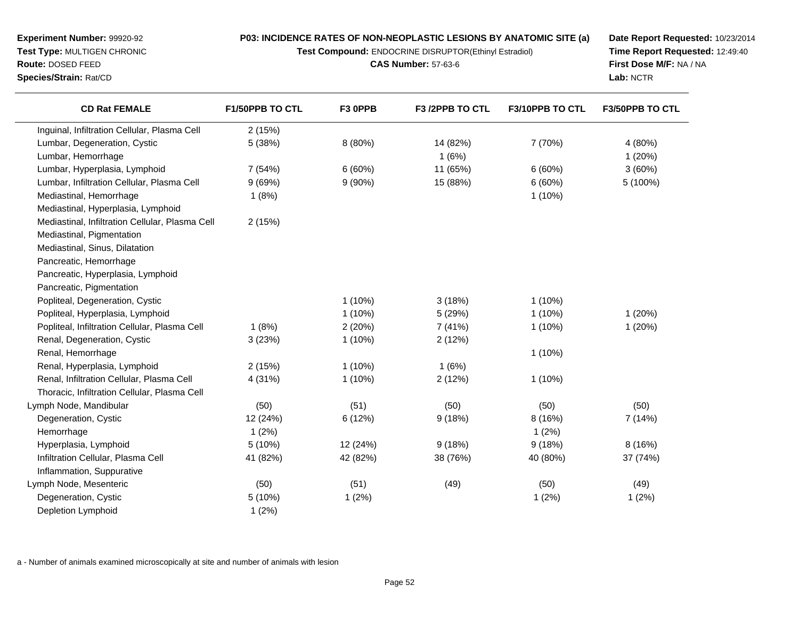**Test Compound:** ENDOCRINE DISRUPTOR(Ethinyl Estradiol)

**CAS Number:** 57-63-6

**Date Report Requested:** 10/23/2014**Time Report Requested:** 12:49:40**First Dose M/F:** NA / NA**Lab:** NCTR

| <b>CD Rat FEMALE</b>                            | F1/50PPB TO CTL | F3 OPPB   | F3 /2PPB TO CTL | F3/10PPB TO CTL | F3/50PPB TO CTL |
|-------------------------------------------------|-----------------|-----------|-----------------|-----------------|-----------------|
| Inguinal, Infiltration Cellular, Plasma Cell    | 2(15%)          |           |                 |                 |                 |
| Lumbar, Degeneration, Cystic                    | 5 (38%)         | 8 (80%)   | 14 (82%)        | 7 (70%)         | 4 (80%)         |
| Lumbar, Hemorrhage                              |                 |           | 1(6%)           |                 | 1(20%)          |
| Lumbar, Hyperplasia, Lymphoid                   | 7(54%)          | 6(60%)    | 11 (65%)        | 6(60%)          | 3(60%)          |
| Lumbar, Infiltration Cellular, Plasma Cell      | 9(69%)          | $9(90\%)$ | 15 (88%)        | 6(60%)          | 5 (100%)        |
| Mediastinal, Hemorrhage                         | 1(8%)           |           |                 | $1(10\%)$       |                 |
| Mediastinal, Hyperplasia, Lymphoid              |                 |           |                 |                 |                 |
| Mediastinal, Infiltration Cellular, Plasma Cell | 2(15%)          |           |                 |                 |                 |
| Mediastinal, Pigmentation                       |                 |           |                 |                 |                 |
| Mediastinal, Sinus, Dilatation                  |                 |           |                 |                 |                 |
| Pancreatic, Hemorrhage                          |                 |           |                 |                 |                 |
| Pancreatic, Hyperplasia, Lymphoid               |                 |           |                 |                 |                 |
| Pancreatic, Pigmentation                        |                 |           |                 |                 |                 |
| Popliteal, Degeneration, Cystic                 |                 | $1(10\%)$ | 3(18%)          | $1(10\%)$       |                 |
| Popliteal, Hyperplasia, Lymphoid                |                 | $1(10\%)$ | 5 (29%)         | 1(10%)          | 1(20%)          |
| Popliteal, Infiltration Cellular, Plasma Cell   | 1(8%)           | 2(20%)    | 7 (41%)         | $1(10\%)$       | 1(20%)          |
| Renal, Degeneration, Cystic                     | 3(23%)          | $1(10\%)$ | 2(12%)          |                 |                 |
| Renal, Hemorrhage                               |                 |           |                 | 1(10%)          |                 |
| Renal, Hyperplasia, Lymphoid                    | 2(15%)          | $1(10\%)$ | 1(6%)           |                 |                 |
| Renal, Infiltration Cellular, Plasma Cell       | 4 (31%)         | $1(10\%)$ | 2(12%)          | $1(10\%)$       |                 |
| Thoracic, Infiltration Cellular, Plasma Cell    |                 |           |                 |                 |                 |
| Lymph Node, Mandibular                          | (50)            | (51)      | (50)            | (50)            | (50)            |
| Degeneration, Cystic                            | 12 (24%)        | 6 (12%)   | 9(18%)          | 8 (16%)         | 7 (14%)         |
| Hemorrhage                                      | 1(2%)           |           |                 | 1(2%)           |                 |
| Hyperplasia, Lymphoid                           | 5(10%)          | 12 (24%)  | 9(18%)          | 9(18%)          | 8(16%)          |
| Infiltration Cellular, Plasma Cell              | 41 (82%)        | 42 (82%)  | 38 (76%)        | 40 (80%)        | 37 (74%)        |
| Inflammation, Suppurative                       |                 |           |                 |                 |                 |
| Lymph Node, Mesenteric                          | (50)            | (51)      | (49)            | (50)            | (49)            |
| Degeneration, Cystic                            | 5(10%)          | 1(2%)     |                 | 1(2%)           | 1(2%)           |
| Depletion Lymphoid                              | 1(2%)           |           |                 |                 |                 |

a - Number of animals examined microscopically at site and number of animals with lesion

**Experiment Number:** 99920-92**Test Type:** MULTIGEN CHRONIC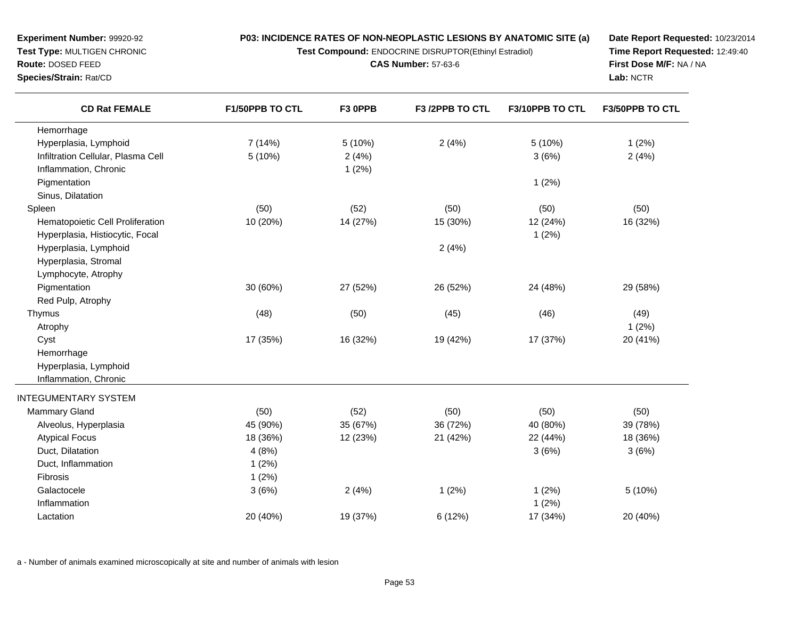**Test Compound:** ENDOCRINE DISRUPTOR(Ethinyl Estradiol)

**CAS Number:** 57-63-6

**Date Report Requested:** 10/23/2014**Time Report Requested:** 12:49:40**First Dose M/F:** NA / NA**Lab:** NCTR

| <b>CD Rat FEMALE</b>               | <b>F1/50PPB TO CTL</b> | F3 OPPB  | F3/2PPB TO CTL | F3/10PPB TO CTL | <b>F3/50PPB TO CTL</b> |
|------------------------------------|------------------------|----------|----------------|-----------------|------------------------|
| Hemorrhage                         |                        |          |                |                 |                        |
| Hyperplasia, Lymphoid              | 7(14%)                 | 5 (10%)  | 2(4%)          | 5(10%)          | 1(2%)                  |
| Infiltration Cellular, Plasma Cell | 5(10%)                 | 2(4%)    |                | 3(6%)           | 2(4%)                  |
| Inflammation, Chronic              |                        | 1(2%)    |                |                 |                        |
| Pigmentation                       |                        |          |                | 1(2%)           |                        |
| Sinus, Dilatation                  |                        |          |                |                 |                        |
| Spleen                             | (50)                   | (52)     | (50)           | (50)            | (50)                   |
| Hematopoietic Cell Proliferation   | 10 (20%)               | 14 (27%) | 15 (30%)       | 12 (24%)        | 16 (32%)               |
| Hyperplasia, Histiocytic, Focal    |                        |          |                | 1(2%)           |                        |
| Hyperplasia, Lymphoid              |                        |          | 2(4%)          |                 |                        |
| Hyperplasia, Stromal               |                        |          |                |                 |                        |
| Lymphocyte, Atrophy                |                        |          |                |                 |                        |
| Pigmentation                       | 30 (60%)               | 27 (52%) | 26 (52%)       | 24 (48%)        | 29 (58%)               |
| Red Pulp, Atrophy                  |                        |          |                |                 |                        |
| Thymus                             | (48)                   | (50)     | (45)           | (46)            | (49)                   |
| Atrophy                            |                        |          |                |                 | 1(2%)                  |
| Cyst                               | 17 (35%)               | 16 (32%) | 19 (42%)       | 17 (37%)        | 20 (41%)               |
| Hemorrhage                         |                        |          |                |                 |                        |
| Hyperplasia, Lymphoid              |                        |          |                |                 |                        |
| Inflammation, Chronic              |                        |          |                |                 |                        |
| <b>INTEGUMENTARY SYSTEM</b>        |                        |          |                |                 |                        |
| <b>Mammary Gland</b>               | (50)                   | (52)     | (50)           | (50)            | (50)                   |
| Alveolus, Hyperplasia              | 45 (90%)               | 35 (67%) | 36 (72%)       | 40 (80%)        | 39 (78%)               |
| <b>Atypical Focus</b>              | 18 (36%)               | 12 (23%) | 21 (42%)       | 22 (44%)        | 18 (36%)               |
| Duct, Dilatation                   | 4(8%)                  |          |                | 3(6%)           | 3(6%)                  |
| Duct, Inflammation                 | 1(2%)                  |          |                |                 |                        |
| Fibrosis                           | 1(2%)                  |          |                |                 |                        |
| Galactocele                        | 3(6%)                  | 2(4%)    | 1(2%)          | 1(2%)           | 5 (10%)                |
| Inflammation                       |                        |          |                | 1(2%)           |                        |
| Lactation                          | 20 (40%)               | 19 (37%) | 6 (12%)        | 17 (34%)        | 20 (40%)               |
|                                    |                        |          |                |                 |                        |

a - Number of animals examined microscopically at site and number of animals with lesion

**Experiment Number:** 99920-92**Test Type:** MULTIGEN CHRONIC

**Route:** DOSED FEED**Species/Strain:** Rat/CD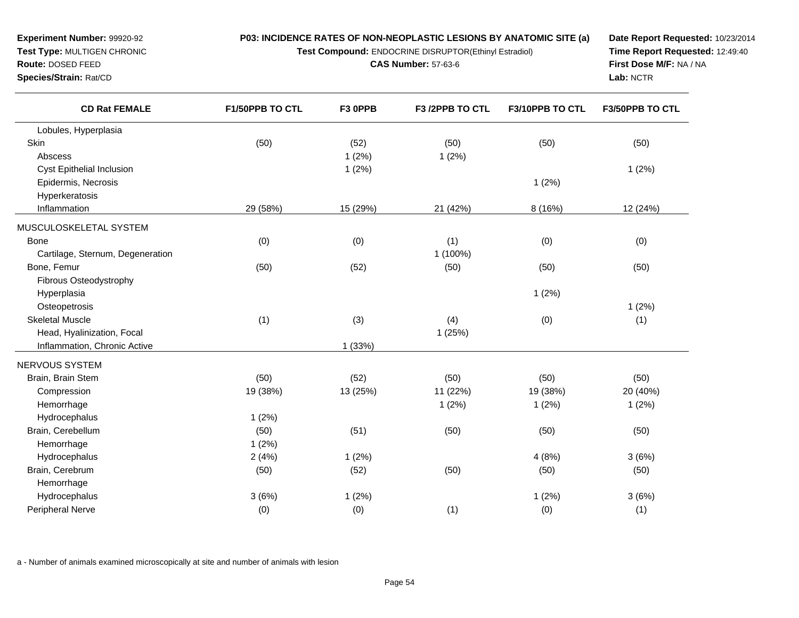**Test Compound:** ENDOCRINE DISRUPTOR(Ethinyl Estradiol)

**CAS Number:** 57-63-6

**Date Report Requested:** 10/23/2014**Time Report Requested:** 12:49:40**First Dose M/F:** NA / NA**Lab:** NCTR

| <b>CD Rat FEMALE</b>             | F1/50PPB TO CTL | F3 OPPB  | F3 /2PPB TO CTL | F3/10PPB TO CTL | F3/50PPB TO CTL |
|----------------------------------|-----------------|----------|-----------------|-----------------|-----------------|
| Lobules, Hyperplasia             |                 |          |                 |                 |                 |
| Skin                             | (50)            | (52)     | (50)            | (50)            | (50)            |
| Abscess                          |                 | 1(2%)    | 1(2%)           |                 |                 |
| Cyst Epithelial Inclusion        |                 | 1(2%)    |                 |                 | 1(2%)           |
| Epidermis, Necrosis              |                 |          |                 | 1(2%)           |                 |
| Hyperkeratosis                   |                 |          |                 |                 |                 |
| Inflammation                     | 29 (58%)        | 15 (29%) | 21 (42%)        | 8 (16%)         | 12 (24%)        |
| MUSCULOSKELETAL SYSTEM           |                 |          |                 |                 |                 |
| <b>Bone</b>                      | (0)             | (0)      | (1)             | (0)             | (0)             |
| Cartilage, Sternum, Degeneration |                 |          | 1 (100%)        |                 |                 |
| Bone, Femur                      | (50)            | (52)     | (50)            | (50)            | (50)            |
| Fibrous Osteodystrophy           |                 |          |                 |                 |                 |
| Hyperplasia                      |                 |          |                 | 1(2%)           |                 |
| Osteopetrosis                    |                 |          |                 |                 | 1(2%)           |
| <b>Skeletal Muscle</b>           | (1)             | (3)      | (4)             | (0)             | (1)             |
| Head, Hyalinization, Focal       |                 |          | 1(25%)          |                 |                 |
| Inflammation, Chronic Active     |                 | 1(33%)   |                 |                 |                 |
| NERVOUS SYSTEM                   |                 |          |                 |                 |                 |
| Brain, Brain Stem                | (50)            | (52)     | (50)            | (50)            | (50)            |
| Compression                      | 19 (38%)        | 13 (25%) | 11 (22%)        | 19 (38%)        | 20 (40%)        |
| Hemorrhage                       |                 |          | 1(2%)           | 1(2%)           | 1(2%)           |
| Hydrocephalus                    | 1(2%)           |          |                 |                 |                 |
| Brain, Cerebellum                | (50)            | (51)     | (50)            | (50)            | (50)            |
| Hemorrhage                       | 1(2%)           |          |                 |                 |                 |
| Hydrocephalus                    | 2(4%)           | 1(2%)    |                 | 4(8%)           | 3(6%)           |
| Brain, Cerebrum                  | (50)            | (52)     | (50)            | (50)            | (50)            |
| Hemorrhage                       |                 |          |                 |                 |                 |
| Hydrocephalus                    | 3(6%)           | 1(2%)    |                 | 1(2%)           | 3(6%)           |
| Peripheral Nerve                 | (0)             | (0)      | (1)             | (0)             | (1)             |

a - Number of animals examined microscopically at site and number of animals with lesion

**Experiment Number:** 99920-92**Test Type:** MULTIGEN CHRONIC

**Route:** DOSED FEED**Species/Strain:** Rat/CD

 $\overline{\phantom{0}}$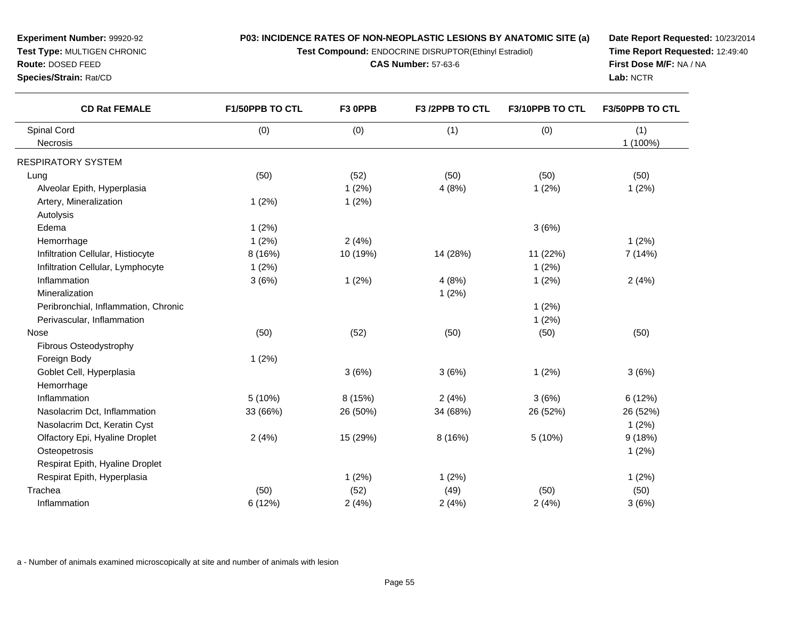**Test Compound:** ENDOCRINE DISRUPTOR(Ethinyl Estradiol)

**CAS Number:** 57-63-6

**Date Report Requested:** 10/23/2014**Time Report Requested:** 12:49:40**First Dose M/F:** NA / NA**Lab:** NCTR

| <b>CD Rat FEMALE</b>                 | F1/50PPB TO CTL | F3 OPPB  | F3 /2PPB TO CTL | F3/10PPB TO CTL | F3/50PPB TO CTL |
|--------------------------------------|-----------------|----------|-----------------|-----------------|-----------------|
| Spinal Cord                          | (0)             | (0)      | (1)             | (0)             | (1)             |
| Necrosis                             |                 |          |                 |                 | 1 (100%)        |
| RESPIRATORY SYSTEM                   |                 |          |                 |                 |                 |
| Lung                                 | (50)            | (52)     | (50)            | (50)            | (50)            |
| Alveolar Epith, Hyperplasia          |                 | 1(2%)    | 4(8%)           | 1(2%)           | 1(2%)           |
| Artery, Mineralization               | 1(2%)           | 1(2%)    |                 |                 |                 |
| Autolysis                            |                 |          |                 |                 |                 |
| Edema                                | 1(2%)           |          |                 | 3(6%)           |                 |
| Hemorrhage                           | 1(2%)           | 2(4%)    |                 |                 | 1(2%)           |
| Infiltration Cellular, Histiocyte    | 8 (16%)         | 10 (19%) | 14 (28%)        | 11 (22%)        | 7 (14%)         |
| Infiltration Cellular, Lymphocyte    | 1(2%)           |          |                 | 1(2%)           |                 |
| Inflammation                         | 3(6%)           | 1(2%)    | 4(8%)           | 1(2%)           | 2(4%)           |
| Mineralization                       |                 |          | 1(2%)           |                 |                 |
| Peribronchial, Inflammation, Chronic |                 |          |                 | 1(2%)           |                 |
| Perivascular, Inflammation           |                 |          |                 | 1(2%)           |                 |
| Nose                                 | (50)            | (52)     | (50)            | (50)            | (50)            |
| Fibrous Osteodystrophy               |                 |          |                 |                 |                 |
| Foreign Body                         | 1(2%)           |          |                 |                 |                 |
| Goblet Cell, Hyperplasia             |                 | 3(6%)    | 3(6%)           | 1(2%)           | 3(6%)           |
| Hemorrhage                           |                 |          |                 |                 |                 |
| Inflammation                         | 5(10%)          | 8 (15%)  | 2(4%)           | 3(6%)           | 6(12%)          |
| Nasolacrim Dct, Inflammation         | 33 (66%)        | 26 (50%) | 34 (68%)        | 26 (52%)        | 26 (52%)        |
| Nasolacrim Dct, Keratin Cyst         |                 |          |                 |                 | 1(2%)           |
| Olfactory Epi, Hyaline Droplet       | 2(4%)           | 15 (29%) | 8(16%)          | 5 (10%)         | 9(18%)          |
| Osteopetrosis                        |                 |          |                 |                 | 1(2%)           |
| Respirat Epith, Hyaline Droplet      |                 |          |                 |                 |                 |
| Respirat Epith, Hyperplasia          |                 | 1(2%)    | 1(2%)           |                 | 1(2%)           |
| Trachea                              | (50)            | (52)     | (49)            | (50)            | (50)            |
| Inflammation                         | 6 (12%)         | 2(4%)    | 2(4%)           | 2(4%)           | 3(6%)           |
|                                      |                 |          |                 |                 |                 |

a - Number of animals examined microscopically at site and number of animals with lesion

**Experiment Number:** 99920-92**Test Type:** MULTIGEN CHRONIC

**Route:** DOSED FEED**Species/Strain:** Rat/CD

 $\overline{\phantom{0}}$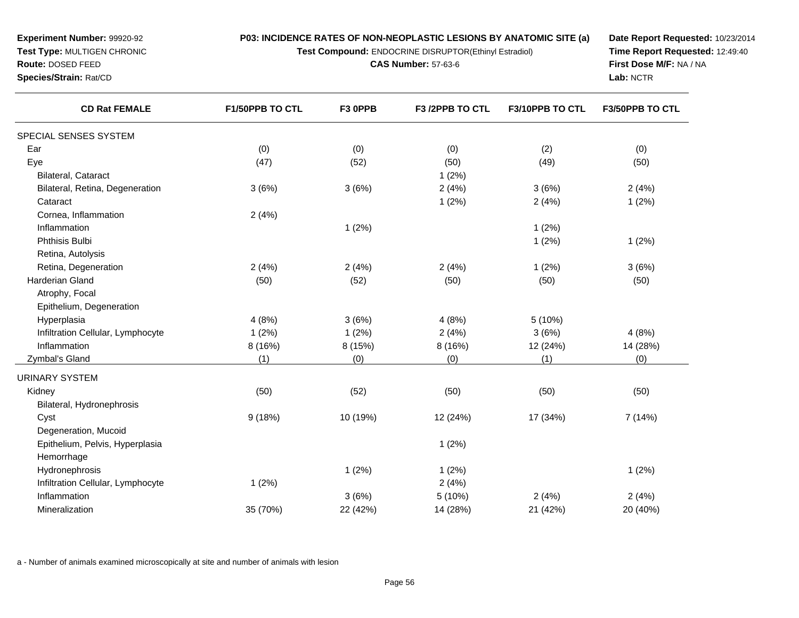**Test Compound:** ENDOCRINE DISRUPTOR(Ethinyl Estradiol)

**CAS Number:** 57-63-6

**Date Report Requested:** 10/23/2014**Time Report Requested:** 12:49:40**First Dose M/F:** NA / NA**Lab:** NCTR

| <b>CD Rat FEMALE</b>              | F1/50PPB TO CTL | F3 OPPB  | F3 /2PPB TO CTL | F3/10PPB TO CTL | F3/50PPB TO CTL |
|-----------------------------------|-----------------|----------|-----------------|-----------------|-----------------|
| SPECIAL SENSES SYSTEM             |                 |          |                 |                 |                 |
| Ear                               | (0)             | (0)      | (0)             | (2)             | (0)             |
| Eye                               | (47)            | (52)     | (50)            | (49)            | (50)            |
| Bilateral, Cataract               |                 |          | 1(2%)           |                 |                 |
| Bilateral, Retina, Degeneration   | 3(6%)           | 3(6%)    | 2(4%)           | 3(6%)           | 2(4%)           |
| Cataract                          |                 |          | 1(2%)           | 2(4%)           | 1(2%)           |
| Cornea, Inflammation              | 2(4%)           |          |                 |                 |                 |
| Inflammation                      |                 | 1(2%)    |                 | 1(2%)           |                 |
| Phthisis Bulbi                    |                 |          |                 | 1(2%)           | 1(2%)           |
| Retina, Autolysis                 |                 |          |                 |                 |                 |
| Retina, Degeneration              | 2(4%)           | 2(4%)    | 2(4%)           | 1(2%)           | 3(6%)           |
| Harderian Gland                   | (50)            | (52)     | (50)<br>(50)    |                 | (50)            |
| Atrophy, Focal                    |                 |          |                 |                 |                 |
| Epithelium, Degeneration          |                 |          |                 |                 |                 |
| Hyperplasia                       | 4(8%)           | 3(6%)    | 4(8%)           | 5 (10%)         |                 |
| Infiltration Cellular, Lymphocyte | 1(2%)           | 1(2%)    | 2(4%)           | 3(6%)           | 4(8%)           |
| Inflammation                      | 8 (16%)         | 8 (15%)  | 8 (16%)         | 12 (24%)        | 14 (28%)        |
| Zymbal's Gland                    | (1)             | (0)      | (0)             | (1)             | (0)             |
| <b>URINARY SYSTEM</b>             |                 |          |                 |                 |                 |
| Kidney                            | (50)            | (52)     | (50)            | (50)            | (50)            |
| Bilateral, Hydronephrosis         |                 |          |                 |                 |                 |
| Cyst                              | 9(18%)          | 10 (19%) | 12 (24%)        | 17 (34%)        | 7(14%)          |
| Degeneration, Mucoid              |                 |          |                 |                 |                 |
| Epithelium, Pelvis, Hyperplasia   |                 |          | 1(2%)           |                 |                 |
| Hemorrhage                        |                 |          |                 |                 |                 |
| Hydronephrosis                    |                 | 1(2%)    | 1(2%)           |                 | 1(2%)           |
| Infiltration Cellular, Lymphocyte | 1(2%)           |          | 2(4%)           |                 |                 |
| Inflammation                      |                 | 3(6%)    | 5(10%)          | 2(4%)           | 2(4%)           |
| Mineralization                    | 35 (70%)        | 22 (42%) | 14 (28%)        | 21 (42%)        | 20 (40%)        |

a - Number of animals examined microscopically at site and number of animals with lesion

**Experiment Number:** 99920-92**Test Type:** MULTIGEN CHRONIC